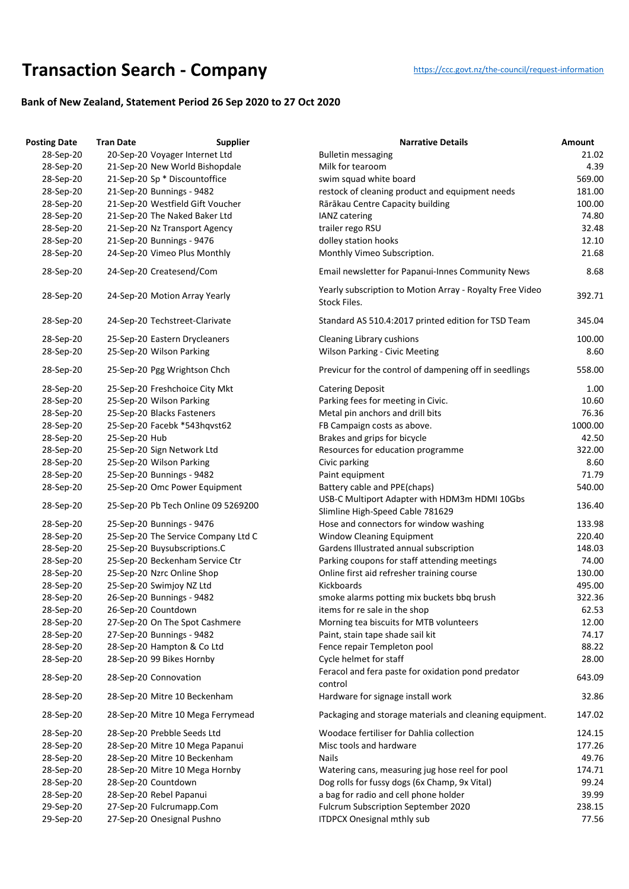## **Transaction Searc[h](https://ccc.govt.nz/the-council/request-information) - Company** https://ccc.govt.nz/the-council/request-information

## **Bank of New Zealand, Statement Period 26 Sep 2020 to 27 Oct 2020**

| <b>Posting Date</b>    | <b>Tran Date</b>                                   | <b>Supplier</b>                     | <b>Narrative Details</b>                                                          | Amount          |
|------------------------|----------------------------------------------------|-------------------------------------|-----------------------------------------------------------------------------------|-----------------|
| 28-Sep-20              | 20-Sep-20 Voyager Internet Ltd                     |                                     | <b>Bulletin messaging</b>                                                         | 21.02           |
| 28-Sep-20              | 21-Sep-20 New World Bishopdale                     |                                     | Milk for tearoom                                                                  | 4.39            |
| 28-Sep-20              | 21-Sep-20 Sp * Discountoffice                      |                                     | swim squad white board                                                            | 569.00          |
| 28-Sep-20              | 21-Sep-20 Bunnings - 9482                          |                                     | restock of cleaning product and equipment needs                                   | 181.00          |
| 28-Sep-20              | 21-Sep-20 Westfield Gift Voucher                   |                                     | Rārākau Centre Capacity building                                                  | 100.00          |
| 28-Sep-20              | 21-Sep-20 The Naked Baker Ltd                      |                                     | IANZ catering                                                                     | 74.80           |
| 28-Sep-20              | 21-Sep-20 Nz Transport Agency                      |                                     | trailer rego RSU                                                                  | 32.48           |
| 28-Sep-20              | 21-Sep-20 Bunnings - 9476                          |                                     | dolley station hooks                                                              | 12.10           |
| 28-Sep-20              | 24-Sep-20 Vimeo Plus Monthly                       |                                     | Monthly Vimeo Subscription.                                                       | 21.68           |
| 28-Sep-20              | 24-Sep-20 Createsend/Com                           |                                     | Email newsletter for Papanui-Innes Community News                                 | 8.68            |
| 28-Sep-20              | 24-Sep-20 Motion Array Yearly                      |                                     | Yearly subscription to Motion Array - Royalty Free Video<br>Stock Files.          | 392.71          |
| 28-Sep-20              | 24-Sep-20 Techstreet-Clarivate                     |                                     | Standard AS 510.4:2017 printed edition for TSD Team                               | 345.04          |
|                        |                                                    |                                     |                                                                                   |                 |
| 28-Sep-20              | 25-Sep-20 Eastern Drycleaners                      |                                     | <b>Cleaning Library cushions</b>                                                  | 100.00          |
| 28-Sep-20              | 25-Sep-20 Wilson Parking                           |                                     | <b>Wilson Parking - Civic Meeting</b>                                             | 8.60            |
| 28-Sep-20              | 25-Sep-20 Pgg Wrightson Chch                       |                                     | Previcur for the control of dampening off in seedlings                            | 558.00          |
| 28-Sep-20              | 25-Sep-20 Freshchoice City Mkt                     |                                     | <b>Catering Deposit</b>                                                           | 1.00            |
| 28-Sep-20              | 25-Sep-20 Wilson Parking                           |                                     | Parking fees for meeting in Civic.                                                | 10.60           |
| 28-Sep-20              | 25-Sep-20 Blacks Fasteners                         |                                     | Metal pin anchors and drill bits                                                  | 76.36           |
| 28-Sep-20              | 25-Sep-20 Facebk *543hqvst62                       |                                     | FB Campaign costs as above.                                                       | 1000.00         |
| 28-Sep-20              | 25-Sep-20 Hub                                      |                                     | Brakes and grips for bicycle                                                      | 42.50           |
| 28-Sep-20              | 25-Sep-20 Sign Network Ltd                         |                                     | Resources for education programme                                                 | 322.00          |
| 28-Sep-20              | 25-Sep-20 Wilson Parking                           |                                     | Civic parking                                                                     | 8.60            |
| 28-Sep-20              | 25-Sep-20 Bunnings - 9482                          |                                     | Paint equipment                                                                   | 71.79           |
| 28-Sep-20              | 25-Sep-20 Omc Power Equipment                      |                                     | Battery cable and PPE(chaps)                                                      | 540.00          |
| 28-Sep-20              |                                                    | 25-Sep-20 Pb Tech Online 09 5269200 | USB-C Multiport Adapter with HDM3m HDMI 10Gbs<br>Slimline High-Speed Cable 781629 | 136.40          |
| 28-Sep-20              | 25-Sep-20 Bunnings - 9476                          |                                     | Hose and connectors for window washing                                            | 133.98          |
| 28-Sep-20              |                                                    | 25-Sep-20 The Service Company Ltd C | <b>Window Cleaning Equipment</b>                                                  | 220.40          |
| 28-Sep-20              | 25-Sep-20 Buysubscriptions.C                       |                                     | Gardens Illustrated annual subscription                                           | 148.03          |
| 28-Sep-20              | 25-Sep-20 Beckenham Service Ctr                    |                                     | Parking coupons for staff attending meetings                                      | 74.00           |
| 28-Sep-20              | 25-Sep-20 Nzrc Online Shop                         |                                     | Online first aid refresher training course                                        | 130.00          |
| 28-Sep-20              | 25-Sep-20 Swimjoy NZ Ltd                           |                                     | Kickboards                                                                        | 495.00          |
| 28-Sep-20              | 26-Sep-20 Bunnings - 9482                          |                                     | smoke alarms potting mix buckets bbq brush                                        | 322.36          |
| 28-Sep-20              | 26-Sep-20 Countdown                                |                                     | items for re sale in the shop                                                     | 62.53           |
|                        |                                                    |                                     |                                                                                   |                 |
| 28-Sep-20              | 27-Sep-20 On The Spot Cashmere                     |                                     | Morning tea biscuits for MTB volunteers                                           | 12.00           |
| 28-Sep-20              | 27-Sep-20 Bunnings - 9482                          |                                     | Paint, stain tape shade sail kit                                                  | 74.17           |
| 28-Sep-20              | 28-Sep-20 Hampton & Co Ltd                         |                                     | Fence repair Templeton pool                                                       | 88.22           |
| 28-Sep-20              | 28-Sep-20 99 Bikes Hornby<br>28-Sep-20 Connovation |                                     | Cycle helmet for staff<br>Feracol and fera paste for oxidation pond predator      | 28.00<br>643.09 |
| 28-Sep-20<br>28-Sep-20 | 28-Sep-20 Mitre 10 Beckenham                       |                                     | control<br>Hardware for signage install work                                      | 32.86           |
| 28-Sep-20              | 28-Sep-20 Mitre 10 Mega Ferrymead                  |                                     | Packaging and storage materials and cleaning equipment.                           | 147.02          |
|                        |                                                    |                                     |                                                                                   |                 |
| 28-Sep-20              | 28-Sep-20 Prebble Seeds Ltd                        |                                     | Woodace fertiliser for Dahlia collection                                          | 124.15          |
| 28-Sep-20              | 28-Sep-20 Mitre 10 Mega Papanui                    |                                     | Misc tools and hardware                                                           | 177.26          |
| 28-Sep-20              | 28-Sep-20 Mitre 10 Beckenham                       |                                     | <b>Nails</b>                                                                      | 49.76           |
| 28-Sep-20              | 28-Sep-20 Mitre 10 Mega Hornby                     |                                     | Watering cans, measuring jug hose reel for pool                                   | 174.71          |
| 28-Sep-20              | 28-Sep-20 Countdown                                |                                     | Dog rolls for fussy dogs (6x Champ, 9x Vital)                                     | 99.24           |
| 28-Sep-20              | 28-Sep-20 Rebel Papanui                            |                                     | a bag for radio and cell phone holder                                             | 39.99           |
| 29-Sep-20              | 27-Sep-20 Fulcrumapp.Com                           |                                     | Fulcrum Subscription September 2020                                               | 238.15          |
| 29-Sep-20              | 27-Sep-20 Onesignal Pushno                         |                                     | <b>ITDPCX Onesignal mthly sub</b>                                                 | 77.56           |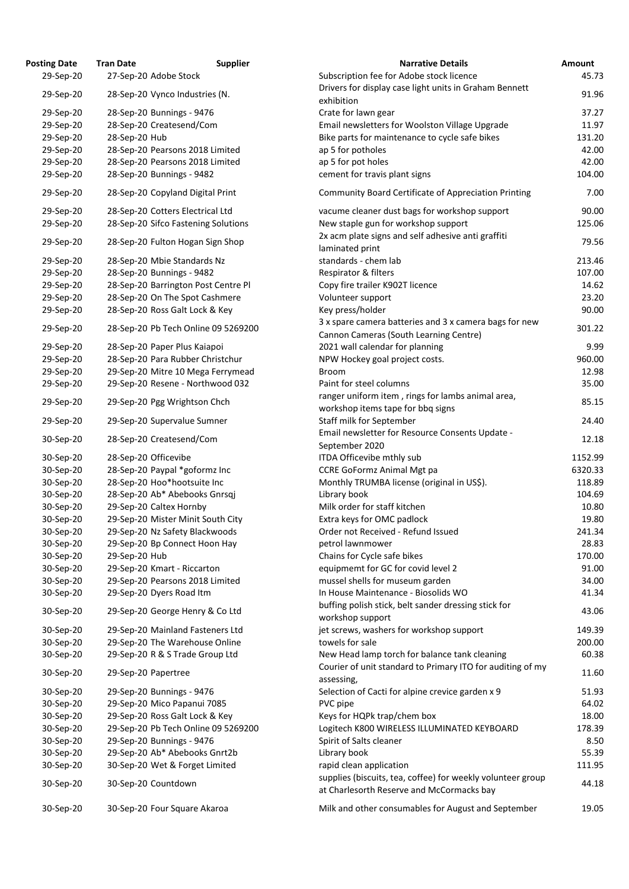| osting Date            | <b>Tran Date</b>                                      | <b>Supplier</b>                     | <b>Narrative Details</b>                                                               |
|------------------------|-------------------------------------------------------|-------------------------------------|----------------------------------------------------------------------------------------|
| 29-Sep-20              | 27-Sep-20 Adobe Stock                                 |                                     | Subscription fee for Adobe stock licence                                               |
| 29-Sep-20              | 28-Sep-20 Vynco Industries (N.                        |                                     | Drivers for display case light units in Graham Bennett                                 |
|                        |                                                       |                                     | exhibition                                                                             |
| 29-Sep-20              | 28-Sep-20 Bunnings - 9476                             |                                     | Crate for lawn gear                                                                    |
| 29-Sep-20              | 28-Sep-20 Createsend/Com                              |                                     | Email newsletters for Woolston Village Upgrade                                         |
| 29-Sep-20              | 28-Sep-20 Hub                                         |                                     | Bike parts for maintenance to cycle safe bikes                                         |
| 29-Sep-20              |                                                       | 28-Sep-20 Pearsons 2018 Limited     | ap 5 for potholes                                                                      |
| 29-Sep-20              |                                                       | 28-Sep-20 Pearsons 2018 Limited     | ap 5 for pot holes                                                                     |
| 29-Sep-20              | 28-Sep-20 Bunnings - 9482                             |                                     | cement for travis plant signs                                                          |
| 29-Sep-20              | 28-Sep-20 Copyland Digital Print                      |                                     | <b>Community Board Certificate of Appreciation Printing</b>                            |
| 29-Sep-20              | 28-Sep-20 Cotters Electrical Ltd                      |                                     | vacume cleaner dust bags for workshop support                                          |
| 29-Sep-20              |                                                       | 28-Sep-20 Sifco Fastening Solutions | New staple gun for workshop support                                                    |
| 29-Sep-20              |                                                       | 28-Sep-20 Fulton Hogan Sign Shop    | 2x acm plate signs and self adhesive anti graffiti<br>laminated print                  |
| 29-Sep-20              | 28-Sep-20 Mbie Standards Nz                           |                                     | standards - chem lab                                                                   |
| 29-Sep-20              | 28-Sep-20 Bunnings - 9482                             |                                     | Respirator & filters                                                                   |
| 29-Sep-20              |                                                       | 28-Sep-20 Barrington Post Centre Pl | Copy fire trailer K902T licence                                                        |
| 29-Sep-20              |                                                       | 28-Sep-20 On The Spot Cashmere      | Volunteer support                                                                      |
| 29-Sep-20              | 28-Sep-20 Ross Galt Lock & Key                        |                                     | Key press/holder                                                                       |
|                        |                                                       |                                     | 3 x spare camera batteries and 3 x camera bags for ne                                  |
| 29-Sep-20              |                                                       | 28-Sep-20 Pb Tech Online 09 5269200 | Cannon Cameras (South Learning Centre)                                                 |
| 29-Sep-20              | 28-Sep-20 Paper Plus Kaiapoi                          |                                     | 2021 wall calendar for planning                                                        |
| 29-Sep-20              |                                                       | 28-Sep-20 Para Rubber Christchur    | NPW Hockey goal project costs.                                                         |
| 29-Sep-20              |                                                       | 29-Sep-20 Mitre 10 Mega Ferrymead   | <b>Broom</b>                                                                           |
| 29-Sep-20              |                                                       | 29-Sep-20 Resene - Northwood 032    | Paint for steel columns                                                                |
| 29-Sep-20              | 29-Sep-20 Pgg Wrightson Chch                          |                                     | ranger uniform item, rings for lambs animal area,<br>workshop items tape for bbq signs |
| 29-Sep-20              | 29-Sep-20 Supervalue Sumner                           |                                     | Staff milk for September<br>Email newsletter for Resource Consents Update -            |
| 30-Sep-20              | 28-Sep-20 Createsend/Com                              |                                     | September 2020                                                                         |
| 30-Sep-20              | 28-Sep-20 Officevibe                                  |                                     | ITDA Officevibe mthly sub                                                              |
| 30-Sep-20              | 28-Sep-20 Paypal *goformz Inc                         |                                     | <b>CCRE GoFormz Animal Mgt pa</b>                                                      |
| 30-Sep-20              | 28-Sep-20 Hoo*hootsuite Inc                           |                                     | Monthly TRUMBA license (original in US\$).                                             |
| 30-Sep-20              | 28-Sep-20 Ab* Abebooks Gnrsqj                         |                                     | Library book                                                                           |
| 30-Sep-20              | 29-Sep-20 Caltex Hornby                               |                                     | Milk order for staff kitchen                                                           |
| 30-Sep-20              |                                                       | 29-Sep-20 Mister Minit South City   | Extra keys for OMC padlock                                                             |
| 30-Sep-20              | 29-Sep-20 Nz Safety Blackwoods                        |                                     | Order not Received - Refund Issued                                                     |
| 30-Sep-20              | 29-Sep-20 Bp Connect Hoon Hay                         |                                     | petrol lawnmower                                                                       |
| 30-Sep-20              | 29-Sep-20 Hub                                         |                                     | Chains for Cycle safe bikes                                                            |
| 30-Sep-20              | 29-Sep-20 Kmart - Riccarton                           |                                     | equipmemt for GC for covid level 2                                                     |
| 30-Sep-20              |                                                       | 29-Sep-20 Pearsons 2018 Limited     | mussel shells for museum garden                                                        |
| 30-Sep-20              | 29-Sep-20 Dyers Road Itm                              |                                     | In House Maintenance - Biosolids WO                                                    |
|                        |                                                       |                                     | buffing polish stick, belt sander dressing stick for                                   |
| 30-Sep-20              |                                                       | 29-Sep-20 George Henry & Co Ltd     | workshop support                                                                       |
| 30-Sep-20              |                                                       | 29-Sep-20 Mainland Fasteners Ltd    | jet screws, washers for workshop support                                               |
| 30-Sep-20              |                                                       | 29-Sep-20 The Warehouse Online      | towels for sale                                                                        |
| 30-Sep-20              | 29-Sep-20 R & S Trade Group Ltd                       |                                     | New Head lamp torch for balance tank cleaning                                          |
| 30-Sep-20              | 29-Sep-20 Papertree                                   |                                     | Courier of unit standard to Primary ITO for auditing of<br>assessing,                  |
| 30-Sep-20              | 29-Sep-20 Bunnings - 9476                             |                                     | Selection of Cacti for alpine crevice garden x 9                                       |
| 30-Sep-20              | 29-Sep-20 Mico Papanui 7085                           |                                     | PVC pipe                                                                               |
| 30-Sep-20              | 29-Sep-20 Ross Galt Lock & Key                        |                                     | Keys for HQPk trap/chem box                                                            |
| 30-Sep-20              |                                                       | 29-Sep-20 Pb Tech Online 09 5269200 | Logitech K800 WIRELESS ILLUMINATED KEYBOARD                                            |
| 30-Sep-20              | 29-Sep-20 Bunnings - 9476                             |                                     | Spirit of Salts cleaner                                                                |
| 30-Sep-20              | 29-Sep-20 Ab* Abebooks Gnrt2b                         |                                     | Library book                                                                           |
|                        |                                                       |                                     |                                                                                        |
| 30-Sep-20<br>30-Sep-20 | 30-Sep-20 Wet & Forget Limited<br>30-Sep-20 Countdown |                                     | rapid clean application<br>supplies (biscuits, tea, coffee) for weekly volunteer gr    |
|                        |                                                       |                                     | at Charlesorth Reserve and McCormacks bay                                              |
| 30-Sep-20              | 30-Sep-20 Four Square Akaroa                          |                                     | Milk and other consumables for August and Septemb                                      |

| <b>Posting Date</b> | <b>Tran Date</b>                 | <b>Supplier</b>                     | <b>Narrative Details</b>                                                                                 | Amount  |
|---------------------|----------------------------------|-------------------------------------|----------------------------------------------------------------------------------------------------------|---------|
| 29-Sep-20           | 27-Sep-20 Adobe Stock            |                                     | Subscription fee for Adobe stock licence                                                                 | 45.73   |
|                     |                                  |                                     | Drivers for display case light units in Graham Bennett                                                   |         |
| 29-Sep-20           | 28-Sep-20 Vynco Industries (N.   |                                     | exhibition                                                                                               | 91.96   |
| 29-Sep-20           | 28-Sep-20 Bunnings - 9476        |                                     | Crate for lawn gear                                                                                      | 37.27   |
| 29-Sep-20           | 28-Sep-20 Createsend/Com         |                                     | Email newsletters for Woolston Village Upgrade                                                           | 11.97   |
| 29-Sep-20           | 28-Sep-20 Hub                    |                                     | Bike parts for maintenance to cycle safe bikes                                                           | 131.20  |
| 29-Sep-20           |                                  | 28-Sep-20 Pearsons 2018 Limited     | ap 5 for potholes                                                                                        | 42.00   |
| 29-Sep-20           |                                  | 28-Sep-20 Pearsons 2018 Limited     | ap 5 for pot holes                                                                                       | 42.00   |
| 29-Sep-20           | 28-Sep-20 Bunnings - 9482        |                                     | cement for travis plant signs                                                                            | 104.00  |
|                     |                                  |                                     |                                                                                                          |         |
| 29-Sep-20           |                                  | 28-Sep-20 Copyland Digital Print    | <b>Community Board Certificate of Appreciation Printing</b>                                              | 7.00    |
| 29-Sep-20           | 28-Sep-20 Cotters Electrical Ltd |                                     | vacume cleaner dust bags for workshop support                                                            | 90.00   |
| 29-Sep-20           |                                  | 28-Sep-20 Sifco Fastening Solutions | New staple gun for workshop support                                                                      | 125.06  |
| 29-Sep-20           |                                  | 28-Sep-20 Fulton Hogan Sign Shop    | 2x acm plate signs and self adhesive anti graffiti<br>laminated print                                    | 79.56   |
| 29-Sep-20           | 28-Sep-20 Mbie Standards Nz      |                                     | standards - chem lab                                                                                     | 213.46  |
| 29-Sep-20           | 28-Sep-20 Bunnings - 9482        |                                     | Respirator & filters                                                                                     | 107.00  |
| 29-Sep-20           |                                  | 28-Sep-20 Barrington Post Centre Pl | Copy fire trailer K902T licence                                                                          | 14.62   |
| 29-Sep-20           |                                  | 28-Sep-20 On The Spot Cashmere      | Volunteer support                                                                                        | 23.20   |
| 29-Sep-20           |                                  | 28-Sep-20 Ross Galt Lock & Key      | Key press/holder                                                                                         | 90.00   |
|                     |                                  |                                     | 3 x spare camera batteries and 3 x camera bags for new                                                   |         |
| 29-Sep-20           |                                  | 28-Sep-20 Pb Tech Online 09 5269200 | Cannon Cameras (South Learning Centre)                                                                   | 301.22  |
|                     |                                  |                                     |                                                                                                          |         |
| 29-Sep-20           | 28-Sep-20 Paper Plus Kaiapoi     |                                     | 2021 wall calendar for planning                                                                          | 9.99    |
| 29-Sep-20           |                                  | 28-Sep-20 Para Rubber Christchur    | NPW Hockey goal project costs.                                                                           | 960.00  |
| 29-Sep-20           |                                  | 29-Sep-20 Mitre 10 Mega Ferrymead   | Broom                                                                                                    | 12.98   |
| 29-Sep-20           |                                  | 29-Sep-20 Resene - Northwood 032    | Paint for steel columns                                                                                  | 35.00   |
| 29-Sep-20           | 29-Sep-20 Pgg Wrightson Chch     |                                     | ranger uniform item, rings for lambs animal area,<br>workshop items tape for bbq signs                   | 85.15   |
| 29-Sep-20           | 29-Sep-20 Supervalue Sumner      |                                     | Staff milk for September<br>Email newsletter for Resource Consents Update -                              | 24.40   |
| 30-Sep-20           | 28-Sep-20 Createsend/Com         |                                     |                                                                                                          | 12.18   |
|                     |                                  |                                     | September 2020                                                                                           |         |
| 30-Sep-20           | 28-Sep-20 Officevibe             |                                     | ITDA Officevibe mthly sub                                                                                | 1152.99 |
| 30-Sep-20           | 28-Sep-20 Paypal *goformz Inc    |                                     | <b>CCRE GoFormz Animal Mgt pa</b>                                                                        | 6320.33 |
| 30-Sep-20           | 28-Sep-20 Hoo*hootsuite Inc      |                                     | Monthly TRUMBA license (original in US\$).                                                               | 118.89  |
| 30-Sep-20           |                                  | 28-Sep-20 Ab* Abebooks Gnrsqj       | Library book                                                                                             | 104.69  |
| 30-Sep-20           | 29-Sep-20 Caltex Hornby          |                                     | Milk order for staff kitchen                                                                             | 10.80   |
| 30-Sep-20           |                                  | 29-Sep-20 Mister Minit South City   | Extra keys for OMC padlock                                                                               | 19.80   |
| 30-Sep-20           |                                  | 29-Sep-20 Nz Safety Blackwoods      | Order not Received - Refund Issued                                                                       | 241.34  |
| 30-Sep-20           |                                  | 29-Sep-20 Bp Connect Hoon Hay       | petrol lawnmower                                                                                         | 28.83   |
| 30-Sep-20           | 29-Sep-20 Hub                    |                                     | Chains for Cycle safe bikes                                                                              | 170.00  |
| 30-Sep-20           | 29-Sep-20 Kmart - Riccarton      |                                     | equipmemt for GC for covid level 2                                                                       | 91.00   |
| 30-Sep-20           |                                  | 29-Sep-20 Pearsons 2018 Limited     | mussel shells for museum garden                                                                          | 34.00   |
| 30-Sep-20           | 29-Sep-20 Dyers Road Itm         |                                     | In House Maintenance - Biosolids WO                                                                      | 41.34   |
| 30-Sep-20           |                                  | 29-Sep-20 George Henry & Co Ltd     | buffing polish stick, belt sander dressing stick for<br>workshop support                                 | 43.06   |
| 30-Sep-20           |                                  | 29-Sep-20 Mainland Fasteners Ltd    | jet screws, washers for workshop support                                                                 | 149.39  |
| 30-Sep-20           |                                  | 29-Sep-20 The Warehouse Online      | towels for sale                                                                                          | 200.00  |
|                     |                                  | 29-Sep-20 R & S Trade Group Ltd     |                                                                                                          | 60.38   |
| 30-Sep-20           |                                  |                                     | New Head lamp torch for balance tank cleaning                                                            |         |
| 30-Sep-20           | 29-Sep-20 Papertree              |                                     | Courier of unit standard to Primary ITO for auditing of my<br>assessing,                                 | 11.60   |
| 30-Sep-20           | 29-Sep-20 Bunnings - 9476        |                                     | Selection of Cacti for alpine crevice garden x 9                                                         | 51.93   |
| 30-Sep-20           | 29-Sep-20 Mico Papanui 7085      |                                     | PVC pipe                                                                                                 | 64.02   |
| 30-Sep-20           |                                  | 29-Sep-20 Ross Galt Lock & Key      | Keys for HQPk trap/chem box                                                                              | 18.00   |
| 30-Sep-20           |                                  | 29-Sep-20 Pb Tech Online 09 5269200 | Logitech K800 WIRELESS ILLUMINATED KEYBOARD                                                              | 178.39  |
| 30-Sep-20           | 29-Sep-20 Bunnings - 9476        |                                     | Spirit of Salts cleaner                                                                                  | 8.50    |
| 30-Sep-20           |                                  | 29-Sep-20 Ab* Abebooks Gnrt2b       | Library book                                                                                             | 55.39   |
| 30-Sep-20           |                                  | 30-Sep-20 Wet & Forget Limited      | rapid clean application                                                                                  | 111.95  |
| 30-Sep-20           | 30-Sep-20 Countdown              |                                     | supplies (biscuits, tea, coffee) for weekly volunteer group<br>at Charlesorth Reserve and McCormacks bay | 44.18   |
|                     |                                  |                                     |                                                                                                          |         |
| 30-Sep-20           | 30-Sep-20 Four Square Akaroa     |                                     | Milk and other consumables for August and September                                                      | 19.05   |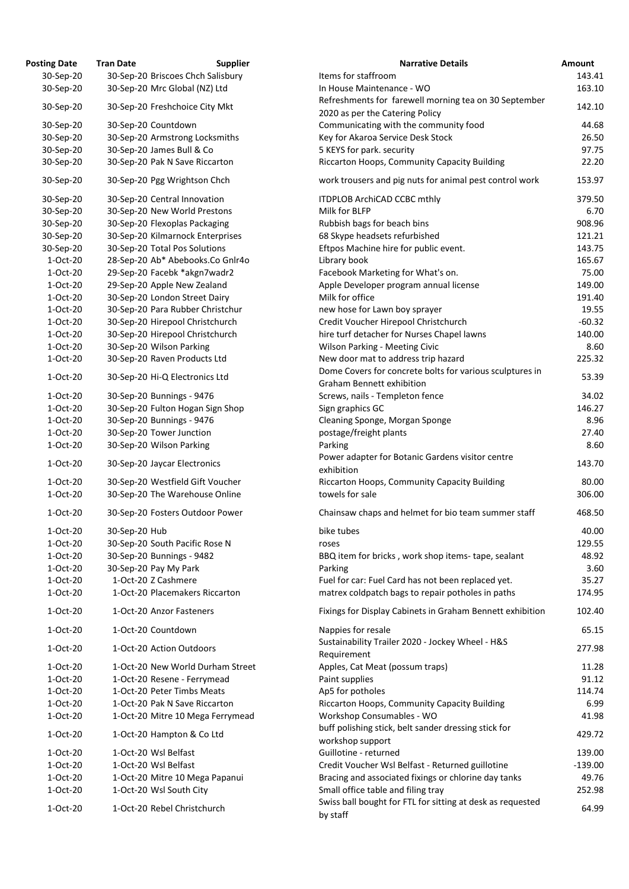| osting Date | <b>Tran Date</b> | <b>Supplier</b>                   | <b>Narrative Details</b>                                        |
|-------------|------------------|-----------------------------------|-----------------------------------------------------------------|
| 30-Sep-20   |                  | 30-Sep-20 Briscoes Chch Salisbury | Items for staffroom                                             |
| 30-Sep-20   |                  | 30-Sep-20 Mrc Global (NZ) Ltd     | In House Maintenance - WO                                       |
| 30-Sep-20   |                  | 30-Sep-20 Freshchoice City Mkt    | Refreshments for farewell morning tea on 30 Sep                 |
|             |                  |                                   | 2020 as per the Catering Policy                                 |
| 30-Sep-20   |                  | 30-Sep-20 Countdown               | Communicating with the community food                           |
| 30-Sep-20   |                  | 30-Sep-20 Armstrong Locksmiths    | Key for Akaroa Service Desk Stock                               |
| 30-Sep-20   |                  | 30-Sep-20 James Bull & Co         | 5 KEYS for park. security                                       |
| 30-Sep-20   |                  | 30-Sep-20 Pak N Save Riccarton    | Riccarton Hoops, Community Capacity Building                    |
| 30-Sep-20   |                  | 30-Sep-20 Pgg Wrightson Chch      | work trousers and pig nuts for animal pest contro               |
| 30-Sep-20   |                  | 30-Sep-20 Central Innovation      | <b>ITDPLOB ArchiCAD CCBC mthly</b>                              |
| 30-Sep-20   |                  | 30-Sep-20 New World Prestons      | Milk for BLFP                                                   |
| 30-Sep-20   |                  | 30-Sep-20 Flexoplas Packaging     | Rubbish bags for beach bins                                     |
| 30-Sep-20   |                  | 30-Sep-20 Kilmarnock Enterprises  | 68 Skype headsets refurbished                                   |
| 30-Sep-20   |                  | 30-Sep-20 Total Pos Solutions     | Eftpos Machine hire for public event.                           |
| 1-Oct-20    |                  | 28-Sep-20 Ab* Abebooks.Co Gnlr4o  | Library book                                                    |
| 1-Oct-20    |                  | 29-Sep-20 Facebk *akgn7wadr2      | Facebook Marketing for What's on.                               |
| 1-Oct-20    |                  | 29-Sep-20 Apple New Zealand       | Apple Developer program annual license                          |
| 1-Oct-20    |                  | 30-Sep-20 London Street Dairy     | Milk for office                                                 |
| 1-Oct-20    |                  | 30-Sep-20 Para Rubber Christchur  | new hose for Lawn boy sprayer                                   |
| 1-Oct-20    |                  | 30-Sep-20 Hirepool Christchurch   | Credit Voucher Hirepool Christchurch                            |
| 1-Oct-20    |                  | 30-Sep-20 Hirepool Christchurch   | hire turf detacher for Nurses Chapel lawns                      |
| 1-Oct-20    |                  | 30-Sep-20 Wilson Parking          | <b>Wilson Parking - Meeting Civic</b>                           |
| 1-Oct-20    |                  | 30-Sep-20 Raven Products Ltd      | New door mat to address trip hazard                             |
| 1-Oct-20    |                  | 30-Sep-20 Hi-Q Electronics Ltd    | Dome Covers for concrete bolts for various sculpt               |
|             |                  |                                   | <b>Graham Bennett exhibition</b>                                |
| 1-Oct-20    |                  | 30-Sep-20 Bunnings - 9476         | Screws, nails - Templeton fence                                 |
| 1-Oct-20    |                  | 30-Sep-20 Fulton Hogan Sign Shop  | Sign graphics GC                                                |
| 1-Oct-20    |                  | 30-Sep-20 Bunnings - 9476         | Cleaning Sponge, Morgan Sponge                                  |
| $1-Oct-20$  |                  | 30-Sep-20 Tower Junction          | postage/freight plants                                          |
| 1-Oct-20    |                  | 30-Sep-20 Wilson Parking          | Parking                                                         |
| 1-Oct-20    |                  | 30-Sep-20 Jaycar Electronics      | Power adapter for Botanic Gardens visitor centre<br>exhibition  |
|             |                  |                                   |                                                                 |
| 1-Oct-20    |                  | 30-Sep-20 Westfield Gift Voucher  | Riccarton Hoops, Community Capacity Building<br>towels for sale |
| 1-Oct-20    |                  | 30-Sep-20 The Warehouse Online    |                                                                 |
| 1-Oct-20    |                  | 30-Sep-20 Fosters Outdoor Power   | Chainsaw chaps and helmet for bio team summer                   |
| 1-Oct-20    | 30-Sep-20 Hub    |                                   | bike tubes                                                      |
| 1-Oct-20    |                  | 30-Sep-20 South Pacific Rose N    | roses                                                           |
| 1-Oct-20    |                  | 30-Sep-20 Bunnings - 9482         | BBQ item for bricks, work shop items-tape, seala                |
| 1-Oct-20    |                  | 30-Sep-20 Pay My Park             | Parking                                                         |
| 1-Oct-20    |                  | 1-Oct-20 Z Cashmere               | Fuel for car: Fuel Card has not been replaced yet.              |
| 1-Oct-20    |                  | 1-Oct-20 Placemakers Riccarton    | matrex coldpatch bags to repair potholes in paths               |
| 1-Oct-20    |                  | 1-Oct-20 Anzor Fasteners          | Fixings for Display Cabinets in Graham Bennett ex               |
| 1-Oct-20    |                  | 1-Oct-20 Countdown                | Nappies for resale                                              |
| 1-Oct-20    |                  | 1-Oct-20 Action Outdoors          | Sustainability Trailer 2020 - Jockey Wheel - H&S<br>Requirement |
| 1-Oct-20    |                  | 1-Oct-20 New World Durham Street  | Apples, Cat Meat (possum traps)                                 |
| 1-Oct-20    |                  | 1-Oct-20 Resene - Ferrymead       | Paint supplies                                                  |
| 1-Oct-20    |                  | 1-Oct-20 Peter Timbs Meats        | Ap5 for potholes                                                |
| 1-Oct-20    |                  | 1-Oct-20 Pak N Save Riccarton     | Riccarton Hoops, Community Capacity Building                    |
| 1-Oct-20    |                  | 1-Oct-20 Mitre 10 Mega Ferrymead  | Workshop Consumables - WO                                       |
| 1-Oct-20    |                  | 1-Oct-20 Hampton & Co Ltd         | buff polishing stick, belt sander dressing stick for            |
|             |                  |                                   | workshop support                                                |
| 1-Oct-20    |                  | 1-Oct-20 Wsl Belfast              | Guillotine - returned                                           |
| 1-Oct-20    |                  | 1-Oct-20 Wsl Belfast              | Credit Voucher Wsl Belfast - Returned guillotine                |
| 1-Oct-20    |                  | 1-Oct-20 Mitre 10 Mega Papanui    | Bracing and associated fixings or chlorine day tan              |
| 1-Oct-20    |                  | 1-Oct-20 Wsl South City           | Small office table and filing tray                              |
| $1-Oct-20$  |                  | 1-Oct-20 Rebel Christchurch       | Swiss ball bought for FTL for sitting at desk as requ           |

| <b>Posting Date</b> | <b>Tran Date</b> | <b>Supplier</b>                   | <b>Narrative Details</b>                                                                        | <b>Amount</b> |
|---------------------|------------------|-----------------------------------|-------------------------------------------------------------------------------------------------|---------------|
| 30-Sep-20           |                  | 30-Sep-20 Briscoes Chch Salisbury | Items for staffroom                                                                             | 143.41        |
| 30-Sep-20           |                  | 30-Sep-20 Mrc Global (NZ) Ltd     | In House Maintenance - WO                                                                       | 163.10        |
| 30-Sep-20           |                  | 30-Sep-20 Freshchoice City Mkt    | Refreshments for farewell morning tea on 30 September<br>2020 as per the Catering Policy        | 142.10        |
| 30-Sep-20           |                  | 30-Sep-20 Countdown               | Communicating with the community food                                                           | 44.68         |
| 30-Sep-20           |                  | 30-Sep-20 Armstrong Locksmiths    | Key for Akaroa Service Desk Stock                                                               | 26.50         |
| 30-Sep-20           |                  | 30-Sep-20 James Bull & Co         | 5 KEYS for park. security                                                                       | 97.75         |
| 30-Sep-20           |                  | 30-Sep-20 Pak N Save Riccarton    | Riccarton Hoops, Community Capacity Building                                                    | 22.20         |
| 30-Sep-20           |                  | 30-Sep-20 Pgg Wrightson Chch      | work trousers and pig nuts for animal pest control work                                         | 153.97        |
| 30-Sep-20           |                  | 30-Sep-20 Central Innovation      | <b>ITDPLOB ArchiCAD CCBC mthly</b>                                                              | 379.50        |
| 30-Sep-20           |                  | 30-Sep-20 New World Prestons      | Milk for BLFP                                                                                   | 6.70          |
| 30-Sep-20           |                  | 30-Sep-20 Flexoplas Packaging     | Rubbish bags for beach bins                                                                     | 908.96        |
| 30-Sep-20           |                  | 30-Sep-20 Kilmarnock Enterprises  | 68 Skype headsets refurbished                                                                   | 121.21        |
| 30-Sep-20           |                  | 30-Sep-20 Total Pos Solutions     | Eftpos Machine hire for public event.                                                           | 143.75        |
| 1-Oct-20            |                  | 28-Sep-20 Ab* Abebooks.Co Gnlr4o  | Library book                                                                                    | 165.67        |
| 1-Oct-20            |                  | 29-Sep-20 Facebk *akgn7wadr2      | Facebook Marketing for What's on.                                                               | 75.00         |
| 1-Oct-20            |                  | 29-Sep-20 Apple New Zealand       | Apple Developer program annual license                                                          | 149.00        |
| 1-Oct-20            |                  | 30-Sep-20 London Street Dairy     | Milk for office                                                                                 | 191.40        |
| 1-Oct-20            |                  | 30-Sep-20 Para Rubber Christchur  | new hose for Lawn boy sprayer                                                                   | 19.55         |
| 1-Oct-20            |                  | 30-Sep-20 Hirepool Christchurch   | Credit Voucher Hirepool Christchurch                                                            | $-60.32$      |
| 1-Oct-20            |                  | 30-Sep-20 Hirepool Christchurch   | hire turf detacher for Nurses Chapel lawns                                                      | 140.00        |
| 1-Oct-20            |                  | 30-Sep-20 Wilson Parking          | <b>Wilson Parking - Meeting Civic</b>                                                           | 8.60          |
| 1-Oct-20            |                  |                                   |                                                                                                 | 225.32        |
|                     |                  | 30-Sep-20 Raven Products Ltd      | New door mat to address trip hazard<br>Dome Covers for concrete bolts for various sculptures in |               |
| 1-Oct-20            |                  | 30-Sep-20 Hi-Q Electronics Ltd    | <b>Graham Bennett exhibition</b>                                                                | 53.39         |
| 1-Oct-20            |                  | 30-Sep-20 Bunnings - 9476         | Screws, nails - Templeton fence                                                                 | 34.02         |
| 1-Oct-20            |                  | 30-Sep-20 Fulton Hogan Sign Shop  | Sign graphics GC                                                                                | 146.27        |
| 1-Oct-20            |                  | 30-Sep-20 Bunnings - 9476         | Cleaning Sponge, Morgan Sponge                                                                  | 8.96          |
| 1-Oct-20            |                  | 30-Sep-20 Tower Junction          | postage/freight plants                                                                          | 27.40         |
| 1-Oct-20            |                  | 30-Sep-20 Wilson Parking          | Parking                                                                                         | 8.60          |
| 1-Oct-20            |                  | 30-Sep-20 Jaycar Electronics      | Power adapter for Botanic Gardens visitor centre<br>exhibition                                  | 143.70        |
| 1-Oct-20            |                  | 30-Sep-20 Westfield Gift Voucher  | Riccarton Hoops, Community Capacity Building                                                    | 80.00         |
| 1-Oct-20            |                  | 30-Sep-20 The Warehouse Online    | towels for sale                                                                                 | 306.00        |
| 1-Oct-20            |                  | 30-Sep-20 Fosters Outdoor Power   | Chainsaw chaps and helmet for bio team summer staff                                             | 468.50        |
| 1-Oct-20            | 30-Sep-20 Hub    |                                   | bike tubes                                                                                      | 40.00         |
| 1-Oct-20            |                  | 30-Sep-20 South Pacific Rose N    | roses                                                                                           | 129.55        |
| 1-Oct-20            |                  | 30-Sep-20 Bunnings - 9482         | BBQ item for bricks, work shop items-tape, sealant                                              | 48.92         |
| 1-Oct-20            |                  | 30-Sep-20 Pay My Park             | Parking                                                                                         | 3.60          |
| 1-Oct-20            |                  | 1-Oct-20 Z Cashmere               | Fuel for car: Fuel Card has not been replaced yet.                                              | 35.27         |
| 1-Oct-20            |                  | 1-Oct-20 Placemakers Riccarton    | matrex coldpatch bags to repair potholes in paths                                               | 174.95        |
| 1-Oct-20            |                  | 1-Oct-20 Anzor Fasteners          | Fixings for Display Cabinets in Graham Bennett exhibition                                       | 102.40        |
| 1-Oct-20            |                  | 1-Oct-20 Countdown                | Nappies for resale<br>Sustainability Trailer 2020 - Jockey Wheel - H&S                          | 65.15         |
| 1-Oct-20            |                  | 1-Oct-20 Action Outdoors          | Requirement                                                                                     | 277.98        |
| 1-Oct-20            |                  | 1-Oct-20 New World Durham Street  | Apples, Cat Meat (possum traps)                                                                 | 11.28         |
| 1-Oct-20            |                  | 1-Oct-20 Resene - Ferrymead       | Paint supplies                                                                                  | 91.12         |
| 1-Oct-20            |                  | 1-Oct-20 Peter Timbs Meats        | Ap5 for potholes                                                                                | 114.74        |
| 1-Oct-20            |                  | 1-Oct-20 Pak N Save Riccarton     | Riccarton Hoops, Community Capacity Building                                                    | 6.99          |
| 1-Oct-20            |                  | 1-Oct-20 Mitre 10 Mega Ferrymead  | Workshop Consumables - WO                                                                       | 41.98         |
| 1-Oct-20            |                  | 1-Oct-20 Hampton & Co Ltd         | buff polishing stick, belt sander dressing stick for<br>workshop support                        | 429.72        |
| 1-Oct-20            |                  | 1-Oct-20 Wsl Belfast              | Guillotine - returned                                                                           | 139.00        |
| 1-Oct-20            |                  | 1-Oct-20 Wsl Belfast              | Credit Voucher Wsl Belfast - Returned guillotine                                                | $-139.00$     |
| 1-Oct-20            |                  | 1-Oct-20 Mitre 10 Mega Papanui    | Bracing and associated fixings or chlorine day tanks                                            | 49.76         |
| $1-Oct-20$          |                  | 1-Oct-20 Wsl South City           | Small office table and filing tray                                                              | 252.98        |
| 1-Oct-20            |                  | 1-Oct-20 Rebel Christchurch       | Swiss ball bought for FTL for sitting at desk as requested<br>by staff                          | 64.99         |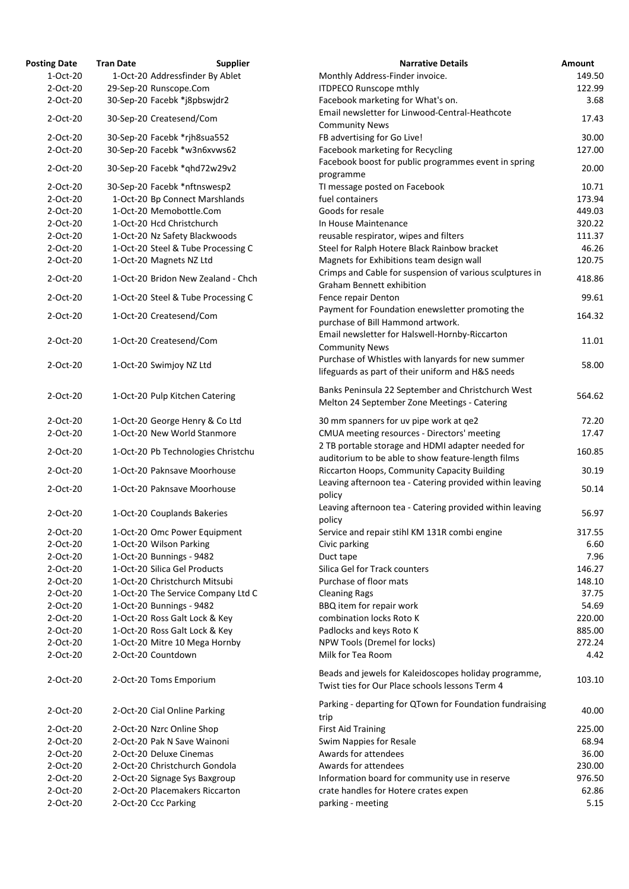| <b>Posting Date</b> | <b>Tran Date</b>             | <b>Supplier</b>                    | <b>Narrative Details</b>                                                                                 | Amount |
|---------------------|------------------------------|------------------------------------|----------------------------------------------------------------------------------------------------------|--------|
| 1-Oct-20            |                              | 1-Oct-20 Addressfinder By Ablet    | Monthly Address-Finder invoice.                                                                          | 149.50 |
| 2-Oct-20            | 29-Sep-20 Runscope.Com       |                                    | <b>ITDPECO Runscope mthly</b>                                                                            | 122.99 |
| 2-Oct-20            | 30-Sep-20 Facebk *j8pbswjdr2 |                                    | Facebook marketing for What's on.                                                                        | 3.68   |
| 2-Oct-20            | 30-Sep-20 Createsend/Com     |                                    | Email newsletter for Linwood-Central-Heathcote<br><b>Community News</b>                                  | 17.43  |
| 2-Oct-20            | 30-Sep-20 Facebk *rjh8sua552 |                                    | FB advertising for Go Live!                                                                              | 30.00  |
| 2-Oct-20            | 30-Sep-20 Facebk *w3n6xvws62 |                                    | Facebook marketing for Recycling                                                                         | 127.00 |
| 2-Oct-20            | 30-Sep-20 Facebk *qhd72w29v2 |                                    | Facebook boost for public programmes event in spring                                                     | 20.00  |
|                     |                              |                                    | programme                                                                                                |        |
| 2-Oct-20            | 30-Sep-20 Facebk *nftnswesp2 |                                    | TI message posted on Facebook<br>fuel containers                                                         | 10.71  |
| 2-Oct-20            |                              | 1-Oct-20 Bp Connect Marshlands     |                                                                                                          | 173.94 |
| 2-Oct-20            | 1-Oct-20 Memobottle.Com      |                                    | Goods for resale                                                                                         | 449.03 |
| 2-Oct-20            | 1-Oct-20 Hcd Christchurch    |                                    | In House Maintenance                                                                                     | 320.22 |
| 2-Oct-20            |                              | 1-Oct-20 Nz Safety Blackwoods      | reusable respirator, wipes and filters                                                                   | 111.37 |
| $2$ -Oct-20         |                              | 1-Oct-20 Steel & Tube Processing C | Steel for Ralph Hotere Black Rainbow bracket                                                             | 46.26  |
| 2-Oct-20            | 1-Oct-20 Magnets NZ Ltd      |                                    | Magnets for Exhibitions team design wall<br>Crimps and Cable for suspension of various sculptures in     | 120.75 |
| 2-Oct-20            |                              | 1-Oct-20 Bridon New Zealand - Chch | <b>Graham Bennett exhibition</b>                                                                         | 418.86 |
| 2-Oct-20            |                              | 1-Oct-20 Steel & Tube Processing C | Fence repair Denton                                                                                      | 99.61  |
| 2-Oct-20            | 1-Oct-20 Createsend/Com      |                                    | Payment for Foundation enewsletter promoting the                                                         | 164.32 |
|                     |                              |                                    | purchase of Bill Hammond artwork.                                                                        |        |
| 2-Oct-20            | 1-Oct-20 Createsend/Com      |                                    | Email newsletter for Halswell-Hornby-Riccarton<br><b>Community News</b>                                  | 11.01  |
|                     |                              |                                    | Purchase of Whistles with lanyards for new summer                                                        |        |
| 2-Oct-20            | 1-Oct-20 Swimjoy NZ Ltd      |                                    | lifeguards as part of their uniform and H&S needs                                                        | 58.00  |
| 2-Oct-20            |                              | 1-Oct-20 Pulp Kitchen Catering     | Banks Peninsula 22 September and Christchurch West                                                       | 564.62 |
|                     |                              |                                    | Melton 24 September Zone Meetings - Catering                                                             |        |
| 2-Oct-20            |                              | 1-Oct-20 George Henry & Co Ltd     | 30 mm spanners for uv pipe work at ge2                                                                   | 72.20  |
| 2-Oct-20            |                              | 1-Oct-20 New World Stanmore        | CMUA meeting resources - Directors' meeting                                                              | 17.47  |
| 2-Oct-20            |                              | 1-Oct-20 Pb Technologies Christchu | 2 TB portable storage and HDMI adapter needed for<br>auditorium to be able to show feature-length films  | 160.85 |
| 2-Oct-20            |                              | 1-Oct-20 Paknsave Moorhouse        | Riccarton Hoops, Community Capacity Building                                                             | 30.19  |
| 2-Oct-20            |                              | 1-Oct-20 Paknsave Moorhouse        | Leaving afternoon tea - Catering provided within leaving                                                 | 50.14  |
| 2-Oct-20            | 1-Oct-20 Couplands Bakeries  |                                    | policy<br>Leaving afternoon tea - Catering provided within leaving<br>policy                             | 56.97  |
| 2-Oct-20            |                              | 1-Oct-20 Omc Power Equipment       | Service and repair stihl KM 131R combi engine                                                            | 317.55 |
| 2-Oct-20            | 1-Oct-20 Wilson Parking      |                                    | Civic parking                                                                                            | 6.60   |
| 2-Oct-20            | 1-Oct-20 Bunnings - 9482     |                                    | Duct tape                                                                                                | 7.96   |
| 2-Oct-20            | 1-Oct-20 Silica Gel Products |                                    | Silica Gel for Track counters                                                                            | 146.27 |
| 2-Oct-20            |                              | 1-Oct-20 Christchurch Mitsubi      | Purchase of floor mats                                                                                   | 148.10 |
| 2-Oct-20            |                              | 1-Oct-20 The Service Company Ltd C | <b>Cleaning Rags</b>                                                                                     | 37.75  |
| 2-Oct-20            | 1-Oct-20 Bunnings - 9482     |                                    | BBQ item for repair work                                                                                 | 54.69  |
| 2-Oct-20            |                              | 1-Oct-20 Ross Galt Lock & Key      | combination locks Roto K                                                                                 | 220.00 |
| 2-Oct-20            |                              | 1-Oct-20 Ross Galt Lock & Key      | Padlocks and keys Roto K                                                                                 | 885.00 |
| 2-Oct-20            |                              | 1-Oct-20 Mitre 10 Mega Hornby      | NPW Tools (Dremel for locks)                                                                             | 272.24 |
| 2-Oct-20            | 2-Oct-20 Countdown           |                                    | Milk for Tea Room                                                                                        | 4.42   |
| 2-Oct-20            | 2-Oct-20 Toms Emporium       |                                    | Beads and jewels for Kaleidoscopes holiday programme,<br>Twist ties for Our Place schools lessons Term 4 | 103.10 |
| 2-Oct-20            | 2-Oct-20 Cial Online Parking |                                    | Parking - departing for QTown for Foundation fundraising<br>trip                                         | 40.00  |
| 2-Oct-20            | 2-Oct-20 Nzrc Online Shop    |                                    | <b>First Aid Training</b>                                                                                | 225.00 |
| 2-Oct-20            | 2-Oct-20 Pak N Save Wainoni  |                                    | Swim Nappies for Resale                                                                                  | 68.94  |
| 2-Oct-20            | 2-Oct-20 Deluxe Cinemas      |                                    | Awards for attendees                                                                                     | 36.00  |
| 2-Oct-20            |                              | 2-Oct-20 Christchurch Gondola      | Awards for attendees                                                                                     | 230.00 |
| 2-Oct-20            |                              | 2-Oct-20 Signage Sys Baxgroup      | Information board for community use in reserve                                                           | 976.50 |
| 2-Oct-20            |                              | 2-Oct-20 Placemakers Riccarton     | crate handles for Hotere crates expen                                                                    | 62.86  |
| 2-Oct-20            | 2-Oct-20 Ccc Parking         |                                    | parking - meeting                                                                                        | 5.15   |
|                     |                              |                                    |                                                                                                          |        |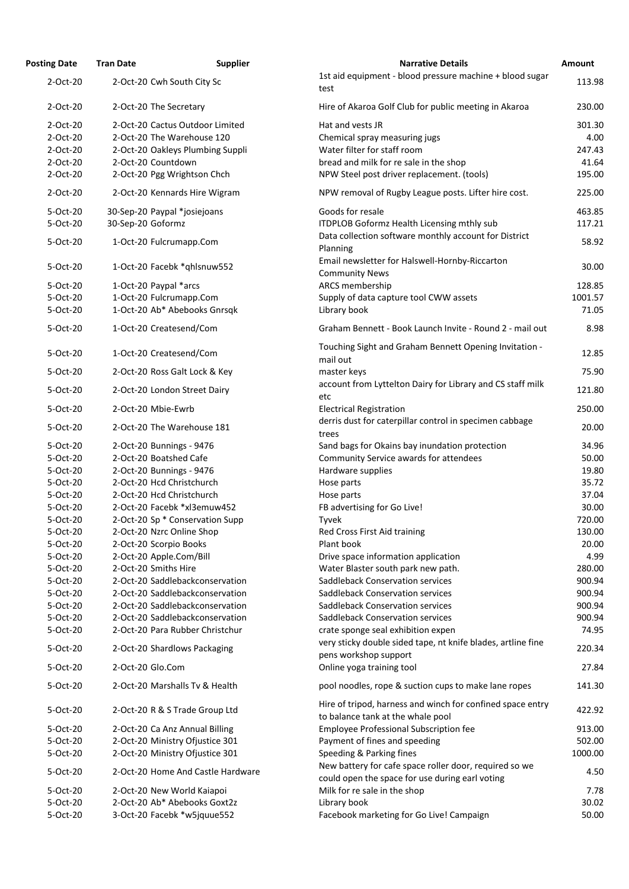| <b>Posting Date</b> | <b>Tran Date</b>                  | <b>Supplier</b> | <b>Narrative Details</b>                                                                                  | <b>Amount</b> |
|---------------------|-----------------------------------|-----------------|-----------------------------------------------------------------------------------------------------------|---------------|
| 2-Oct-20            | 2-Oct-20 Cwh South City Sc        |                 | 1st aid equipment - blood pressure machine + blood sugar<br>test                                          | 113.98        |
| 2-Oct-20            | 2-Oct-20 The Secretary            |                 | Hire of Akaroa Golf Club for public meeting in Akaroa                                                     | 230.00        |
| 2-Oct-20            | 2-Oct-20 Cactus Outdoor Limited   |                 | Hat and vests JR                                                                                          |               |
|                     |                                   |                 |                                                                                                           | 301.30        |
| 2-Oct-20            | 2-Oct-20 The Warehouse 120        |                 | Chemical spray measuring jugs                                                                             | 4.00          |
| 2-Oct-20            | 2-Oct-20 Oakleys Plumbing Suppli  |                 | Water filter for staff room                                                                               | 247.43        |
| 2-Oct-20            | 2-Oct-20 Countdown                |                 | bread and milk for re sale in the shop                                                                    | 41.64         |
| 2-Oct-20            | 2-Oct-20 Pgg Wrightson Chch       |                 | NPW Steel post driver replacement. (tools)                                                                | 195.00        |
| 2-Oct-20            | 2-Oct-20 Kennards Hire Wigram     |                 | NPW removal of Rugby League posts. Lifter hire cost.                                                      | 225.00        |
| 5-Oct-20            | 30-Sep-20 Paypal *josiejoans      |                 | Goods for resale                                                                                          | 463.85        |
| 5-Oct-20            | 30-Sep-20 Goformz                 |                 | ITDPLOB Goformz Health Licensing mthly sub                                                                | 117.21        |
| 5-Oct-20            | 1-Oct-20 Fulcrumapp.Com           |                 | Data collection software monthly account for District<br>Planning                                         | 58.92         |
| 5-Oct-20            | 1-Oct-20 Facebk *qhlsnuw552       |                 | Email newsletter for Halswell-Hornby-Riccarton<br><b>Community News</b>                                   | 30.00         |
| 5-Oct-20            | 1-Oct-20 Paypal *arcs             |                 | ARCS membership                                                                                           | 128.85        |
| 5-Oct-20            | 1-Oct-20 Fulcrumapp.Com           |                 | Supply of data capture tool CWW assets                                                                    | 1001.57       |
| 5-Oct-20            | 1-Oct-20 Ab* Abebooks Gnrsqk      |                 | Library book                                                                                              | 71.05         |
| 5-Oct-20            |                                   |                 | Graham Bennett - Book Launch Invite - Round 2 - mail out                                                  | 8.98          |
|                     | 1-Oct-20 Createsend/Com           |                 |                                                                                                           |               |
| 5-Oct-20            | 1-Oct-20 Createsend/Com           |                 | Touching Sight and Graham Bennett Opening Invitation -<br>mail out                                        | 12.85         |
| 5-Oct-20            | 2-Oct-20 Ross Galt Lock & Key     |                 | master keys                                                                                               | 75.90         |
| 5-Oct-20            | 2-Oct-20 London Street Dairy      |                 | account from Lyttelton Dairy for Library and CS staff milk<br>etc                                         | 121.80        |
| 5-Oct-20            | 2-Oct-20 Mbie-Ewrb                |                 | <b>Electrical Registration</b>                                                                            | 250.00        |
| 5-Oct-20            | 2-Oct-20 The Warehouse 181        |                 | derris dust for caterpillar control in specimen cabbage<br>trees                                          | 20.00         |
| 5-Oct-20            | 2-Oct-20 Bunnings - 9476          |                 | Sand bags for Okains bay inundation protection                                                            | 34.96         |
| 5-Oct-20            | 2-Oct-20 Boatshed Cafe            |                 | Community Service awards for attendees                                                                    | 50.00         |
| 5-Oct-20            | 2-Oct-20 Bunnings - 9476          |                 | Hardware supplies                                                                                         | 19.80         |
| 5-Oct-20            | 2-Oct-20 Hcd Christchurch         |                 | Hose parts                                                                                                | 35.72         |
| 5-Oct-20            | 2-Oct-20 Hcd Christchurch         |                 | Hose parts                                                                                                | 37.04         |
| 5-Oct-20            | 2-Oct-20 Facebk *xl3emuw452       |                 | FB advertising for Go Live!                                                                               | 30.00         |
| 5-Oct-20            | 2-Oct-20 Sp * Conservation Supp   |                 | Tyvek                                                                                                     | 720.00        |
| 5-Oct-20            | 2-Oct-20 Nzrc Online Shop         |                 | Red Cross First Aid training                                                                              | 130.00        |
| 5-Oct-20            | 2-Oct-20 Scorpio Books            |                 | Plant book                                                                                                | 20.00         |
| 5-Oct-20            | 2-Oct-20 Apple.Com/Bill           |                 | Drive space information application                                                                       | 4.99          |
| 5-Oct-20            | 2-Oct-20 Smiths Hire              |                 |                                                                                                           | 280.00        |
|                     |                                   |                 | Water Blaster south park new path.                                                                        |               |
| 5-Oct-20            | 2-Oct-20 Saddlebackconservation   |                 | <b>Saddleback Conservation services</b>                                                                   | 900.94        |
| 5-Oct-20            | 2-Oct-20 Saddlebackconservation   |                 | <b>Saddleback Conservation services</b>                                                                   | 900.94        |
| 5-Oct-20            | 2-Oct-20 Saddlebackconservation   |                 | <b>Saddleback Conservation services</b>                                                                   | 900.94        |
| 5-Oct-20            | 2-Oct-20 Saddlebackconservation   |                 | <b>Saddleback Conservation services</b>                                                                   | 900.94        |
| 5-Oct-20            | 2-Oct-20 Para Rubber Christchur   |                 | crate sponge seal exhibition expen                                                                        | 74.95         |
| 5-Oct-20            | 2-Oct-20 Shardlows Packaging      |                 | very sticky double sided tape, nt knife blades, artline fine<br>pens workshop support                     | 220.34        |
| 5-Oct-20            | 2-Oct-20 Glo.Com                  |                 | Online yoga training tool                                                                                 | 27.84         |
| 5-Oct-20            | 2-Oct-20 Marshalls Tv & Health    |                 | pool noodles, rope & suction cups to make lane ropes                                                      | 141.30        |
| 5-Oct-20            | 2-Oct-20 R & S Trade Group Ltd    |                 | Hire of tripod, harness and winch for confined space entry<br>to balance tank at the whale pool           | 422.92        |
| 5-Oct-20            | 2-Oct-20 Ca Anz Annual Billing    |                 | <b>Employee Professional Subscription fee</b>                                                             | 913.00        |
| 5-Oct-20            | 2-Oct-20 Ministry Ofjustice 301   |                 | Payment of fines and speeding                                                                             | 502.00        |
| 5-Oct-20            | 2-Oct-20 Ministry Ofjustice 301   |                 | Speeding & Parking fines                                                                                  | 1000.00       |
| 5-Oct-20            | 2-Oct-20 Home And Castle Hardware |                 | New battery for cafe space roller door, required so we<br>could open the space for use during earl voting | 4.50          |
| 5-Oct-20            | 2-Oct-20 New World Kaiapoi        |                 | Milk for re sale in the shop                                                                              | 7.78          |
| 5-Oct-20            | 2-Oct-20 Ab* Abebooks Goxt2z      |                 | Library book                                                                                              | 30.02         |
| 5-Oct-20            | 3-Oct-20 Facebk *w5jquue552       |                 | Facebook marketing for Go Live! Campaign                                                                  | 50.00         |
|                     |                                   |                 |                                                                                                           |               |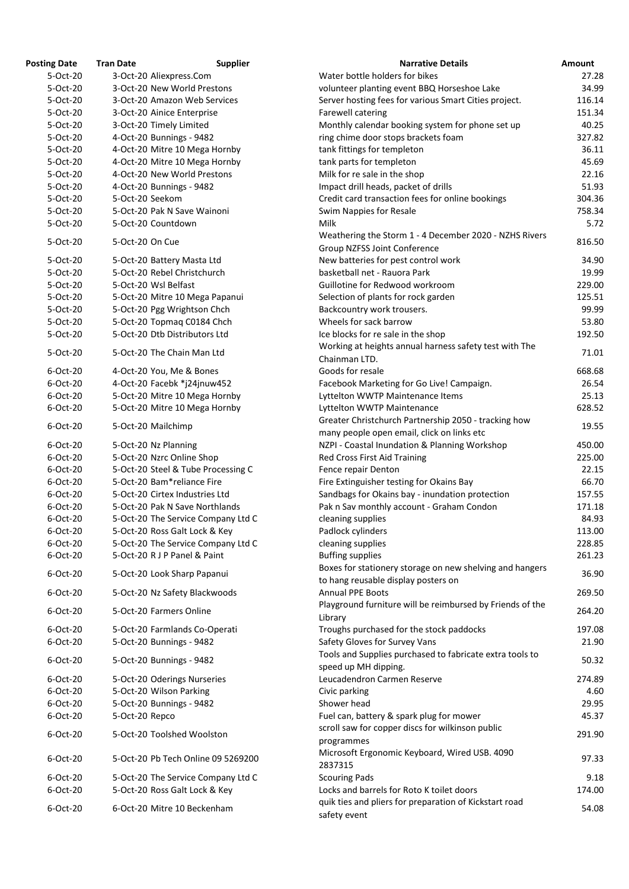| <b>osting Date</b> | <b>Tran Date</b> | <b>Supplier</b>                    | <b>Narrative Details</b>                                |
|--------------------|------------------|------------------------------------|---------------------------------------------------------|
| 5-Oct-20           |                  | 3-Oct-20 Aliexpress.Com            | Water bottle holders for bikes                          |
| 5-Oct-20           |                  | 3-Oct-20 New World Prestons        | volunteer planting event BBQ Horseshoe Lake             |
| 5-Oct-20           |                  | 3-Oct-20 Amazon Web Services       | Server hosting fees for various Smart Cities project.   |
| 5-Oct-20           |                  | 3-Oct-20 Ainice Enterprise         | Farewell catering                                       |
| 5-Oct-20           |                  | 3-Oct-20 Timely Limited            | Monthly calendar booking system for phone set up        |
| 5-Oct-20           |                  | 4-Oct-20 Bunnings - 9482           | ring chime door stops brackets foam                     |
| 5-Oct-20           |                  | 4-Oct-20 Mitre 10 Mega Hornby      | tank fittings for templeton                             |
| 5-Oct-20           |                  | 4-Oct-20 Mitre 10 Mega Hornby      | tank parts for templeton                                |
| 5-Oct-20           |                  | 4-Oct-20 New World Prestons        | Milk for re sale in the shop                            |
| 5-Oct-20           |                  | 4-Oct-20 Bunnings - 9482           | Impact drill heads, packet of drills                    |
| 5-Oct-20           | 5-Oct-20 Seekom  |                                    | Credit card transaction fees for online bookings        |
| 5-Oct-20           |                  | 5-Oct-20 Pak N Save Wainoni        | Swim Nappies for Resale                                 |
| 5-Oct-20           |                  | 5-Oct-20 Countdown                 | <b>Milk</b>                                             |
| 5-Oct-20           | 5-Oct-20 On Cue  |                                    | Weathering the Storm 1 - 4 December 2020 - NZHS Riv     |
|                    |                  |                                    | <b>Group NZFSS Joint Conference</b>                     |
| 5-Oct-20           |                  | 5-Oct-20 Battery Masta Ltd         | New batteries for pest control work                     |
| 5-Oct-20           |                  | 5-Oct-20 Rebel Christchurch        | basketball net - Rauora Park                            |
| 5-Oct-20           |                  | 5-Oct-20 Wsl Belfast               | Guillotine for Redwood workroom                         |
| 5-Oct-20           |                  | 5-Oct-20 Mitre 10 Mega Papanui     | Selection of plants for rock garden                     |
| 5-Oct-20           |                  | 5-Oct-20 Pgg Wrightson Chch        | Backcountry work trousers.                              |
| 5-Oct-20           |                  | 5-Oct-20 Topmaq C0184 Chch         | Wheels for sack barrow                                  |
| 5-Oct-20           |                  | 5-Oct-20 Dtb Distributors Ltd      | Ice blocks for re sale in the shop                      |
|                    |                  |                                    | Working at heights annual harness safety test with Th   |
| 5-Oct-20           |                  | 5-Oct-20 The Chain Man Ltd         | Chainman LTD.                                           |
| 6-Oct-20           |                  | 4-Oct-20 You, Me & Bones           | Goods for resale                                        |
| 6-Oct-20           |                  | 4-Oct-20 Facebk *j24jnuw452        | Facebook Marketing for Go Live! Campaign.               |
| 6-Oct-20           |                  | 5-Oct-20 Mitre 10 Mega Hornby      | Lyttelton WWTP Maintenance Items                        |
| 6-Oct-20           |                  | 5-Oct-20 Mitre 10 Mega Hornby      | Lyttelton WWTP Maintenance                              |
|                    |                  |                                    | Greater Christchurch Partnership 2050 - tracking how    |
| 6-Oct-20           |                  | 5-Oct-20 Mailchimp                 | many people open email, click on links etc              |
| 6-Oct-20           |                  | 5-Oct-20 Nz Planning               | NZPI - Coastal Inundation & Planning Workshop           |
| $6$ -Oct-20        |                  | 5-Oct-20 Nzrc Online Shop          | <b>Red Cross First Aid Training</b>                     |
| 6-Oct-20           |                  | 5-Oct-20 Steel & Tube Processing C | Fence repair Denton                                     |
| 6-Oct-20           |                  | 5-Oct-20 Bam*reliance Fire         | Fire Extinguisher testing for Okains Bay                |
| 6-Oct-20           |                  | 5-Oct-20 Cirtex Industries Ltd     | Sandbags for Okains bay - inundation protection         |
| 6-Oct-20           |                  | 5-Oct-20 Pak N Save Northlands     | Pak n Sav monthly account - Graham Condon               |
| 6-Oct-20           |                  | 5-Oct-20 The Service Company Ltd C | cleaning supplies                                       |
| 6-Oct-20           |                  | 5-Oct-20 Ross Galt Lock & Key      | Padlock cylinders                                       |
| 6-Oct-20           |                  | 5-Oct-20 The Service Company Ltd C | cleaning supplies                                       |
| 6-Oct-20           |                  | 5-Oct-20 R J P Panel & Paint       | <b>Buffing supplies</b>                                 |
|                    |                  |                                    | Boxes for stationery storage on new shelving and hang   |
| 6-Oct-20           |                  | 5-Oct-20 Look Sharp Papanui        | to hang reusable display posters on                     |
| 6-Oct-20           |                  | 5-Oct-20 Nz Safety Blackwoods      | <b>Annual PPE Boots</b>                                 |
|                    |                  |                                    | Playground furniture will be reimbursed by Friends of   |
| 6-Oct-20           |                  | 5-Oct-20 Farmers Online            | Library                                                 |
| 6-Oct-20           |                  | 5-Oct-20 Farmlands Co-Operati      | Troughs purchased for the stock paddocks                |
| 6-Oct-20           |                  | 5-Oct-20 Bunnings - 9482           | Safety Gloves for Survey Vans                           |
|                    |                  |                                    | Tools and Supplies purchased to fabricate extra tools t |
| 6-Oct-20           |                  | 5-Oct-20 Bunnings - 9482           | speed up MH dipping.                                    |
| 6-Oct-20           |                  | 5-Oct-20 Oderings Nurseries        | Leucadendron Carmen Reserve                             |
| 6-Oct-20           |                  | 5-Oct-20 Wilson Parking            | Civic parking                                           |
| 6-Oct-20           |                  | 5-Oct-20 Bunnings - 9482           | Shower head                                             |
| 6-Oct-20           | 5-Oct-20 Repco   |                                    | Fuel can, battery & spark plug for mower                |
|                    |                  |                                    | scroll saw for copper discs for wilkinson public        |
| 6-Oct-20           |                  | 5-Oct-20 Toolshed Woolston         | programmes                                              |
|                    |                  |                                    | Microsoft Ergonomic Keyboard, Wired USB. 4090           |
| 6-Oct-20           |                  | 5-Oct-20 Pb Tech Online 09 5269200 | 2837315                                                 |
| 6-Oct-20           |                  | 5-Oct-20 The Service Company Ltd C | <b>Scouring Pads</b>                                    |
| 6-Oct-20           |                  | 5-Oct-20 Ross Galt Lock & Key      | Locks and barrels for Roto K toilet doors               |
|                    |                  |                                    | quik ties and pliers for preparation of Kickstart road  |
| 6-Oct-20           |                  | 6-Oct-20 Mitre 10 Beckenham        |                                                         |

| <b>Posting Date</b> | <b>Tran Date</b>     | <b>Supplier</b>                    | <b>Narrative Details</b>                                  | <b>Amount</b> |
|---------------------|----------------------|------------------------------------|-----------------------------------------------------------|---------------|
| 5-Oct-20            |                      | 3-Oct-20 Aliexpress.Com            | Water bottle holders for bikes                            | 27.28         |
| 5-Oct-20            |                      | 3-Oct-20 New World Prestons        | volunteer planting event BBQ Horseshoe Lake               | 34.99         |
| 5-Oct-20            |                      | 3-Oct-20 Amazon Web Services       | Server hosting fees for various Smart Cities project.     | 116.14        |
| 5-Oct-20            |                      | 3-Oct-20 Ainice Enterprise         | Farewell catering                                         | 151.34        |
| 5-Oct-20            |                      | 3-Oct-20 Timely Limited            | Monthly calendar booking system for phone set up          | 40.25         |
| 5-Oct-20            |                      | 4-Oct-20 Bunnings - 9482           | ring chime door stops brackets foam                       | 327.82        |
| 5-Oct-20            |                      | 4-Oct-20 Mitre 10 Mega Hornby      | tank fittings for templeton                               | 36.11         |
| 5-Oct-20            |                      | 4-Oct-20 Mitre 10 Mega Hornby      | tank parts for templeton                                  | 45.69         |
| 5-Oct-20            |                      | 4-Oct-20 New World Prestons        | Milk for re sale in the shop                              | 22.16         |
| 5-Oct-20            |                      | 4-Oct-20 Bunnings - 9482           | Impact drill heads, packet of drills                      | 51.93         |
| 5-Oct-20            | 5-Oct-20 Seekom      |                                    | Credit card transaction fees for online bookings          | 304.36        |
| 5-Oct-20            |                      | 5-Oct-20 Pak N Save Wainoni        | Swim Nappies for Resale                                   | 758.34        |
| 5-Oct-20            | 5-Oct-20 Countdown   |                                    | Milk                                                      | 5.72          |
|                     |                      |                                    | Weathering the Storm 1 - 4 December 2020 - NZHS Rivers    |               |
| 5-Oct-20            | 5-Oct-20 On Cue      |                                    | <b>Group NZFSS Joint Conference</b>                       | 816.50        |
| 5-Oct-20            |                      | 5-Oct-20 Battery Masta Ltd         | New batteries for pest control work                       | 34.90         |
| 5-Oct-20            |                      | 5-Oct-20 Rebel Christchurch        | basketball net - Rauora Park                              | 19.99         |
| 5-Oct-20            | 5-Oct-20 Wsl Belfast |                                    | Guillotine for Redwood workroom                           | 229.00        |
| 5-Oct-20            |                      | 5-Oct-20 Mitre 10 Mega Papanui     | Selection of plants for rock garden                       | 125.51        |
| 5-Oct-20            |                      | 5-Oct-20 Pgg Wrightson Chch        | Backcountry work trousers.                                | 99.99         |
| 5-Oct-20            |                      | 5-Oct-20 Topmag C0184 Chch         | Wheels for sack barrow                                    | 53.80         |
| 5-Oct-20            |                      | 5-Oct-20 Dtb Distributors Ltd      | Ice blocks for re sale in the shop                        | 192.50        |
|                     |                      |                                    | Working at heights annual harness safety test with The    |               |
| 5-Oct-20            |                      | 5-Oct-20 The Chain Man Ltd         | Chainman LTD.                                             | 71.01         |
| 6-Oct-20            |                      | 4-Oct-20 You, Me & Bones           | Goods for resale                                          | 668.68        |
| 6-Oct-20            |                      | 4-Oct-20 Facebk *j24jnuw452        | Facebook Marketing for Go Live! Campaign.                 | 26.54         |
| 6-Oct-20            |                      | 5-Oct-20 Mitre 10 Mega Hornby      | Lyttelton WWTP Maintenance Items                          | 25.13         |
| 6-Oct-20            |                      | 5-Oct-20 Mitre 10 Mega Hornby      | Lyttelton WWTP Maintenance                                | 628.52        |
|                     |                      |                                    | Greater Christchurch Partnership 2050 - tracking how      |               |
| 6-Oct-20            | 5-Oct-20 Mailchimp   |                                    | many people open email, click on links etc                | 19.55         |
| 6-Oct-20            | 5-Oct-20 Nz Planning |                                    | NZPI - Coastal Inundation & Planning Workshop             | 450.00        |
| 6-Oct-20            |                      | 5-Oct-20 Nzrc Online Shop          | <b>Red Cross First Aid Training</b>                       | 225.00        |
| 6-Oct-20            |                      | 5-Oct-20 Steel & Tube Processing C | Fence repair Denton                                       | 22.15         |
| 6-Oct-20            |                      | 5-Oct-20 Bam*reliance Fire         | Fire Extinguisher testing for Okains Bay                  | 66.70         |
| 6-Oct-20            |                      | 5-Oct-20 Cirtex Industries Ltd     | Sandbags for Okains bay - inundation protection           | 157.55        |
| 6-Oct-20            |                      | 5-Oct-20 Pak N Save Northlands     | Pak n Sav monthly account - Graham Condon                 | 171.18        |
| 6-Oct-20            |                      | 5-Oct-20 The Service Company Ltd C | cleaning supplies                                         | 84.93         |
| 6-Oct-20            |                      | 5-Oct-20 Ross Galt Lock & Key      | Padlock cylinders                                         | 113.00        |
| 6-Oct-20            |                      | 5-Oct-20 The Service Company Ltd C | cleaning supplies                                         | 228.85        |
| 6-Oct-20            |                      | 5-Oct-20 R J P Panel & Paint       | <b>Buffing supplies</b>                                   | 261.23        |
|                     |                      |                                    | Boxes for stationery storage on new shelving and hangers  |               |
| 6-Oct-20            |                      | 5-Oct-20 Look Sharp Papanui        | to hang reusable display posters on                       | 36.90         |
| 6-Oct-20            |                      | 5-Oct-20 Nz Safety Blackwoods      | <b>Annual PPE Boots</b>                                   | 269.50        |
|                     |                      |                                    | Playground furniture will be reimbursed by Friends of the |               |
| 6-Oct-20            |                      | 5-Oct-20 Farmers Online            | Library                                                   | 264.20        |
| 6-Oct-20            |                      | 5-Oct-20 Farmlands Co-Operati      | Troughs purchased for the stock paddocks                  | 197.08        |
| 6-Oct-20            |                      | 5-Oct-20 Bunnings - 9482           | Safety Gloves for Survey Vans                             | 21.90         |
|                     |                      |                                    | Tools and Supplies purchased to fabricate extra tools to  |               |
| 6-Oct-20            |                      | 5-Oct-20 Bunnings - 9482           | speed up MH dipping.                                      | 50.32         |
| 6-Oct-20            |                      | 5-Oct-20 Oderings Nurseries        | Leucadendron Carmen Reserve                               | 274.89        |
| 6-Oct-20            |                      | 5-Oct-20 Wilson Parking            | Civic parking                                             | 4.60          |
| 6-Oct-20            |                      | 5-Oct-20 Bunnings - 9482           | Shower head                                               | 29.95         |
| 6-Oct-20            | 5-Oct-20 Repco       |                                    | Fuel can, battery & spark plug for mower                  | 45.37         |
|                     |                      |                                    | scroll saw for copper discs for wilkinson public          |               |
| 6-Oct-20            |                      | 5-Oct-20 Toolshed Woolston         | programmes                                                | 291.90        |
|                     |                      |                                    | Microsoft Ergonomic Keyboard, Wired USB. 4090             |               |
| 6-Oct-20            |                      | 5-Oct-20 Pb Tech Online 09 5269200 | 2837315                                                   | 97.33         |
| 6-Oct-20            |                      | 5-Oct-20 The Service Company Ltd C | <b>Scouring Pads</b>                                      | 9.18          |
| 6-Oct-20            |                      | 5-Oct-20 Ross Galt Lock & Key      | Locks and barrels for Roto K toilet doors                 | 174.00        |
| 6-Oct-20            |                      | 6-Oct-20 Mitre 10 Beckenham        | quik ties and pliers for preparation of Kickstart road    |               |
|                     |                      |                                    | safety event                                              | 54.08         |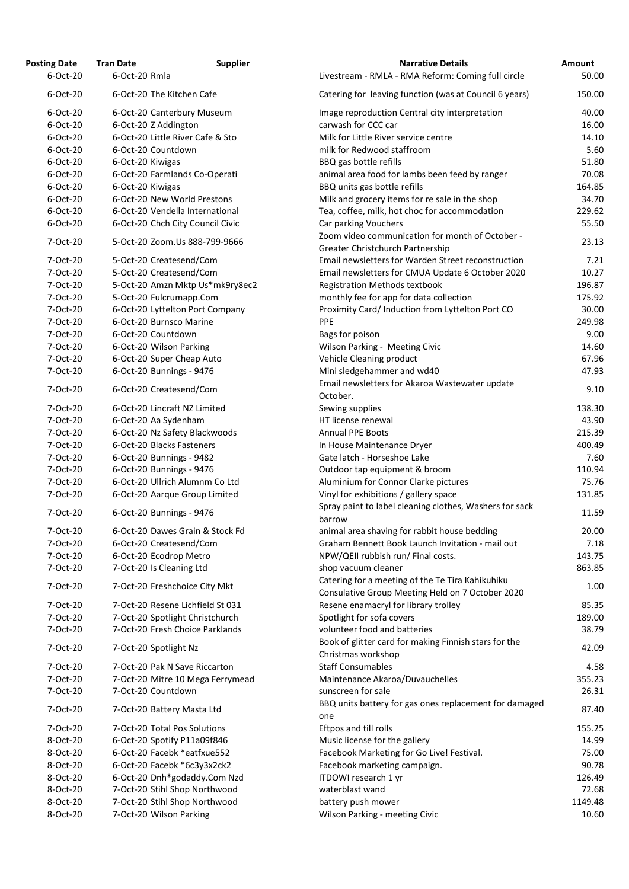| <b>Posting Date</b> | <b>Tran Date</b>                 | <b>Supplier</b> | <b>Narrative Details</b>                                                               |
|---------------------|----------------------------------|-----------------|----------------------------------------------------------------------------------------|
| $6$ -Oct-20         | 6-Oct-20 Rmla                    |                 | Livestream - RMLA - RMA Reform: Coming full circle                                     |
| 6-Oct-20            | 6-Oct-20 The Kitchen Cafe        |                 | Catering for leaving function (was at Council 6 years                                  |
| 6-Oct-20            | 6-Oct-20 Canterbury Museum       |                 | Image reproduction Central city interpretation                                         |
| 6-Oct-20            | 6-Oct-20 Z Addington             |                 | carwash for CCC car                                                                    |
| 6-Oct-20            | 6-Oct-20 Little River Cafe & Sto |                 | Milk for Little River service centre                                                   |
| $6$ -Oct-20         | 6-Oct-20 Countdown               |                 | milk for Redwood staffroom                                                             |
| 6-Oct-20            | 6-Oct-20 Kiwigas                 |                 | BBQ gas bottle refills                                                                 |
| 6-Oct-20            | 6-Oct-20 Farmlands Co-Operati    |                 | animal area food for lambs been feed by ranger                                         |
| 6-Oct-20            | 6-Oct-20 Kiwigas                 |                 | BBQ units gas bottle refills                                                           |
| 6-Oct-20            | 6-Oct-20 New World Prestons      |                 | Milk and grocery items for re sale in the shop                                         |
| 6-Oct-20            | 6-Oct-20 Vendella International  |                 | Tea, coffee, milk, hot choc for accommodation                                          |
| 6-Oct-20            | 6-Oct-20 Chch City Council Civic |                 | Car parking Vouchers                                                                   |
| 7-Oct-20            | 5-Oct-20 Zoom.Us 888-799-9666    |                 | Zoom video communication for month of October -                                        |
|                     |                                  |                 | Greater Christchurch Partnership<br>Email newsletters for Warden Street reconstruction |
| 7-Oct-20            | 5-Oct-20 Createsend/Com          |                 |                                                                                        |
| 7-Oct-20            | 5-Oct-20 Createsend/Com          |                 | Email newsletters for CMUA Update 6 October 2020                                       |
| 7-Oct-20            | 5-Oct-20 Amzn Mktp Us*mk9ry8ec2  |                 | <b>Registration Methods textbook</b>                                                   |
| 7-Oct-20            | 5-Oct-20 Fulcrumapp.Com          |                 | monthly fee for app for data collection                                                |
| 7-Oct-20            | 6-Oct-20 Lyttelton Port Company  |                 | Proximity Card/ Induction from Lyttelton Port CO                                       |
| 7-Oct-20            | 6-Oct-20 Burnsco Marine          |                 | <b>PPE</b>                                                                             |
| 7-Oct-20            | 6-Oct-20 Countdown               |                 | Bags for poison                                                                        |
| 7-Oct-20            | 6-Oct-20 Wilson Parking          |                 | Wilson Parking - Meeting Civic                                                         |
| 7-Oct-20            | 6-Oct-20 Super Cheap Auto        |                 | Vehicle Cleaning product                                                               |
| 7-Oct-20            | 6-Oct-20 Bunnings - 9476         |                 | Mini sledgehammer and wd40                                                             |
| 7-Oct-20            | 6-Oct-20 Createsend/Com          |                 | Email newsletters for Akaroa Wastewater update<br>October.                             |
| 7-Oct-20            | 6-Oct-20 Lincraft NZ Limited     |                 | Sewing supplies                                                                        |
| 7-Oct-20            | 6-Oct-20 Aa Sydenham             |                 | HT license renewal                                                                     |
| 7-Oct-20            | 6-Oct-20 Nz Safety Blackwoods    |                 | <b>Annual PPE Boots</b>                                                                |
| 7-Oct-20            | 6-Oct-20 Blacks Fasteners        |                 | In House Maintenance Dryer                                                             |
| 7-Oct-20            | 6-Oct-20 Bunnings - 9482         |                 | Gate latch - Horseshoe Lake                                                            |
| 7-Oct-20            | 6-Oct-20 Bunnings - 9476         |                 | Outdoor tap equipment & broom                                                          |
| 7-Oct-20            | 6-Oct-20 Ullrich Alumnm Co Ltd   |                 | Aluminium for Connor Clarke pictures                                                   |
| 7-Oct-20            | 6-Oct-20 Aarque Group Limited    |                 | Vinyl for exhibitions / gallery space                                                  |
| 7-Oct-20            | 6-Oct-20 Bunnings - 9476         |                 | Spray paint to label cleaning clothes, Washers for sa<br>barrow                        |
| 7-Oct-20            | 6-Oct-20 Dawes Grain & Stock Fd  |                 | animal area shaving for rabbit house bedding                                           |
| 7-Oct-20            | 6-Oct-20 Createsend/Com          |                 | Graham Bennett Book Launch Invitation - mail out                                       |
| 7-Oct-20            | 6-Oct-20 Ecodrop Metro           |                 | NPW/QEII rubbish run/ Final costs.                                                     |
| 7-Oct-20            | 7-Oct-20 Is Cleaning Ltd         |                 | shop vacuum cleaner                                                                    |
|                     |                                  |                 | Catering for a meeting of the Te Tira Kahikuhiku                                       |
| 7-Oct-20            | 7-Oct-20 Freshchoice City Mkt    |                 | Consulative Group Meeting Held on 7 October 2020                                       |
| 7-Oct-20            | 7-Oct-20 Resene Lichfield St 031 |                 | Resene enamacryl for library trolley                                                   |
| 7-Oct-20            | 7-Oct-20 Spotlight Christchurch  |                 | Spotlight for sofa covers                                                              |
| 7-Oct-20            | 7-Oct-20 Fresh Choice Parklands  |                 | volunteer food and batteries                                                           |
|                     |                                  |                 | Book of glitter card for making Finnish stars for the                                  |
| 7-Oct-20            | 7-Oct-20 Spotlight Nz            |                 | Christmas workshop                                                                     |
| 7-Oct-20            | 7-Oct-20 Pak N Save Riccarton    |                 | <b>Staff Consumables</b>                                                               |
| 7-Oct-20            | 7-Oct-20 Mitre 10 Mega Ferrymead |                 | Maintenance Akaroa/Duvauchelles                                                        |
| 7-Oct-20            | 7-Oct-20 Countdown               |                 | sunscreen for sale                                                                     |
|                     |                                  |                 | BBQ units battery for gas ones replacement for dam                                     |
| 7-Oct-20            | 7-Oct-20 Battery Masta Ltd       |                 | one                                                                                    |
| 7-Oct-20            | 7-Oct-20 Total Pos Solutions     |                 | Eftpos and till rolls                                                                  |
| 8-Oct-20            | 6-Oct-20 Spotify P11a09f846      |                 | Music license for the gallery                                                          |
| 8-Oct-20            | 6-Oct-20 Facebk *eatfxue552      |                 | Facebook Marketing for Go Live! Festival.                                              |
| 8-Oct-20            | 6-Oct-20 Facebk *6c3y3x2ck2      |                 | Facebook marketing campaign.                                                           |
| 8-Oct-20            | 6-Oct-20 Dnh*godaddy.Com Nzd     |                 | ITDOWI research 1 yr                                                                   |
| 8-Oct-20            | 7-Oct-20 Stihl Shop Northwood    |                 | waterblast wand                                                                        |
| 8-Oct-20            | 7-Oct-20 Stihl Shop Northwood    |                 | battery push mower                                                                     |
| 8-Oct-20            | 7-Oct-20 Wilson Parking          |                 | Wilson Parking - meeting Civic                                                         |

| <b>Posting Date</b> | <b>Tran Date</b>             | <b>Supplier</b>                  | <b>Narrative Details</b>                                                                             | Amount  |
|---------------------|------------------------------|----------------------------------|------------------------------------------------------------------------------------------------------|---------|
| 6-Oct-20            | 6-Oct-20 Rmla                |                                  | Livestream - RMLA - RMA Reform: Coming full circle                                                   | 50.00   |
| 6-Oct-20            | 6-Oct-20 The Kitchen Cafe    |                                  | Catering for leaving function (was at Council 6 years)                                               | 150.00  |
| 6-Oct-20            |                              | 6-Oct-20 Canterbury Museum       | Image reproduction Central city interpretation                                                       | 40.00   |
| 6-Oct-20            | 6-Oct-20 Z Addington         |                                  | carwash for CCC car                                                                                  | 16.00   |
| 6-Oct-20            |                              | 6-Oct-20 Little River Cafe & Sto | Milk for Little River service centre                                                                 | 14.10   |
| 6-Oct-20            | 6-Oct-20 Countdown           |                                  | milk for Redwood staffroom                                                                           | 5.60    |
| 6-Oct-20            | 6-Oct-20 Kiwigas             |                                  | BBQ gas bottle refills                                                                               | 51.80   |
| 6-Oct-20            |                              |                                  |                                                                                                      | 70.08   |
|                     |                              | 6-Oct-20 Farmlands Co-Operati    | animal area food for lambs been feed by ranger                                                       |         |
| 6-Oct-20            | 6-Oct-20 Kiwigas             |                                  | BBQ units gas bottle refills                                                                         | 164.85  |
| 6-Oct-20            |                              | 6-Oct-20 New World Prestons      | Milk and grocery items for re sale in the shop                                                       | 34.70   |
| 6-Oct-20            |                              | 6-Oct-20 Vendella International  | Tea, coffee, milk, hot choc for accommodation                                                        | 229.62  |
| 6-Oct-20            |                              | 6-Oct-20 Chch City Council Civic | Car parking Vouchers<br>Zoom video communication for month of October -                              | 55.50   |
| 7-Oct-20            |                              | 5-Oct-20 Zoom.Us 888-799-9666    | Greater Christchurch Partnership                                                                     | 23.13   |
| 7-Oct-20            | 5-Oct-20 Createsend/Com      |                                  | Email newsletters for Warden Street reconstruction                                                   | 7.21    |
| 7-Oct-20            | 5-Oct-20 Createsend/Com      |                                  | Email newsletters for CMUA Update 6 October 2020                                                     | 10.27   |
| 7-Oct-20            |                              | 5-Oct-20 Amzn Mktp Us*mk9ry8ec2  | <b>Registration Methods textbook</b>                                                                 | 196.87  |
| 7-Oct-20            | 5-Oct-20 Fulcrumapp.Com      |                                  | monthly fee for app for data collection                                                              | 175.92  |
| 7-Oct-20            |                              | 6-Oct-20 Lyttelton Port Company  | Proximity Card/ Induction from Lyttelton Port CO                                                     | 30.00   |
| 7-Oct-20            | 6-Oct-20 Burnsco Marine      |                                  | <b>PPE</b>                                                                                           | 249.98  |
| 7-Oct-20            | 6-Oct-20 Countdown           |                                  | Bags for poison                                                                                      | 9.00    |
| 7-Oct-20            | 6-Oct-20 Wilson Parking      |                                  | Wilson Parking - Meeting Civic                                                                       | 14.60   |
| 7-Oct-20            | 6-Oct-20 Super Cheap Auto    |                                  | Vehicle Cleaning product                                                                             | 67.96   |
| 7-Oct-20            | 6-Oct-20 Bunnings - 9476     |                                  | Mini sledgehammer and wd40                                                                           | 47.93   |
| 7-Oct-20            | 6-Oct-20 Createsend/Com      |                                  | Email newsletters for Akaroa Wastewater update<br>October.                                           | 9.10    |
| 7-Oct-20            | 6-Oct-20 Lincraft NZ Limited |                                  | Sewing supplies                                                                                      | 138.30  |
| 7-Oct-20            | 6-Oct-20 Aa Sydenham         |                                  | HT license renewal                                                                                   | 43.90   |
| 7-Oct-20            |                              | 6-Oct-20 Nz Safety Blackwoods    | <b>Annual PPE Boots</b>                                                                              | 215.39  |
| 7-Oct-20            | 6-Oct-20 Blacks Fasteners    |                                  | In House Maintenance Dryer                                                                           | 400.49  |
|                     |                              |                                  |                                                                                                      |         |
| 7-Oct-20            | 6-Oct-20 Bunnings - 9482     |                                  | Gate latch - Horseshoe Lake                                                                          | 7.60    |
| 7-Oct-20            | 6-Oct-20 Bunnings - 9476     |                                  | Outdoor tap equipment & broom                                                                        | 110.94  |
| 7-Oct-20            |                              | 6-Oct-20 Ullrich Alumnm Co Ltd   | Aluminium for Connor Clarke pictures                                                                 | 75.76   |
| 7-Oct-20            |                              | 6-Oct-20 Aarque Group Limited    | Vinyl for exhibitions / gallery space<br>Spray paint to label cleaning clothes, Washers for sack     | 131.85  |
| 7-Oct-20            | 6-Oct-20 Bunnings - 9476     |                                  | barrow                                                                                               | 11.59   |
| 7-Oct-20            |                              | 6-Oct-20 Dawes Grain & Stock Fd  | animal area shaving for rabbit house bedding                                                         | 20.00   |
| 7-Oct-20            | 6-Oct-20 Createsend/Com      |                                  | Graham Bennett Book Launch Invitation - mail out                                                     | 7.18    |
| 7-Oct-20            | 6-Oct-20 Ecodrop Metro       |                                  | NPW/QEII rubbish run/ Final costs.                                                                   | 143.75  |
| 7-Oct-20            | 7-Oct-20 Is Cleaning Ltd     |                                  | shop vacuum cleaner                                                                                  | 863.85  |
| 7-Oct-20            |                              | 7-Oct-20 Freshchoice City Mkt    | Catering for a meeting of the Te Tira Kahikuhiku<br>Consulative Group Meeting Held on 7 October 2020 | 1.00    |
| 7-Oct-20            |                              | 7-Oct-20 Resene Lichfield St 031 | Resene enamacryl for library trolley                                                                 | 85.35   |
| 7-Oct-20            |                              | 7-Oct-20 Spotlight Christchurch  | Spotlight for sofa covers                                                                            | 189.00  |
| 7-Oct-20            |                              | 7-Oct-20 Fresh Choice Parklands  | volunteer food and batteries                                                                         | 38.79   |
| 7-Oct-20            | 7-Oct-20 Spotlight Nz        |                                  | Book of glitter card for making Finnish stars for the                                                | 42.09   |
|                     |                              |                                  | Christmas workshop                                                                                   |         |
| 7-Oct-20            |                              | 7-Oct-20 Pak N Save Riccarton    | <b>Staff Consumables</b>                                                                             | 4.58    |
| 7-Oct-20            |                              | 7-Oct-20 Mitre 10 Mega Ferrymead | Maintenance Akaroa/Duvauchelles                                                                      | 355.23  |
| 7-Oct-20            | 7-Oct-20 Countdown           |                                  | sunscreen for sale                                                                                   | 26.31   |
| 7-Oct-20            | 7-Oct-20 Battery Masta Ltd   |                                  | BBQ units battery for gas ones replacement for damaged<br>one                                        | 87.40   |
| 7-Oct-20            | 7-Oct-20 Total Pos Solutions |                                  | Eftpos and till rolls                                                                                | 155.25  |
| 8-Oct-20            | 6-Oct-20 Spotify P11a09f846  |                                  | Music license for the gallery                                                                        | 14.99   |
| 8-Oct-20            |                              | 6-Oct-20 Facebk *eatfxue552      | Facebook Marketing for Go Live! Festival.                                                            | 75.00   |
| 8-Oct-20            |                              | 6-Oct-20 Facebk *6c3y3x2ck2      | Facebook marketing campaign.                                                                         | 90.78   |
| 8-Oct-20            |                              | 6-Oct-20 Dnh*godaddy.Com Nzd     | ITDOWI research 1 yr                                                                                 | 126.49  |
| 8-Oct-20            |                              |                                  | waterblast wand                                                                                      | 72.68   |
|                     |                              | 7-Oct-20 Stihl Shop Northwood    |                                                                                                      |         |
| 8-Oct-20            |                              | 7-Oct-20 Stihl Shop Northwood    | battery push mower                                                                                   | 1149.48 |
| 8-Oct-20            | 7-Oct-20 Wilson Parking      |                                  | Wilson Parking - meeting Civic                                                                       | 10.60   |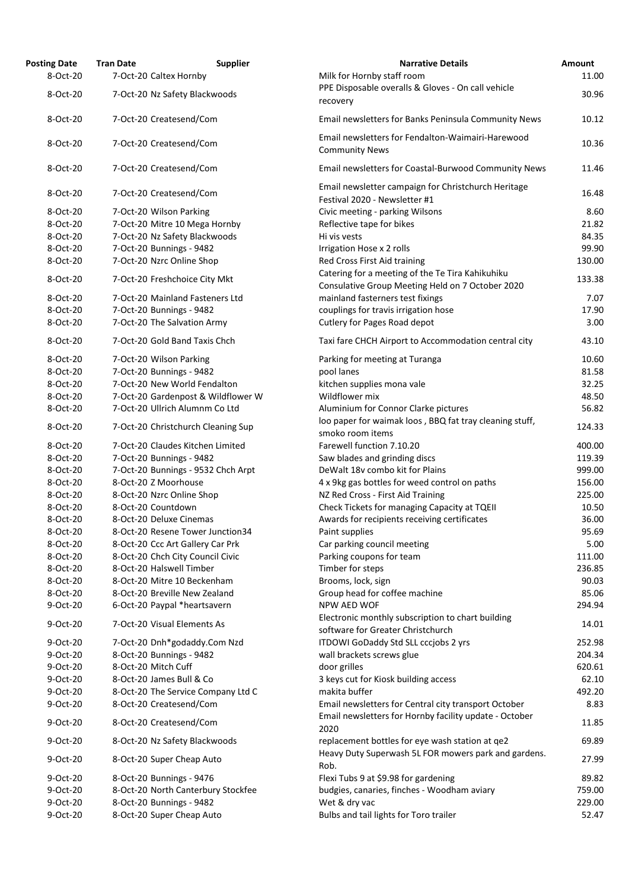| <b>Posting Date</b>  | <b>Tran Date</b> | <b>Supplier</b>                                          | <b>Narrative Details</b>                                                                     |
|----------------------|------------------|----------------------------------------------------------|----------------------------------------------------------------------------------------------|
| 8-Oct-20             |                  | 7-Oct-20 Caltex Hornby                                   | Milk for Hornby staff room                                                                   |
| 8-Oct-20             |                  | 7-Oct-20 Nz Safety Blackwoods                            | PPE Disposable overalls & Gloves - On call vehicle<br>recovery                               |
| 8-Oct-20             |                  | 7-Oct-20 Createsend/Com                                  | Email newsletters for Banks Peninsula Community                                              |
| 8-Oct-20             |                  | 7-Oct-20 Createsend/Com                                  | Email newsletters for Fendalton-Waimairi-Harewo<br><b>Community News</b>                     |
| 8-Oct-20             |                  | 7-Oct-20 Createsend/Com                                  | Email newsletters for Coastal-Burwood Communit                                               |
| 8-Oct-20             |                  | 7-Oct-20 Createsend/Com                                  | Email newsletter campaign for Christchurch Herita                                            |
| 8-Oct-20             |                  |                                                          | Festival 2020 - Newsletter #1                                                                |
| 8-Oct-20             |                  | 7-Oct-20 Wilson Parking<br>7-Oct-20 Mitre 10 Mega Hornby | Civic meeting - parking Wilsons<br>Reflective tape for bikes                                 |
| 8-Oct-20             |                  | 7-Oct-20 Nz Safety Blackwoods                            | Hi vis vests                                                                                 |
| 8-Oct-20             |                  | 7-Oct-20 Bunnings - 9482                                 | Irrigation Hose x 2 rolls                                                                    |
| 8-Oct-20             |                  | 7-Oct-20 Nzrc Online Shop                                | Red Cross First Aid training                                                                 |
| 8-Oct-20             |                  | 7-Oct-20 Freshchoice City Mkt                            | Catering for a meeting of the Te Tira Kahikuhiku                                             |
|                      |                  |                                                          | Consulative Group Meeting Held on 7 October 20.                                              |
| 8-Oct-20             |                  | 7-Oct-20 Mainland Fasteners Ltd                          | mainland fasterners test fixings                                                             |
| 8-Oct-20<br>8-Oct-20 |                  | 7-Oct-20 Bunnings - 9482<br>7-Oct-20 The Salvation Army  | couplings for travis irrigation hose<br><b>Cutlery for Pages Road depot</b>                  |
| 8-Oct-20             |                  | 7-Oct-20 Gold Band Taxis Chch                            | Taxi fare CHCH Airport to Accommodation central                                              |
|                      |                  |                                                          |                                                                                              |
| 8-Oct-20             |                  | 7-Oct-20 Wilson Parking                                  | Parking for meeting at Turanga                                                               |
| 8-Oct-20             |                  | 7-Oct-20 Bunnings - 9482                                 | pool lanes                                                                                   |
| 8-Oct-20             |                  | 7-Oct-20 New World Fendalton                             | kitchen supplies mona vale                                                                   |
| 8-Oct-20             |                  | 7-Oct-20 Gardenpost & Wildflower W                       | Wildflower mix                                                                               |
| 8-Oct-20             |                  | 7-Oct-20 Ullrich Alumnm Co Ltd                           | Aluminium for Connor Clarke pictures                                                         |
| 8-Oct-20             |                  | 7-Oct-20 Christchurch Cleaning Sup                       | loo paper for waimak loos, BBQ fat tray cleaning<br>smoko room items                         |
| 8-Oct-20             |                  | 7-Oct-20 Claudes Kitchen Limited                         | Farewell function 7.10.20                                                                    |
| 8-Oct-20             |                  | 7-Oct-20 Bunnings - 9482                                 | Saw blades and grinding discs                                                                |
| 8-Oct-20             |                  | 7-Oct-20 Bunnings - 9532 Chch Arpt                       | DeWalt 18v combo kit for Plains                                                              |
| 8-Oct-20             |                  | 8-Oct-20 Z Moorhouse                                     | 4 x 9kg gas bottles for weed control on paths                                                |
| 8-Oct-20             |                  | 8-Oct-20 Nzrc Online Shop                                | NZ Red Cross - First Aid Training                                                            |
| 8-Oct-20             |                  | 8-Oct-20 Countdown<br>8-Oct-20 Deluxe Cinemas            | Check Tickets for managing Capacity at TQEII<br>Awards for recipients receiving certificates |
| 8-Oct-20<br>8-Oct-20 |                  | 8-Oct-20 Resene Tower Junction34                         |                                                                                              |
| 8-Oct-20             |                  | 8-Oct-20 Ccc Art Gallery Car Prk                         | Paint supplies<br>Car parking council meeting                                                |
| 8-Oct-20             |                  | 8-Oct-20 Chch City Council Civic                         | Parking coupons for team                                                                     |
| 8-Oct-20             |                  | 8-Oct-20 Halswell Timber                                 | Timber for steps                                                                             |
| 8-Oct-20             |                  | 8-Oct-20 Mitre 10 Beckenham                              | Brooms, lock, sign                                                                           |
| 8-Oct-20             |                  | 8-Oct-20 Breville New Zealand                            | Group head for coffee machine                                                                |
| 9-Oct-20             |                  | 6-Oct-20 Paypal *heartsavern                             | NPW AED WOF                                                                                  |
|                      |                  |                                                          | Electronic monthly subscription to chart building                                            |
| 9-Oct-20             |                  | 7-Oct-20 Visual Elements As                              | software for Greater Christchurch                                                            |
| 9-Oct-20             |                  | 7-Oct-20 Dnh*godaddy.Com Nzd                             | ITDOWI GoDaddy Std SLL cccjobs 2 yrs                                                         |
| 9-Oct-20             |                  | 8-Oct-20 Bunnings - 9482                                 | wall brackets screws glue                                                                    |
| 9-Oct-20             |                  | 8-Oct-20 Mitch Cuff                                      | door grilles                                                                                 |
| 9-Oct-20             |                  | 8-Oct-20 James Bull & Co                                 | 3 keys cut for Kiosk building access                                                         |
| 9-Oct-20             |                  | 8-Oct-20 The Service Company Ltd C                       | makita buffer                                                                                |
| 9-Oct-20             |                  | 8-Oct-20 Createsend/Com                                  | Email newsletters for Central city transport Octob                                           |
| 9-Oct-20             |                  | 8-Oct-20 Createsend/Com                                  | Email newsletters for Hornby facility update - Oct<br>2020                                   |
| 9-Oct-20             |                  | 8-Oct-20 Nz Safety Blackwoods                            | replacement bottles for eye wash station at qe2                                              |
| 9-Oct-20             |                  | 8-Oct-20 Super Cheap Auto                                | Heavy Duty Superwash 5L FOR mowers park and g<br>Rob.                                        |
| 9-Oct-20             |                  | 8-Oct-20 Bunnings - 9476                                 | Flexi Tubs 9 at \$9.98 for gardening                                                         |
| 9-Oct-20             |                  | 8-Oct-20 North Canterbury Stockfee                       | budgies, canaries, finches - Woodham aviary                                                  |
| 9-Oct-20             |                  | 8-Oct-20 Bunnings - 9482                                 | Wet & dry vac                                                                                |
| 9-Oct-20             |                  | 8-Oct-20 Super Cheap Auto                                | Bulbs and tail lights for Toro trailer                                                       |

| <b>Posting Date</b>  | <b>Tran Date</b><br><b>Supplier</b>                           | <b>Narrative Details</b>                                                                             | Amount          |
|----------------------|---------------------------------------------------------------|------------------------------------------------------------------------------------------------------|-----------------|
| 8-Oct-20             | 7-Oct-20 Caltex Hornby                                        | Milk for Hornby staff room                                                                           | 11.00           |
| 8-Oct-20             | 7-Oct-20 Nz Safety Blackwoods                                 | PPE Disposable overalls & Gloves - On call vehicle<br>recovery                                       | 30.96           |
| 8-Oct-20             | 7-Oct-20 Createsend/Com                                       | Email newsletters for Banks Peninsula Community News                                                 | 10.12           |
| 8-Oct-20             | 7-Oct-20 Createsend/Com                                       | Email newsletters for Fendalton-Waimairi-Harewood<br><b>Community News</b>                           | 10.36           |
| 8-Oct-20             | 7-Oct-20 Createsend/Com                                       | Email newsletters for Coastal-Burwood Community News                                                 | 11.46           |
| 8-Oct-20             | 7-Oct-20 Createsend/Com                                       | Email newsletter campaign for Christchurch Heritage<br>Festival 2020 - Newsletter #1                 | 16.48           |
| 8-Oct-20             | 7-Oct-20 Wilson Parking                                       | Civic meeting - parking Wilsons                                                                      | 8.60            |
| 8-Oct-20             | 7-Oct-20 Mitre 10 Mega Hornby                                 | Reflective tape for bikes                                                                            | 21.82           |
| 8-Oct-20             | 7-Oct-20 Nz Safety Blackwoods                                 | Hi vis vests                                                                                         | 84.35           |
| 8-Oct-20             | 7-Oct-20 Bunnings - 9482                                      | Irrigation Hose x 2 rolls                                                                            | 99.90           |
| 8-Oct-20             | 7-Oct-20 Nzrc Online Shop                                     | Red Cross First Aid training                                                                         | 130.00          |
| 8-Oct-20             | 7-Oct-20 Freshchoice City Mkt                                 | Catering for a meeting of the Te Tira Kahikuhiku<br>Consulative Group Meeting Held on 7 October 2020 | 133.38          |
| 8-Oct-20             | 7-Oct-20 Mainland Fasteners Ltd                               | mainland fasterners test fixings                                                                     | 7.07            |
| 8-Oct-20             | 7-Oct-20 Bunnings - 9482                                      | couplings for travis irrigation hose                                                                 | 17.90           |
| 8-Oct-20             | 7-Oct-20 The Salvation Army                                   | <b>Cutlery for Pages Road depot</b>                                                                  | 3.00            |
| 8-Oct-20             | 7-Oct-20 Gold Band Taxis Chch                                 | Taxi fare CHCH Airport to Accommodation central city                                                 | 43.10           |
| 8-Oct-20             | 7-Oct-20 Wilson Parking                                       | Parking for meeting at Turanga                                                                       | 10.60           |
| 8-Oct-20             | 7-Oct-20 Bunnings - 9482                                      | pool lanes                                                                                           | 81.58           |
| 8-Oct-20             | 7-Oct-20 New World Fendalton                                  | kitchen supplies mona vale                                                                           | 32.25           |
| 8-Oct-20             | 7-Oct-20 Gardenpost & Wildflower W                            | Wildflower mix                                                                                       | 48.50           |
| 8-Oct-20             | 7-Oct-20 Ullrich Alumnm Co Ltd                                | Aluminium for Connor Clarke pictures                                                                 | 56.82           |
| 8-Oct-20             | 7-Oct-20 Christchurch Cleaning Sup                            | loo paper for waimak loos, BBQ fat tray cleaning stuff,<br>smoko room items                          | 124.33          |
| 8-Oct-20             | 7-Oct-20 Claudes Kitchen Limited                              | Farewell function 7.10.20                                                                            | 400.00          |
| 8-Oct-20             | 7-Oct-20 Bunnings - 9482                                      | Saw blades and grinding discs                                                                        | 119.39          |
| 8-Oct-20             | 7-Oct-20 Bunnings - 9532 Chch Arpt                            | DeWalt 18v combo kit for Plains                                                                      | 999.00          |
| 8-Oct-20             | 8-Oct-20 Z Moorhouse                                          | 4 x 9kg gas bottles for weed control on paths                                                        | 156.00          |
| 8-Oct-20             | 8-Oct-20 Nzrc Online Shop                                     | NZ Red Cross - First Aid Training                                                                    | 225.00          |
| 8-Oct-20             | 8-Oct-20 Countdown                                            | Check Tickets for managing Capacity at TQEII                                                         | 10.50           |
| 8-Oct-20             | 8-Oct-20 Deluxe Cinemas                                       | Awards for recipients receiving certificates                                                         | 36.00           |
| 8-Oct-20             | 8-Oct-20 Resene Tower Junction34                              | Paint supplies                                                                                       | 95.69           |
| 8-Oct-20             | 8-Oct-20 Ccc Art Gallery Car Prk                              | Car parking council meeting                                                                          | 5.00            |
| 8-Oct-20             | 8-Oct-20 Chch City Council Civic                              | Parking coupons for team                                                                             | 111.00          |
| 8-Oct-20<br>8-Oct-20 | 8-Oct-20 Halswell Timber<br>8-Oct-20 Mitre 10 Beckenham       | Timber for steps<br>Brooms, lock, sign                                                               | 236.85<br>90.03 |
| 8-Oct-20             | 8-Oct-20 Breville New Zealand                                 | Group head for coffee machine                                                                        | 85.06           |
| 9-Oct-20             | 6-Oct-20 Paypal *heartsavern                                  | NPW AED WOF                                                                                          | 294.94          |
|                      |                                                               | Electronic monthly subscription to chart building                                                    |                 |
| 9-Oct-20             | 7-Oct-20 Visual Elements As                                   | software for Greater Christchurch                                                                    | 14.01           |
| 9-Oct-20             | 7-Oct-20 Dnh*godaddy.Com Nzd                                  | ITDOWI GoDaddy Std SLL cccjobs 2 yrs                                                                 | 252.98          |
| 9-Oct-20             | 8-Oct-20 Bunnings - 9482                                      | wall brackets screws glue                                                                            | 204.34          |
| 9-Oct-20             | 8-Oct-20 Mitch Cuff                                           | door grilles                                                                                         | 620.61          |
| 9-Oct-20             | 8-Oct-20 James Bull & Co                                      | 3 keys cut for Kiosk building access<br>makita buffer                                                | 62.10<br>492.20 |
| 9-Oct-20<br>9-Oct-20 | 8-Oct-20 The Service Company Ltd C<br>8-Oct-20 Createsend/Com | Email newsletters for Central city transport October                                                 | 8.83            |
| 9-Oct-20             | 8-Oct-20 Createsend/Com                                       | Email newsletters for Hornby facility update - October                                               | 11.85           |
| 9-Oct-20             | 8-Oct-20 Nz Safety Blackwoods                                 | 2020<br>replacement bottles for eye wash station at ge2                                              | 69.89           |
| 9-Oct-20             | 8-Oct-20 Super Cheap Auto                                     | Heavy Duty Superwash 5L FOR mowers park and gardens.<br>Rob.                                         | 27.99           |
| 9-Oct-20             | 8-Oct-20 Bunnings - 9476                                      | Flexi Tubs 9 at \$9.98 for gardening                                                                 | 89.82           |
| 9-Oct-20             | 8-Oct-20 North Canterbury Stockfee                            | budgies, canaries, finches - Woodham aviary                                                          | 759.00          |
| 9-Oct-20             | 8-Oct-20 Bunnings - 9482                                      | Wet & dry vac                                                                                        | 229.00          |
| 9-Oct-20             | 8-Oct-20 Super Cheap Auto                                     | Bulbs and tail lights for Toro trailer                                                               | 52.47           |
|                      |                                                               |                                                                                                      |                 |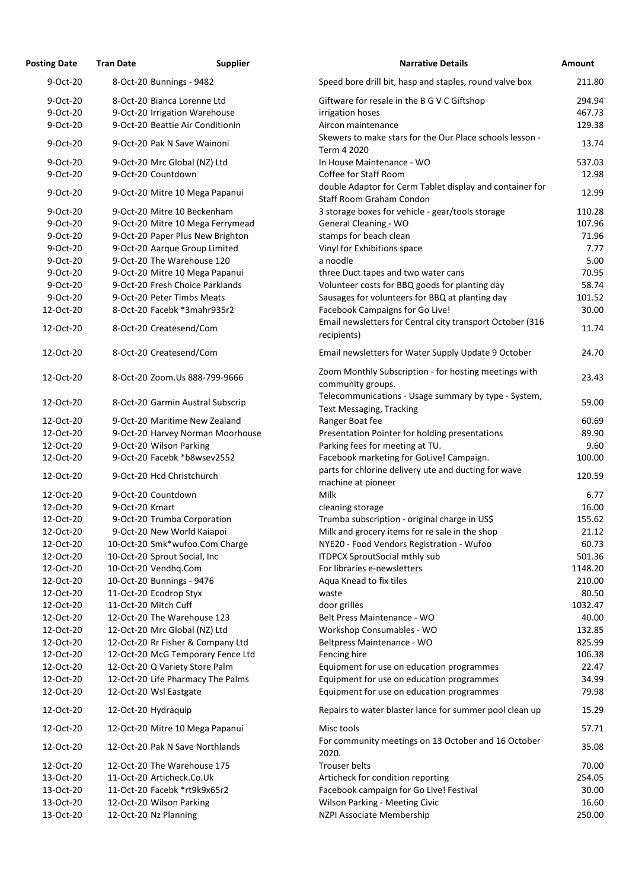| <b>Posting Date</b> | <b>Tran Date</b>                  | <b>Supplier</b> | <b>Narrative Details</b>                                                                | <b>Amount</b> |
|---------------------|-----------------------------------|-----------------|-----------------------------------------------------------------------------------------|---------------|
| 9-Oct-20            | 8-Oct-20 Bunnings - 9482          |                 | Speed bore drill bit, hasp and staples, round valve box                                 | 211.80        |
| 9-Oct-20            | 8-Oct-20 Bianca Lorenne Ltd       |                 | Giftware for resale in the B G V C Giftshop                                             | 294.94        |
| 9-Oct-20            | 9-Oct-20 Irrigation Warehouse     |                 | irrigation hoses                                                                        | 467.73        |
| 9-Oct-20            | 9-Oct-20 Beattie Air Conditionin  |                 | Aircon maintenance                                                                      | 129.38        |
| 9-Oct-20            | 9-Oct-20 Pak N Save Wainoni       |                 | Skewers to make stars for the Our Place schools lesson -                                | 13.74         |
| 9-Oct-20            | 9-Oct-20 Mrc Global (NZ) Ltd      |                 | Term 4 2020<br>In House Maintenance - WO                                                | 537.03        |
| 9-Oct-20            | 9-Oct-20 Countdown                |                 | Coffee for Staff Room                                                                   | 12.98         |
|                     |                                   |                 | double Adaptor for Cerm Tablet display and container for                                |               |
| 9-Oct-20            | 9-Oct-20 Mitre 10 Mega Papanui    |                 | <b>Staff Room Graham Condon</b>                                                         | 12.99         |
| 9-Oct-20            | 9-Oct-20 Mitre 10 Beckenham       |                 | 3 storage boxes for vehicle - gear/tools storage                                        | 110.28        |
| 9-Oct-20            | 9-Oct-20 Mitre 10 Mega Ferrymead  |                 | <b>General Cleaning - WO</b>                                                            | 107.96        |
| 9-Oct-20            | 9-Oct-20 Paper Plus New Brighton  |                 | stamps for beach clean                                                                  | 71.96         |
| 9-Oct-20            | 9-Oct-20 Aarque Group Limited     |                 | Vinyl for Exhibitions space                                                             | 7.77          |
| 9-Oct-20            | 9-Oct-20 The Warehouse 120        |                 | a noodle                                                                                | 5.00          |
| 9-Oct-20            | 9-Oct-20 Mitre 10 Mega Papanui    |                 | three Duct tapes and two water cans                                                     | 70.95         |
| 9-Oct-20            | 9-Oct-20 Fresh Choice Parklands   |                 | Volunteer costs for BBQ goods for planting day                                          | 58.74         |
| 9-Oct-20            | 9-Oct-20 Peter Timbs Meats        |                 | Sausages for volunteers for BBQ at planting day                                         | 101.52        |
| 12-Oct-20           | 8-Oct-20 Facebk *3mahr935r2       |                 | Facebook Campaigns for Go Live!                                                         | 30.00         |
| 12-Oct-20           | 8-Oct-20 Createsend/Com           |                 | Email newsletters for Central city transport October (316<br>recipients)                | 11.74         |
| 12-Oct-20           | 8-Oct-20 Createsend/Com           |                 | Email newsletters for Water Supply Update 9 October                                     | 24.70         |
| 12-Oct-20           | 8-Oct-20 Zoom.Us 888-799-9666     |                 | Zoom Monthly Subscription - for hosting meetings with<br>community groups.              | 23.43         |
| 12-Oct-20           | 8-Oct-20 Garmin Austral Subscrip  |                 | Telecommunications - Usage summary by type - System,<br><b>Text Messaging, Tracking</b> | 59.00         |
| 12-Oct-20           | 9-Oct-20 Maritime New Zealand     |                 | Ranger Boat fee                                                                         | 60.69         |
| 12-Oct-20           | 9-Oct-20 Harvey Norman Moorhouse  |                 | Presentation Pointer for holding presentations                                          | 89.90         |
| 12-Oct-20           | 9-Oct-20 Wilson Parking           |                 | Parking fees for meeting at TU.                                                         | 9.60          |
| 12-Oct-20           | 9-Oct-20 Facebk *b8wsev2552       |                 | Facebook marketing for GoLive! Campaign.                                                | 100.00        |
|                     |                                   |                 | parts for chlorine delivery ute and ducting for wave                                    |               |
| 12-Oct-20           | 9-Oct-20 Hcd Christchurch         |                 | machine at pioneer                                                                      | 120.59        |
| 12-Oct-20           | 9-Oct-20 Countdown                |                 | <b>Milk</b>                                                                             | 6.77          |
| 12-Oct-20           | 9-Oct-20 Kmart                    |                 | cleaning storage                                                                        | 16.00         |
| 12-Oct-20           | 9-Oct-20 Trumba Corporation       |                 | Trumba subscription - original charge in US\$                                           | 155.62        |
| 12-Oct-20           | 9-Oct-20 New World Kaiapoi        |                 | Milk and grocery items for re sale in the shop                                          | 21.12         |
| 12-Oct-20           | 10-Oct-20 Smk*wufoo.Com Charge    |                 | NYE20 - Food Vendors Registration - Wufoo                                               | 60.73         |
| 12-Oct-20           | 10-Oct-20 Sprout Social, Inc      |                 | <b>ITDPCX SproutSocial mthly sub</b>                                                    | 501.36        |
| 12-Oct-20           | 10-Oct-20 Vendhq.Com              |                 | For libraries e-newsletters                                                             | 1148.20       |
| 12-Oct-20           | 10-Oct-20 Bunnings - 9476         |                 | Aqua Knead to fix tiles                                                                 | 210.00        |
| 12-Oct-20           | 11-Oct-20 Ecodrop Styx            |                 | waste                                                                                   | 80.50         |
| 12-Oct-20           | 11-Oct-20 Mitch Cuff              |                 | door grilles                                                                            | 1032.47       |
| 12-Oct-20           | 12-Oct-20 The Warehouse 123       |                 | Belt Press Maintenance - WO                                                             | 40.00         |
| 12-Oct-20           | 12-Oct-20 Mrc Global (NZ) Ltd     |                 | Workshop Consumables - WO                                                               | 132.85        |
| 12-Oct-20           | 12-Oct-20 Rr Fisher & Company Ltd |                 | Beltpress Maintenance - WO                                                              | 825.99        |
| 12-Oct-20           | 12-Oct-20 McG Temporary Fence Ltd |                 | Fencing hire                                                                            | 106.38        |
| 12-Oct-20           | 12-Oct-20 Q Variety Store Palm    |                 | Equipment for use on education programmes                                               | 22.47         |
| 12-Oct-20           | 12-Oct-20 Life Pharmacy The Palms |                 | Equipment for use on education programmes                                               | 34.99         |
| 12-Oct-20           | 12-Oct-20 Wsl Eastgate            |                 | Equipment for use on education programmes                                               | 79.98         |
| 12-Oct-20           | 12-Oct-20 Hydraquip               |                 | Repairs to water blaster lance for summer pool clean up                                 | 15.29         |
| 12-Oct-20           | 12-Oct-20 Mitre 10 Mega Papanui   |                 | Misc tools                                                                              | 57.71         |
| 12-Oct-20           | 12-Oct-20 Pak N Save Northlands   |                 | For community meetings on 13 October and 16 October<br>2020.                            | 35.08         |
| 12-Oct-20           | 12-Oct-20 The Warehouse 175       |                 | <b>Trouser belts</b>                                                                    | 70.00         |
| 13-Oct-20           | 11-Oct-20 Articheck.Co.Uk         |                 | Articheck for condition reporting                                                       | 254.05        |
| 13-Oct-20           | 11-Oct-20 Facebk *rt9k9x65r2      |                 | Facebook campaign for Go Live! Festival                                                 | 30.00         |
| 13-Oct-20           | 12-Oct-20 Wilson Parking          |                 | Wilson Parking - Meeting Civic                                                          | 16.60         |
| 13-Oct-20           | 12-Oct-20 Nz Planning             |                 | NZPI Associate Membership                                                               | 250.00        |

13.74

23.43

35.08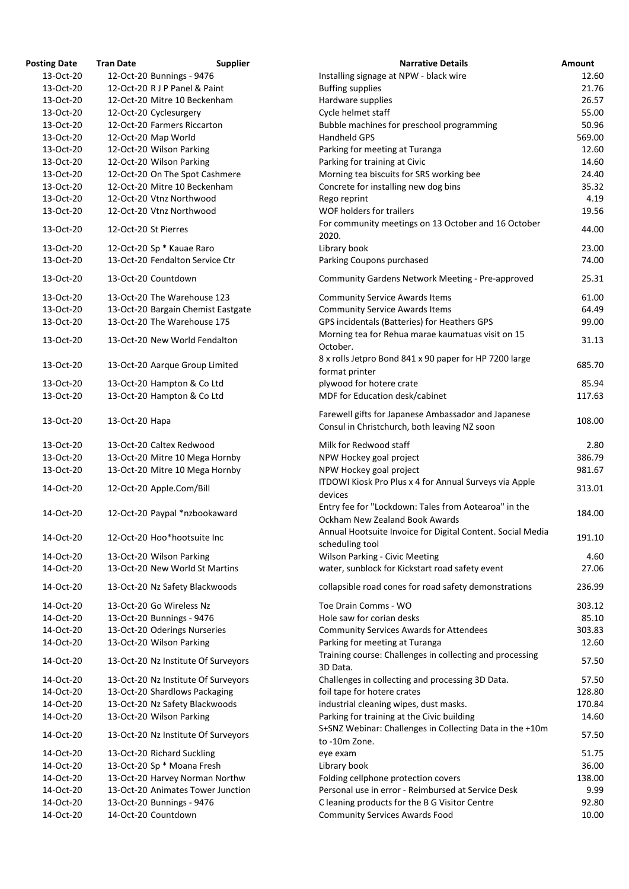| <b>Posting Date</b>    | <b>Tran Date</b><br><b>Supplier</b>                             | <b>Narrative Details</b>                                                                               | <b>Amount</b>  |
|------------------------|-----------------------------------------------------------------|--------------------------------------------------------------------------------------------------------|----------------|
| 13-Oct-20              | 12-Oct-20 Bunnings - 9476                                       | Installing signage at NPW - black wire                                                                 | 12.60          |
| 13-Oct-20              | 12-Oct-20 R J P Panel & Paint                                   | <b>Buffing supplies</b>                                                                                | 21.76          |
| 13-Oct-20              | 12-Oct-20 Mitre 10 Beckenham                                    | Hardware supplies                                                                                      | 26.57          |
| 13-Oct-20              | 12-Oct-20 Cyclesurgery                                          | Cycle helmet staff                                                                                     | 55.00          |
| 13-Oct-20              | 12-Oct-20 Farmers Riccarton                                     | Bubble machines for preschool programming                                                              | 50.96          |
| 13-Oct-20              | 12-Oct-20 Map World                                             | Handheld GPS                                                                                           | 569.00         |
| 13-Oct-20              | 12-Oct-20 Wilson Parking                                        | Parking for meeting at Turanga                                                                         | 12.60          |
| 13-Oct-20              | 12-Oct-20 Wilson Parking                                        | Parking for training at Civic                                                                          | 14.60          |
| 13-Oct-20              | 12-Oct-20 On The Spot Cashmere                                  | Morning tea biscuits for SRS working bee                                                               | 24.40          |
| 13-Oct-20              | 12-Oct-20 Mitre 10 Beckenham                                    | Concrete for installing new dog bins                                                                   | 35.32          |
| 13-Oct-20              | 12-Oct-20 Vtnz Northwood                                        | Rego reprint                                                                                           | 4.19           |
| 13-Oct-20              | 12-Oct-20 Vtnz Northwood                                        | WOF holders for trailers                                                                               | 19.56          |
| 13-Oct-20              | 12-Oct-20 St Pierres                                            | For community meetings on 13 October and 16 October<br>2020.                                           | 44.00          |
| 13-Oct-20              | 12-Oct-20 Sp * Kauae Raro                                       | Library book                                                                                           | 23.00          |
| 13-Oct-20              | 13-Oct-20 Fendalton Service Ctr                                 | Parking Coupons purchased                                                                              | 74.00          |
| 13-Oct-20              | 13-Oct-20 Countdown                                             | <b>Community Gardens Network Meeting - Pre-approved</b>                                                | 25.31          |
| 13-Oct-20              | 13-Oct-20 The Warehouse 123                                     | <b>Community Service Awards Items</b>                                                                  | 61.00          |
| 13-Oct-20              | 13-Oct-20 Bargain Chemist Eastgate                              | <b>Community Service Awards Items</b>                                                                  | 64.49          |
| 13-Oct-20              | 13-Oct-20 The Warehouse 175                                     | GPS incidentals (Batteries) for Heathers GPS                                                           | 99.00          |
| 13-Oct-20              | 13-Oct-20 New World Fendalton                                   | Morning tea for Rehua marae kaumatuas visit on 15<br>October.                                          | 31.13          |
| 13-Oct-20              | 13-Oct-20 Aarque Group Limited                                  | 8 x rolls Jetpro Bond 841 x 90 paper for HP 7200 large                                                 | 685.70         |
|                        |                                                                 | format printer                                                                                         |                |
| 13-Oct-20              | 13-Oct-20 Hampton & Co Ltd                                      | plywood for hotere crate                                                                               | 85.94          |
| 13-Oct-20              | 13-Oct-20 Hampton & Co Ltd                                      | MDF for Education desk/cabinet                                                                         | 117.63         |
| 13-Oct-20              | 13-Oct-20 Hapa                                                  | Farewell gifts for Japanese Ambassador and Japanese<br>Consul in Christchurch, both leaving NZ soon    | 108.00         |
| 13-Oct-20              | 13-Oct-20 Caltex Redwood                                        | Milk for Redwood staff                                                                                 | 2.80           |
| 13-Oct-20              | 13-Oct-20 Mitre 10 Mega Hornby                                  | NPW Hockey goal project                                                                                | 386.79         |
| 13-Oct-20              | 13-Oct-20 Mitre 10 Mega Hornby                                  | NPW Hockey goal project                                                                                | 981.67         |
| 14-Oct-20              | 12-Oct-20 Apple.Com/Bill                                        | ITDOWI Kiosk Pro Plus x 4 for Annual Surveys via Apple<br>devices                                      | 313.01         |
|                        |                                                                 | Entry fee for "Lockdown: Tales from Aotearoa" in the                                                   |                |
| 14-Oct-20              | 12-Oct-20 Paypal *nzbookaward                                   | Ockham New Zealand Book Awards                                                                         | 184.00         |
| 14-Oct-20              | 12-Oct-20 Hoo*hootsuite Inc                                     | Annual Hootsuite Invoice for Digital Content. Social Media<br>scheduling tool                          | 191.10         |
| 14-Oct-20              | 13-Oct-20 Wilson Parking                                        | <b>Wilson Parking - Civic Meeting</b>                                                                  | 4.60           |
| 14-Oct-20              | 13-Oct-20 New World St Martins                                  | water, sunblock for Kickstart road safety event                                                        | 27.06          |
| 14-Oct-20              | 13-Oct-20 Nz Safety Blackwoods                                  | collapsible road cones for road safety demonstrations                                                  | 236.99         |
|                        |                                                                 |                                                                                                        |                |
| 14-Oct-20<br>14-Oct-20 | 13-Oct-20 Go Wireless Nz                                        | Toe Drain Comms - WO<br>Hole saw for corian desks                                                      | 303.12         |
|                        | 13-Oct-20 Bunnings - 9476                                       |                                                                                                        | 85.10          |
| 14-Oct-20              | 13-Oct-20 Oderings Nurseries                                    | <b>Community Services Awards for Attendees</b>                                                         | 303.83         |
| 14-Oct-20<br>14-Oct-20 | 13-Oct-20 Wilson Parking<br>13-Oct-20 Nz Institute Of Surveyors | Parking for meeting at Turanga<br>Training course: Challenges in collecting and processing             | 12.60<br>57.50 |
|                        |                                                                 | 3D Data.                                                                                               |                |
| 14-Oct-20              | 13-Oct-20 Nz Institute Of Surveyors                             | Challenges in collecting and processing 3D Data.                                                       | 57.50          |
| 14-Oct-20              | 13-Oct-20 Shardlows Packaging                                   | foil tape for hotere crates                                                                            | 128.80         |
| 14-Oct-20              | 13-Oct-20 Nz Safety Blackwoods                                  | industrial cleaning wipes, dust masks.                                                                 | 170.84         |
| 14-Oct-20              | 13-Oct-20 Wilson Parking                                        | Parking for training at the Civic building<br>S+SNZ Webinar: Challenges in Collecting Data in the +10m | 14.60          |
| 14-Oct-20              | 13-Oct-20 Nz Institute Of Surveyors                             | to -10m Zone.                                                                                          | 57.50          |
| 14-Oct-20              | 13-Oct-20 Richard Suckling                                      | eye exam                                                                                               | 51.75          |
| 14-Oct-20              | 13-Oct-20 Sp * Moana Fresh                                      | Library book                                                                                           | 36.00          |
| 14-Oct-20              | 13-Oct-20 Harvey Norman Northw                                  | Folding cellphone protection covers                                                                    | 138.00         |
| 14-Oct-20              | 13-Oct-20 Animates Tower Junction                               | Personal use in error - Reimbursed at Service Desk                                                     | 9.99           |
| 14-Oct-20              | 13-Oct-20 Bunnings - 9476                                       | C leaning products for the B G Visitor Centre                                                          | 92.80          |
| 14-Oct-20              | 14-Oct-20 Countdown                                             | <b>Community Services Awards Food</b>                                                                  | 10.00          |

| <b>Narrative Details</b>                                                                            | <b>Amount</b>  |
|-----------------------------------------------------------------------------------------------------|----------------|
| Installing signage at NPW - black wire                                                              | 12.60          |
| <b>Buffing supplies</b>                                                                             | 21.76          |
| Hardware supplies                                                                                   | 26.57          |
| Cycle helmet staff                                                                                  | 55.00          |
| Bubble machines for preschool programming                                                           | 50.96          |
| <b>Handheld GPS</b>                                                                                 | 569.00         |
| Parking for meeting at Turanga                                                                      | 12.60          |
| Parking for training at Civic                                                                       | 14.60          |
| Morning tea biscuits for SRS working bee                                                            | 24.40          |
| Concrete for installing new dog bins                                                                | 35.32          |
| Rego reprint                                                                                        | 4.19           |
| <b>WOF holders for trailers</b>                                                                     | 19.56          |
| For community meetings on 13 October and 16 October<br>2020.                                        | 44.00          |
| Library book                                                                                        | 23.00          |
| Parking Coupons purchased                                                                           | 74.00          |
| <b>Community Gardens Network Meeting - Pre-approved</b>                                             | 25.31          |
| <b>Community Service Awards Items</b>                                                               | 61.00          |
| <b>Community Service Awards Items</b>                                                               | 64.49          |
| GPS incidentals (Batteries) for Heathers GPS                                                        | 99.00          |
| Morning tea for Rehua marae kaumatuas visit on 15                                                   |                |
| October.                                                                                            | 31.13          |
| 8 x rolls Jetpro Bond 841 x 90 paper for HP 7200 large                                              | 685.70         |
| format printer                                                                                      |                |
| plywood for hotere crate                                                                            | 85.94          |
| MDF for Education desk/cabinet                                                                      | 117.63         |
| Farewell gifts for Japanese Ambassador and Japanese<br>Consul in Christchurch, both leaving NZ soon | 108.00         |
| Milk for Redwood staff                                                                              | 2.80           |
| NPW Hockey goal project                                                                             | 386.79         |
| NPW Hockey goal project                                                                             | 981.67         |
| ITDOWI Kiosk Pro Plus x 4 for Annual Surveys via Apple                                              | 313.01         |
| devices                                                                                             |                |
| Entry fee for "Lockdown: Tales from Aotearoa" in the<br><b>Ockham New Zealand Book Awards</b>       | 184.00         |
| Annual Hootsuite Invoice for Digital Content. Social Media                                          | 191.10         |
| scheduling tool                                                                                     |                |
| <b>Wilson Parking - Civic Meeting</b>                                                               | 4.60           |
| water, sunblock for Kickstart road safety event                                                     | 27.06          |
| collapsible road cones for road safety demonstrations                                               | 236.99         |
| Toe Drain Comms - WO                                                                                | 303.12         |
| Hole saw for corian desks                                                                           | 85.10          |
| <b>Community Services Awards for Attendees</b>                                                      | 303.83         |
| Parking for meeting at Turanga                                                                      | 12.60          |
| Training course: Challenges in collecting and processing                                            | 57.50          |
| 3D Data.                                                                                            |                |
| Challenges in collecting and processing 3D Data.                                                    | 57.50          |
| foil tape for hotere crates                                                                         | 128.80         |
| industrial cleaning wipes, dust masks.                                                              | 170.84         |
| Parking for training at the Civic building                                                          | 14.60          |
| S+SNZ Webinar: Challenges in Collecting Data in the +10m                                            | 57.50          |
| to -10m Zone.                                                                                       |                |
| eye exam                                                                                            | 51.75          |
| Library book                                                                                        | 36.00          |
| Folding cellphone protection covers                                                                 | 138.00         |
| Personal use in error - Reimbursed at Service Desk                                                  | 9.99           |
| C leaning products for the B G Visitor Centre<br>Community Services Awards Food                     | 92.80<br>10.00 |
|                                                                                                     |                |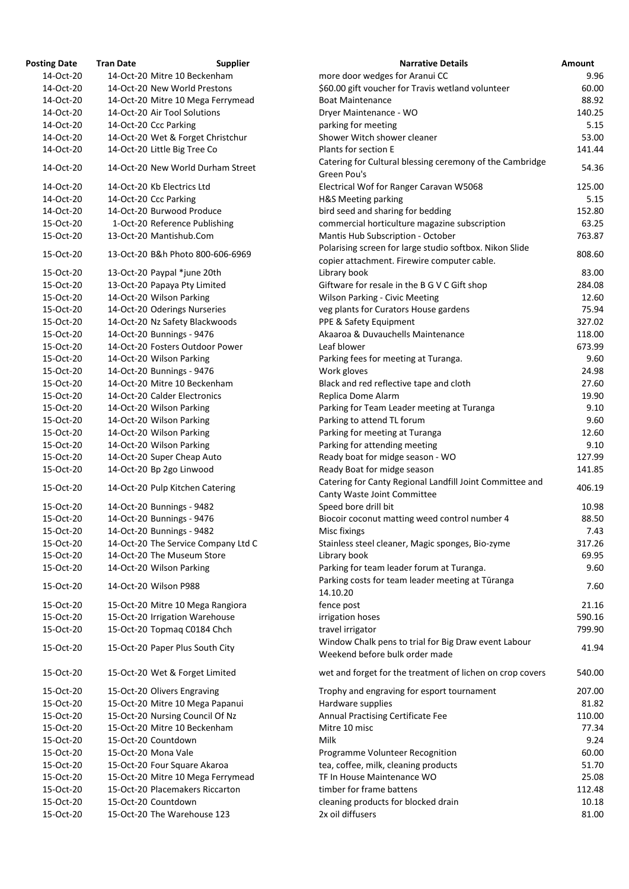| <b>Posting Date</b> | <b>Tran Date</b>                | <b>Supplier</b>                     | <b>Narrative Details</b>                                                                               | Amount |
|---------------------|---------------------------------|-------------------------------------|--------------------------------------------------------------------------------------------------------|--------|
| 14-Oct-20           | 14-Oct-20 Mitre 10 Beckenham    |                                     | more door wedges for Aranui CC                                                                         | 9.96   |
| 14-Oct-20           | 14-Oct-20 New World Prestons    |                                     | \$60.00 gift voucher for Travis wetland volunteer                                                      | 60.00  |
| 14-Oct-20           |                                 | 14-Oct-20 Mitre 10 Mega Ferrymead   | <b>Boat Maintenance</b>                                                                                | 88.92  |
| 14-Oct-20           | 14-Oct-20 Air Tool Solutions    |                                     | Dryer Maintenance - WO                                                                                 | 140.25 |
| 14-Oct-20           | 14-Oct-20 Ccc Parking           |                                     | parking for meeting                                                                                    | 5.15   |
| 14-Oct-20           |                                 | 14-Oct-20 Wet & Forget Christchur   | Shower Witch shower cleaner                                                                            | 53.00  |
| 14-Oct-20           | 14-Oct-20 Little Big Tree Co    |                                     | Plants for section E                                                                                   | 141.44 |
|                     |                                 |                                     | Catering for Cultural blessing ceremony of the Cambridge                                               |        |
| 14-Oct-20           |                                 | 14-Oct-20 New World Durham Street   | Green Pou's                                                                                            | 54.36  |
| 14-Oct-20           | 14-Oct-20 Kb Electrics Ltd      |                                     | Electrical Wof for Ranger Caravan W5068                                                                | 125.00 |
| 14-Oct-20           | 14-Oct-20 Ccc Parking           |                                     | H&S Meeting parking                                                                                    | 5.15   |
| 14-Oct-20           | 14-Oct-20 Burwood Produce       |                                     | bird seed and sharing for bedding                                                                      | 152.80 |
| 15-Oct-20           |                                 | 1-Oct-20 Reference Publishing       | commercial horticulture magazine subscription                                                          | 63.25  |
| 15-Oct-20           | 13-Oct-20 Mantishub.Com         |                                     | Mantis Hub Subscription - October                                                                      | 763.87 |
| 15-Oct-20           |                                 | 13-Oct-20 B&h Photo 800-606-6969    | Polarising screen for large studio softbox. Nikon Slide<br>copier attachment. Firewire computer cable. | 808.60 |
| 15-Oct-20           | 13-Oct-20 Paypal *june 20th     |                                     | Library book                                                                                           | 83.00  |
| 15-Oct-20           | 13-Oct-20 Papaya Pty Limited    |                                     | Giftware for resale in the B G V C Gift shop                                                           | 284.08 |
| 15-Oct-20           | 14-Oct-20 Wilson Parking        |                                     | <b>Wilson Parking - Civic Meeting</b>                                                                  | 12.60  |
| 15-Oct-20           | 14-Oct-20 Oderings Nurseries    |                                     | veg plants for Curators House gardens                                                                  | 75.94  |
| 15-Oct-20           | 14-Oct-20 Nz Safety Blackwoods  |                                     | PPE & Safety Equipment                                                                                 | 327.02 |
|                     |                                 |                                     |                                                                                                        |        |
| 15-Oct-20           | 14-Oct-20 Bunnings - 9476       |                                     | Akaaroa & Duvauchells Maintenance                                                                      | 118.00 |
| 15-Oct-20           |                                 | 14-Oct-20 Fosters Outdoor Power     | Leaf blower                                                                                            | 673.99 |
| 15-Oct-20           | 14-Oct-20 Wilson Parking        |                                     | Parking fees for meeting at Turanga.                                                                   | 9.60   |
| 15-Oct-20           | 14-Oct-20 Bunnings - 9476       |                                     | Work gloves                                                                                            | 24.98  |
| 15-Oct-20           | 14-Oct-20 Mitre 10 Beckenham    |                                     | Black and red reflective tape and cloth                                                                | 27.60  |
| 15-Oct-20           | 14-Oct-20 Calder Electronics    |                                     | Replica Dome Alarm                                                                                     | 19.90  |
| 15-Oct-20           | 14-Oct-20 Wilson Parking        |                                     | Parking for Team Leader meeting at Turanga                                                             | 9.10   |
| 15-Oct-20           | 14-Oct-20 Wilson Parking        |                                     | Parking to attend TL forum                                                                             | 9.60   |
| 15-Oct-20           | 14-Oct-20 Wilson Parking        |                                     | Parking for meeting at Turanga                                                                         | 12.60  |
| 15-Oct-20           | 14-Oct-20 Wilson Parking        |                                     | Parking for attending meeting                                                                          | 9.10   |
| 15-Oct-20           | 14-Oct-20 Super Cheap Auto      |                                     | Ready boat for midge season - WO                                                                       | 127.99 |
| 15-Oct-20           | 14-Oct-20 Bp 2go Linwood        |                                     | Ready Boat for midge season                                                                            | 141.85 |
| 15-Oct-20           | 14-Oct-20 Pulp Kitchen Catering |                                     | Catering for Canty Regional Landfill Joint Committee and<br>Canty Waste Joint Committee                | 406.19 |
| 15-Oct-20           | 14-Oct-20 Bunnings - 9482       |                                     | Speed bore drill bit                                                                                   | 10.98  |
| 15-Oct-20           | 14-Oct-20 Bunnings - 9476       |                                     | Biocoir coconut matting weed control number 4                                                          | 88.50  |
| 15-Oct-20           | 14-Oct-20 Bunnings - 9482       |                                     | Misc fixings                                                                                           | 7.43   |
| 15-Oct-20           |                                 | 14-Oct-20 The Service Company Ltd C | Stainless steel cleaner, Magic sponges, Bio-zyme                                                       | 317.26 |
| 15-Oct-20           | 14-Oct-20 The Museum Store      |                                     | Library book                                                                                           | 69.95  |
| 15-Oct-20           | 14-Oct-20 Wilson Parking        |                                     | Parking for team leader forum at Turanga.                                                              | 9.60   |
| 15-Oct-20           | 14-Oct-20 Wilson P988           |                                     | Parking costs for team leader meeting at Tūranga                                                       | 7.60   |
|                     |                                 |                                     | 14.10.20                                                                                               |        |
| 15-Oct-20           |                                 | 15-Oct-20 Mitre 10 Mega Rangiora    | fence post                                                                                             | 21.16  |
| 15-Oct-20           | 15-Oct-20 Irrigation Warehouse  |                                     | irrigation hoses                                                                                       | 590.16 |
| 15-Oct-20           | 15-Oct-20 Topmaq C0184 Chch     |                                     | travel irrigator                                                                                       | 799.90 |
| 15-Oct-20           | 15-Oct-20 Paper Plus South City |                                     | Window Chalk pens to trial for Big Draw event Labour<br>Weekend before bulk order made                 | 41.94  |
| 15-Oct-20           | 15-Oct-20 Wet & Forget Limited  |                                     | wet and forget for the treatment of lichen on crop covers                                              | 540.00 |
| 15-Oct-20           | 15-Oct-20 Olivers Engraving     |                                     | Trophy and engraving for esport tournament                                                             | 207.00 |
| 15-Oct-20           |                                 | 15-Oct-20 Mitre 10 Mega Papanui     | Hardware supplies                                                                                      | 81.82  |
| 15-Oct-20           | 15-Oct-20 Nursing Council Of Nz |                                     | Annual Practising Certificate Fee                                                                      | 110.00 |
| 15-Oct-20           | 15-Oct-20 Mitre 10 Beckenham    |                                     | Mitre 10 misc                                                                                          | 77.34  |
| 15-Oct-20           | 15-Oct-20 Countdown             |                                     | Milk                                                                                                   | 9.24   |
| 15-Oct-20           | 15-Oct-20 Mona Vale             |                                     | Programme Volunteer Recognition                                                                        | 60.00  |
| 15-Oct-20           | 15-Oct-20 Four Square Akaroa    |                                     | tea, coffee, milk, cleaning products                                                                   | 51.70  |
| 15-Oct-20           |                                 | 15-Oct-20 Mitre 10 Mega Ferrymead   | TF In House Maintenance WO                                                                             | 25.08  |
| 15-Oct-20           |                                 | 15-Oct-20 Placemakers Riccarton     | timber for frame battens                                                                               | 112.48 |
| 15-Oct-20           | 15-Oct-20 Countdown             |                                     | cleaning products for blocked drain                                                                    | 10.18  |
| 15-Oct-20           | 15-Oct-20 The Warehouse 123     |                                     | 2x oil diffusers                                                                                       | 81.00  |
|                     |                                 |                                     |                                                                                                        |        |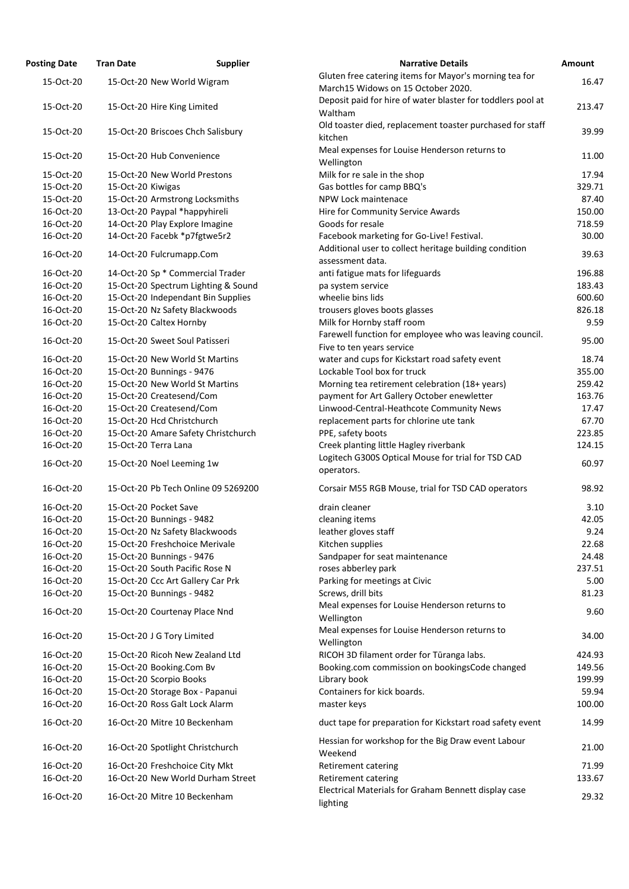| <b>Osting Date</b> | <b>Supplier</b><br><b>Tran Date</b> | <b>Narrative Details</b>                                                   |
|--------------------|-------------------------------------|----------------------------------------------------------------------------|
| 15-Oct-20          | 15-Oct-20 New World Wigram          | Gluten free catering items for Mayor's morning tea fo                      |
|                    |                                     | March15 Widows on 15 October 2020.                                         |
| 15-Oct-20          | 15-Oct-20 Hire King Limited         | Deposit paid for hire of water blaster for toddlers po                     |
|                    |                                     | Waltham<br>Old toaster died, replacement toaster purchased for             |
| 15-Oct-20          | 15-Oct-20 Briscoes Chch Salisbury   | kitchen                                                                    |
|                    |                                     | Meal expenses for Louise Henderson returns to                              |
| 15-Oct-20          | 15-Oct-20 Hub Convenience           | Wellington                                                                 |
| 15-Oct-20          | 15-Oct-20 New World Prestons        | Milk for re sale in the shop                                               |
| 15-Oct-20          | 15-Oct-20 Kiwigas                   | Gas bottles for camp BBQ's                                                 |
| 15-Oct-20          | 15-Oct-20 Armstrong Locksmiths      | NPW Lock maintenace                                                        |
| 16-Oct-20          | 13-Oct-20 Paypal *happyhireli       | Hire for Community Service Awards                                          |
| 16-Oct-20          | 14-Oct-20 Play Explore Imagine      | Goods for resale                                                           |
| 16-Oct-20          | 14-Oct-20 Facebk *p7fgtwe5r2        | Facebook marketing for Go-Live! Festival.                                  |
| 16-Oct-20          | 14-Oct-20 Fulcrumapp.Com            | Additional user to collect heritage building condition<br>assessment data. |
| 16-Oct-20          | 14-Oct-20 Sp * Commercial Trader    | anti fatigue mats for lifeguards                                           |
| 16-Oct-20          | 15-Oct-20 Spectrum Lighting & Sound | pa system service                                                          |
| 16-Oct-20          | 15-Oct-20 Independant Bin Supplies  | wheelie bins lids                                                          |
| 16-Oct-20          | 15-Oct-20 Nz Safety Blackwoods      | trousers gloves boots glasses                                              |
| 16-Oct-20          | 15-Oct-20 Caltex Hornby             | Milk for Hornby staff room                                                 |
| 16-Oct-20          | 15-Oct-20 Sweet Soul Patisseri      | Farewell function for employee who was leaving cou                         |
|                    |                                     | Five to ten years service                                                  |
| 16-Oct-20          | 15-Oct-20 New World St Martins      | water and cups for Kickstart road safety event                             |
| 16-Oct-20          | 15-Oct-20 Bunnings - 9476           | Lockable Tool box for truck                                                |
| 16-Oct-20          | 15-Oct-20 New World St Martins      | Morning tea retirement celebration (18+ years)                             |
| 16-Oct-20          | 15-Oct-20 Createsend/Com            | payment for Art Gallery October enewletter                                 |
| 16-Oct-20          | 15-Oct-20 Createsend/Com            | Linwood-Central-Heathcote Community News                                   |
| 16-Oct-20          | 15-Oct-20 Hcd Christchurch          | replacement parts for chlorine ute tank                                    |
| 16-Oct-20          | 15-Oct-20 Amare Safety Christchurch | PPE, safety boots                                                          |
| 16-Oct-20          | 15-Oct-20 Terra Lana                | Creek planting little Hagley riverbank                                     |
| 16-Oct-20          | 15-Oct-20 Noel Leeming 1w           | Logitech G300S Optical Mouse for trial for TSD CAD<br>operators.           |
| 16-Oct-20          | 15-Oct-20 Pb Tech Online 09 5269200 | Corsair M55 RGB Mouse, trial for TSD CAD operators                         |
| 16-Oct-20          | 15-Oct-20 Pocket Save               | drain cleaner                                                              |
| 16-Oct-20          | 15-Oct-20 Bunnings - 9482           | cleaning items                                                             |
| 16-Oct-20          | 15-Oct-20 Nz Safety Blackwoods      | leather gloves staff                                                       |
| 16-Oct-20          | 15-Oct-20 Freshchoice Merivale      | Kitchen supplies                                                           |
| 16-Oct-20          | 15-Oct-20 Bunnings - 9476           | Sandpaper for seat maintenance                                             |
| 16-Oct-20          | 15-Oct-20 South Pacific Rose N      | roses abberley park                                                        |
| 16-Oct-20          | 15-Oct-20 Ccc Art Gallery Car Prk   | Parking for meetings at Civic                                              |
| 16-Oct-20          | 15-Oct-20 Bunnings - 9482           | Screws, drill bits                                                         |
| 16-Oct-20          | 15-Oct-20 Courtenay Place Nnd       | Meal expenses for Louise Henderson returns to<br>Wellington                |
| 16-Oct-20          | 15-Oct-20 J G Tory Limited          | Meal expenses for Louise Henderson returns to<br>Wellington                |
| 16-Oct-20          | 15-Oct-20 Ricoh New Zealand Ltd     | RICOH 3D filament order for Tūranga labs.                                  |
| 16-Oct-20          | 15-Oct-20 Booking.Com Bv            | Booking.com commission on bookingsCode changed                             |
| 16-Oct-20          | 15-Oct-20 Scorpio Books             | Library book                                                               |
| 16-Oct-20          | 15-Oct-20 Storage Box - Papanui     | Containers for kick boards.                                                |
| 16-Oct-20          | 16-Oct-20 Ross Galt Lock Alarm      | master keys                                                                |
| 16-Oct-20          | 16-Oct-20 Mitre 10 Beckenham        | duct tape for preparation for Kickstart road safety ev                     |
| 16-Oct-20          | 16-Oct-20 Spotlight Christchurch    | Hessian for workshop for the Big Draw event Labour<br>Weekend              |
| 16-Oct-20          | 16-Oct-20 Freshchoice City Mkt      | <b>Retirement catering</b>                                                 |
| 16-Oct-20          | 16-Oct-20 New World Durham Street   | <b>Retirement catering</b>                                                 |
| 16-Oct-20          | 16-Oct-20 Mitre 10 Beckenham        | Electrical Materials for Graham Bennett display case                       |
|                    |                                     |                                                                            |

| <b>Posting Date</b> | <b>Tran Date</b>     | <b>Supplier</b>                     | <b>Narrative Details</b>                                    | Amount |
|---------------------|----------------------|-------------------------------------|-------------------------------------------------------------|--------|
| 15-Oct-20           |                      | 15-Oct-20 New World Wigram          | Gluten free catering items for Mayor's morning tea for      | 16.47  |
|                     |                      |                                     | March15 Widows on 15 October 2020.                          |        |
| 15-Oct-20           |                      | 15-Oct-20 Hire King Limited         | Deposit paid for hire of water blaster for toddlers pool at | 213.47 |
|                     |                      |                                     | Waltham                                                     |        |
| 15-Oct-20           |                      | 15-Oct-20 Briscoes Chch Salisbury   | Old toaster died, replacement toaster purchased for staff   | 39.99  |
|                     |                      |                                     | kitchen                                                     |        |
| 15-Oct-20           |                      | 15-Oct-20 Hub Convenience           | Meal expenses for Louise Henderson returns to               | 11.00  |
|                     |                      |                                     | Wellington                                                  |        |
| 15-Oct-20           |                      | 15-Oct-20 New World Prestons        | Milk for re sale in the shop                                | 17.94  |
| 15-Oct-20           | 15-Oct-20 Kiwigas    |                                     | Gas bottles for camp BBQ's                                  | 329.71 |
| 15-Oct-20           |                      | 15-Oct-20 Armstrong Locksmiths      | NPW Lock maintenace                                         | 87.40  |
| 16-Oct-20           |                      | 13-Oct-20 Paypal *happyhireli       | Hire for Community Service Awards                           | 150.00 |
| 16-Oct-20           |                      | 14-Oct-20 Play Explore Imagine      | Goods for resale                                            | 718.59 |
| 16-Oct-20           |                      | 14-Oct-20 Facebk *p7fgtwe5r2        | Facebook marketing for Go-Live! Festival.                   | 30.00  |
| 16-Oct-20           |                      | 14-Oct-20 Fulcrumapp.Com            | Additional user to collect heritage building condition      | 39.63  |
|                     |                      |                                     | assessment data.                                            |        |
| 16-Oct-20           |                      | 14-Oct-20 Sp * Commercial Trader    | anti fatigue mats for lifeguards                            | 196.88 |
| 16-Oct-20           |                      | 15-Oct-20 Spectrum Lighting & Sound | pa system service                                           | 183.43 |
| 16-Oct-20           |                      | 15-Oct-20 Independant Bin Supplies  | wheelie bins lids                                           | 600.60 |
| 16-Oct-20           |                      | 15-Oct-20 Nz Safety Blackwoods      | trousers gloves boots glasses                               | 826.18 |
| 16-Oct-20           |                      | 15-Oct-20 Caltex Hornby             | Milk for Hornby staff room                                  | 9.59   |
|                     |                      | 15-Oct-20 Sweet Soul Patisseri      | Farewell function for employee who was leaving council.     | 95.00  |
| 16-Oct-20           |                      |                                     | Five to ten years service                                   |        |
| 16-Oct-20           |                      | 15-Oct-20 New World St Martins      | water and cups for Kickstart road safety event              | 18.74  |
| 16-Oct-20           |                      | 15-Oct-20 Bunnings - 9476           | Lockable Tool box for truck                                 | 355.00 |
| 16-Oct-20           |                      | 15-Oct-20 New World St Martins      | Morning tea retirement celebration (18+ years)              | 259.42 |
| 16-Oct-20           |                      | 15-Oct-20 Createsend/Com            | payment for Art Gallery October enewletter                  | 163.76 |
| 16-Oct-20           |                      | 15-Oct-20 Createsend/Com            | Linwood-Central-Heathcote Community News                    | 17.47  |
| 16-Oct-20           |                      | 15-Oct-20 Hcd Christchurch          | replacement parts for chlorine ute tank                     | 67.70  |
| 16-Oct-20           |                      | 15-Oct-20 Amare Safety Christchurch | PPE, safety boots                                           | 223.85 |
| 16-Oct-20           | 15-Oct-20 Terra Lana |                                     | Creek planting little Hagley riverbank                      | 124.15 |
|                     |                      |                                     | Logitech G300S Optical Mouse for trial for TSD CAD          |        |
| 16-Oct-20           |                      | 15-Oct-20 Noel Leeming 1w           | operators.                                                  | 60.97  |
| 16-Oct-20           |                      | 15-Oct-20 Pb Tech Online 09 5269200 | Corsair M55 RGB Mouse, trial for TSD CAD operators          | 98.92  |
|                     |                      |                                     |                                                             |        |
| 16-Oct-20           |                      | 15-Oct-20 Pocket Save               | drain cleaner                                               | 3.10   |
| 16-Oct-20           |                      | 15-Oct-20 Bunnings - 9482           | cleaning items                                              | 42.05  |
| 16-Oct-20           |                      | 15-Oct-20 Nz Safety Blackwoods      | leather gloves staff                                        | 9.24   |
| 16-Oct-20           |                      | 15-Oct-20 Freshchoice Merivale      | Kitchen supplies                                            | 22.68  |
| 16-Oct-20           |                      | 15-Oct-20 Bunnings - 9476           | Sandpaper for seat maintenance                              | 24.48  |
| 16-Oct-20           |                      | 15-Oct-20 South Pacific Rose N      | roses abberley park                                         | 237.51 |
| 16-Oct-20           |                      | 15-Oct-20 Ccc Art Gallery Car Prk   | Parking for meetings at Civic                               | 5.00   |
| 16-Oct-20           |                      | 15-Oct-20 Bunnings - 9482           | Screws, drill bits                                          | 81.23  |
| 16-Oct-20           |                      | 15-Oct-20 Courtenay Place Nnd       | Meal expenses for Louise Henderson returns to               | 9.60   |
|                     |                      |                                     | Wellington                                                  |        |
| 16-Oct-20           |                      | 15-Oct-20 J G Tory Limited          | Meal expenses for Louise Henderson returns to               | 34.00  |
|                     |                      |                                     | Wellington                                                  |        |
| 16-Oct-20           |                      | 15-Oct-20 Ricoh New Zealand Ltd     | RICOH 3D filament order for Tūranga labs.                   | 424.93 |
| 16-Oct-20           |                      | 15-Oct-20 Booking.Com Bv            | Booking.com commission on bookingsCode changed              | 149.56 |
| 16-Oct-20           |                      | 15-Oct-20 Scorpio Books             | Library book                                                | 199.99 |
| 16-Oct-20           |                      | 15-Oct-20 Storage Box - Papanui     | Containers for kick boards.                                 | 59.94  |
| 16-Oct-20           |                      | 16-Oct-20 Ross Galt Lock Alarm      | master keys                                                 | 100.00 |
| 16-Oct-20           |                      | 16-Oct-20 Mitre 10 Beckenham        | duct tape for preparation for Kickstart road safety event   | 14.99  |
|                     |                      |                                     | Hessian for workshop for the Big Draw event Labour          |        |
| 16-Oct-20           |                      | 16-Oct-20 Spotlight Christchurch    | Weekend                                                     | 21.00  |
| 16-Oct-20           |                      | 16-Oct-20 Freshchoice City Mkt      | Retirement catering                                         | 71.99  |
| 16-Oct-20           |                      | 16-Oct-20 New World Durham Street   | <b>Retirement catering</b>                                  | 133.67 |
| 16-Oct-20           |                      | 16-Oct-20 Mitre 10 Beckenham        | Electrical Materials for Graham Bennett display case        | 29.32  |
|                     |                      |                                     | lighting                                                    |        |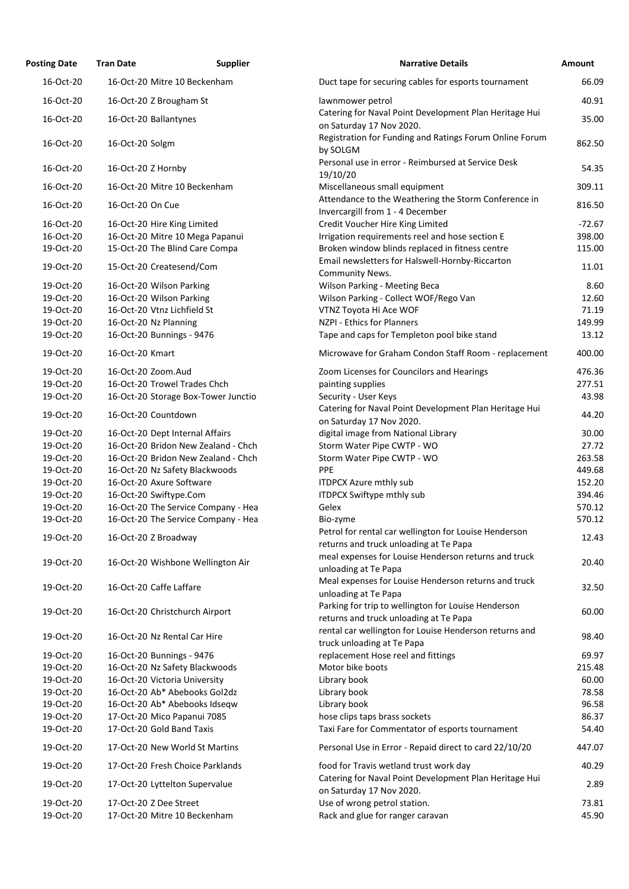| <b>Posting Date</b> | <b>Tran Date</b>                    | <b>Supplier</b><br><b>Narrative Details</b>                                                     | Amount   |
|---------------------|-------------------------------------|-------------------------------------------------------------------------------------------------|----------|
| 16-Oct-20           | 16-Oct-20 Mitre 10 Beckenham        | Duct tape for securing cables for esports tournament                                            | 66.09    |
| 16-Oct-20           | 16-Oct-20 Z Brougham St             | lawnmower petrol                                                                                | 40.91    |
| 16-Oct-20           | 16-Oct-20 Ballantynes               | Catering for Naval Point Development Plan Heritage Hui<br>on Saturday 17 Nov 2020.              | 35.00    |
| 16-Oct-20           | 16-Oct-20 Solgm                     | Registration for Funding and Ratings Forum Online Forum<br>by SOLGM                             | 862.50   |
| 16-Oct-20           | 16-Oct-20 Z Hornby                  | Personal use in error - Reimbursed at Service Desk<br>19/10/20                                  | 54.35    |
| 16-Oct-20           | 16-Oct-20 Mitre 10 Beckenham        | Miscellaneous small equipment                                                                   | 309.11   |
| 16-Oct-20           | 16-Oct-20 On Cue                    | Attendance to the Weathering the Storm Conference in<br>Invercargill from 1 - 4 December        | 816.50   |
| 16-Oct-20           | 16-Oct-20 Hire King Limited         | Credit Voucher Hire King Limited                                                                | $-72.67$ |
| 16-Oct-20           | 16-Oct-20 Mitre 10 Mega Papanui     | Irrigation requirements reel and hose section E                                                 | 398.00   |
| 19-Oct-20           | 15-Oct-20 The Blind Care Compa      | Broken window blinds replaced in fitness centre                                                 | 115.00   |
| 19-Oct-20           | 15-Oct-20 Createsend/Com            | Email newsletters for Halswell-Hornby-Riccarton<br>Community News.                              | 11.01    |
| 19-Oct-20           | 16-Oct-20 Wilson Parking            | Wilson Parking - Meeting Beca                                                                   | 8.60     |
| 19-Oct-20           | 16-Oct-20 Wilson Parking            | Wilson Parking - Collect WOF/Rego Van                                                           | 12.60    |
| 19-Oct-20           | 16-Oct-20 Vtnz Lichfield St         | VTNZ Toyota Hi Ace WOF                                                                          | 71.19    |
| 19-Oct-20           | 16-Oct-20 Nz Planning               | NZPI - Ethics for Planners                                                                      | 149.99   |
| 19-Oct-20           | 16-Oct-20 Bunnings - 9476           | Tape and caps for Templeton pool bike stand                                                     | 13.12    |
| 19-Oct-20           | 16-Oct-20 Kmart                     | Microwave for Graham Condon Staff Room - replacement                                            | 400.00   |
| 19-Oct-20           | 16-Oct-20 Zoom.Aud                  | Zoom Licenses for Councilors and Hearings                                                       | 476.36   |
| 19-Oct-20           | 16-Oct-20 Trowel Trades Chch        | painting supplies                                                                               | 277.51   |
| 19-Oct-20           | 16-Oct-20 Storage Box-Tower Junctio | Security - User Keys<br>Catering for Naval Point Development Plan Heritage Hui                  | 43.98    |
| 19-Oct-20           | 16-Oct-20 Countdown                 | on Saturday 17 Nov 2020.                                                                        | 44.20    |
| 19-Oct-20           | 16-Oct-20 Dept Internal Affairs     | digital image from National Library                                                             | 30.00    |
| 19-Oct-20           | 16-Oct-20 Bridon New Zealand - Chch | Storm Water Pipe CWTP - WO                                                                      | 27.72    |
| 19-Oct-20           | 16-Oct-20 Bridon New Zealand - Chch | Storm Water Pipe CWTP - WO                                                                      | 263.58   |
| 19-Oct-20           | 16-Oct-20 Nz Safety Blackwoods      | <b>PPE</b>                                                                                      | 449.68   |
| 19-Oct-20           | 16-Oct-20 Axure Software            | <b>ITDPCX Azure mthly sub</b>                                                                   | 152.20   |
| 19-Oct-20           | 16-Oct-20 Swiftype.Com              | ITDPCX Swiftype mthly sub                                                                       | 394.46   |
| 19-Oct-20           | 16-Oct-20 The Service Company - Hea | Gelex                                                                                           | 570.12   |
| 19-Oct-20           | 16-Oct-20 The Service Company - Hea | Bio-zyme                                                                                        | 570.12   |
| 19-Oct-20           | 16-Oct-20 Z Broadway                | Petrol for rental car wellington for Louise Henderson<br>returns and truck unloading at Te Papa | 12.43    |
| 19-Oct-20           | 16-Oct-20 Wishbone Wellington Air   | meal expenses for Louise Henderson returns and truck<br>unloading at Te Papa                    | 20.40    |
| 19-Oct-20           | 16-Oct-20 Caffe Laffare             | Meal expenses for Louise Henderson returns and truck<br>unloading at Te Papa                    | 32.50    |
| 19-Oct-20           | 16-Oct-20 Christchurch Airport      | Parking for trip to wellington for Louise Henderson<br>returns and truck unloading at Te Papa   | 60.00    |
| 19-Oct-20           | 16-Oct-20 Nz Rental Car Hire        | rental car wellington for Louise Henderson returns and<br>truck unloading at Te Papa            | 98.40    |
| 19-Oct-20           | 16-Oct-20 Bunnings - 9476           | replacement Hose reel and fittings                                                              | 69.97    |
| 19-Oct-20           | 16-Oct-20 Nz Safety Blackwoods      | Motor bike boots                                                                                | 215.48   |
| 19-Oct-20           | 16-Oct-20 Victoria University       | Library book                                                                                    | 60.00    |
| 19-Oct-20           | 16-Oct-20 Ab* Abebooks Gol2dz       | Library book                                                                                    | 78.58    |
| 19-Oct-20           | 16-Oct-20 Ab* Abebooks Idseqw       | Library book                                                                                    | 96.58    |
| 19-Oct-20           | 17-Oct-20 Mico Papanui 7085         | hose clips taps brass sockets                                                                   | 86.37    |
| 19-Oct-20           | 17-Oct-20 Gold Band Taxis           | Taxi Fare for Commentator of esports tournament                                                 | 54.40    |
| 19-Oct-20           | 17-Oct-20 New World St Martins      | Personal Use in Error - Repaid direct to card 22/10/20                                          | 447.07   |
| 19-Oct-20           | 17-Oct-20 Fresh Choice Parklands    | food for Travis wetland trust work day                                                          | 40.29    |
| 19-Oct-20           | 17-Oct-20 Lyttelton Supervalue      | Catering for Naval Point Development Plan Heritage Hui<br>on Saturday 17 Nov 2020.              | 2.89     |
| 19-Oct-20           | 17-Oct-20 Z Dee Street              | Use of wrong petrol station.                                                                    | 73.81    |
| 19-Oct-20           | 17-Oct-20 Mitre 10 Beckenham        | Rack and glue for ranger caravan                                                                | 45.90    |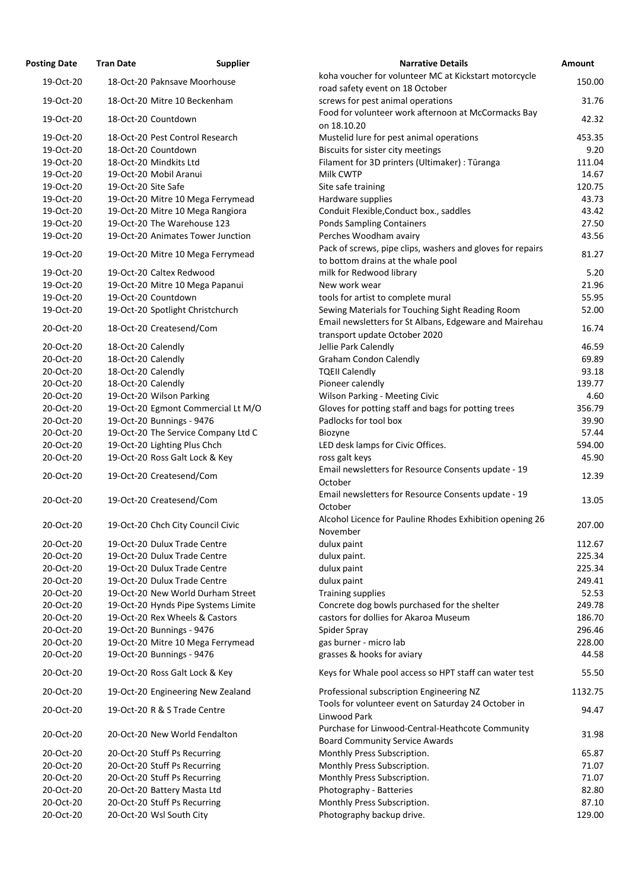| <b>Posting Date</b> | <b>Tran Date</b>             | <b>Supplier</b>                     | <b>Narrative Details</b>                                                                         |
|---------------------|------------------------------|-------------------------------------|--------------------------------------------------------------------------------------------------|
| 19-Oct-20           |                              | 18-Oct-20 Paknsave Moorhouse        | koha voucher for volunteer MC at Kickstart motorcycle<br>road safety event on 18 October         |
| 19-Oct-20           |                              | 18-Oct-20 Mitre 10 Beckenham        | screws for pest animal operations                                                                |
| 19-Oct-20           | 18-Oct-20 Countdown          |                                     | Food for volunteer work afternoon at McCormacks Bay<br>on 18.10.20                               |
| 19-Oct-20           |                              | 18-Oct-20 Pest Control Research     | Mustelid lure for pest animal operations                                                         |
| 19-Oct-20           | 18-Oct-20 Countdown          |                                     | Biscuits for sister city meetings                                                                |
| 19-Oct-20           | 18-Oct-20 Mindkits Ltd       |                                     | Filament for 3D printers (Ultimaker) : Tūranga                                                   |
| 19-Oct-20           | 19-Oct-20 Mobil Aranui       |                                     | Milk CWTP                                                                                        |
| 19-Oct-20           | 19-Oct-20 Site Safe          |                                     | Site safe training                                                                               |
| 19-Oct-20           |                              | 19-Oct-20 Mitre 10 Mega Ferrymead   | Hardware supplies                                                                                |
| 19-Oct-20           |                              | 19-Oct-20 Mitre 10 Mega Rangiora    | Conduit Flexible, Conduct box., saddles                                                          |
| 19-Oct-20           |                              | 19-Oct-20 The Warehouse 123         | <b>Ponds Sampling Containers</b>                                                                 |
| 19-Oct-20           |                              | 19-Oct-20 Animates Tower Junction   | Perches Woodham avairy                                                                           |
| 19-Oct-20           |                              | 19-Oct-20 Mitre 10 Mega Ferrymead   | Pack of screws, pipe clips, washers and gloves for repairs<br>to bottom drains at the whale pool |
| 19-Oct-20           | 19-Oct-20 Caltex Redwood     |                                     | milk for Redwood library                                                                         |
| 19-Oct-20           |                              | 19-Oct-20 Mitre 10 Mega Papanui     | New work wear                                                                                    |
| 19-Oct-20           | 19-Oct-20 Countdown          |                                     | tools for artist to complete mural                                                               |
| 19-Oct-20           |                              |                                     | Sewing Materials for Touching Sight Reading Room                                                 |
| 20-Oct-20           |                              | 19-Oct-20 Spotlight Christchurch    | Email newsletters for St Albans, Edgeware and Mairehau                                           |
|                     | 18-Oct-20 Createsend/Com     |                                     | transport update October 2020                                                                    |
| 20-Oct-20           | 18-Oct-20 Calendly           |                                     | Jellie Park Calendly                                                                             |
| 20-Oct-20           | 18-Oct-20 Calendly           |                                     | <b>Graham Condon Calendly</b>                                                                    |
| 20-Oct-20           | 18-Oct-20 Calendly           |                                     | <b>TQEII Calendly</b>                                                                            |
| 20-Oct-20           | 18-Oct-20 Calendly           |                                     | Pioneer calendly                                                                                 |
| 20-Oct-20           | 19-Oct-20 Wilson Parking     |                                     | Wilson Parking - Meeting Civic                                                                   |
| 20-Oct-20           |                              | 19-Oct-20 Egmont Commercial Lt M/O  | Gloves for potting staff and bags for potting trees                                              |
| 20-Oct-20           | 19-Oct-20 Bunnings - 9476    |                                     | Padlocks for tool box                                                                            |
| 20-Oct-20           |                              | 19-Oct-20 The Service Company Ltd C | <b>Biozyne</b>                                                                                   |
| 20-Oct-20           | 19-Oct-20 Lighting Plus Chch |                                     | LED desk lamps for Civic Offices.                                                                |
| 20-Oct-20           |                              | 19-Oct-20 Ross Galt Lock & Key      | ross galt keys                                                                                   |
| 20-Oct-20           | 19-Oct-20 Createsend/Com     |                                     | Email newsletters for Resource Consents update - 19<br>October                                   |
| 20-Oct-20           | 19-Oct-20 Createsend/Com     |                                     | Email newsletters for Resource Consents update - 19<br>October                                   |
| 20-Oct-20           |                              | 19-Oct-20 Chch City Council Civic   | Alcohol Licence for Pauline Rhodes Exhibition opening 26<br>November                             |
| 20-Oct-20           |                              | 19-Oct-20 Dulux Trade Centre        | dulux paint                                                                                      |
| 20-Oct-20           |                              | 19-Oct-20 Dulux Trade Centre        | dulux paint.                                                                                     |
| 20-Oct-20           |                              | 19-Oct-20 Dulux Trade Centre        | dulux paint                                                                                      |
| 20-Oct-20           |                              | 19-Oct-20 Dulux Trade Centre        | dulux paint                                                                                      |
| 20-Oct-20           |                              | 19-Oct-20 New World Durham Street   | <b>Training supplies</b>                                                                         |
| 20-Oct-20           |                              | 19-Oct-20 Hynds Pipe Systems Limite | Concrete dog bowls purchased for the shelter                                                     |
| 20-Oct-20           |                              | 19-Oct-20 Rex Wheels & Castors      | castors for dollies for Akaroa Museum                                                            |
| 20-Oct-20           | 19-Oct-20 Bunnings - 9476    |                                     | Spider Spray                                                                                     |
| 20-Oct-20           |                              | 19-Oct-20 Mitre 10 Mega Ferrymead   | gas burner - micro lab                                                                           |
| 20-Oct-20           | 19-Oct-20 Bunnings - 9476    |                                     | grasses & hooks for aviary                                                                       |
| 20-Oct-20           |                              | 19-Oct-20 Ross Galt Lock & Key      | Keys for Whale pool access so HPT staff can water test                                           |
| 20-Oct-20           |                              | 19-Oct-20 Engineering New Zealand   | Professional subscription Engineering NZ                                                         |
| 20-Oct-20           |                              | 19-Oct-20 R & S Trade Centre        | Tools for volunteer event on Saturday 24 October in<br>Linwood Park                              |
| 20-Oct-20           |                              | 20-Oct-20 New World Fendalton       | Purchase for Linwood-Central-Heathcote Community<br><b>Board Community Service Awards</b>        |
| 20-Oct-20           | 20-Oct-20 Stuff Ps Recurring |                                     | Monthly Press Subscription.                                                                      |
| 20-Oct-20           | 20-Oct-20 Stuff Ps Recurring |                                     | Monthly Press Subscription.                                                                      |
| 20-Oct-20           | 20-Oct-20 Stuff Ps Recurring |                                     | Monthly Press Subscription.                                                                      |
| 20-Oct-20           | 20-Oct-20 Battery Masta Ltd  |                                     | Photography - Batteries                                                                          |
| 20-Oct-20           | 20-Oct-20 Stuff Ps Recurring |                                     | Monthly Press Subscription.                                                                      |
| 20-Oct-20           | 20-Oct-20 Wsl South City     |                                     | Photography backup drive.                                                                        |

| Tran Date | <b>Supplier</b> | <b>Narrative Details</b>                                                                                                                                                                                                                                                                                                                                                                                                                                                                                                                                                                                                                                                                                                                                                                                                                                                                                                                                                                                                                                                                                                                                                                                                                                                                                                                                                                                                                                                                                                                                                                                                                      | Amount                                                                                                                                                                                                                                                                                                                                                                                                                                                                                                                                                                                                                                                                                                                                                                                                                                                                                                                                                                                                                                                                                              |
|-----------|-----------------|-----------------------------------------------------------------------------------------------------------------------------------------------------------------------------------------------------------------------------------------------------------------------------------------------------------------------------------------------------------------------------------------------------------------------------------------------------------------------------------------------------------------------------------------------------------------------------------------------------------------------------------------------------------------------------------------------------------------------------------------------------------------------------------------------------------------------------------------------------------------------------------------------------------------------------------------------------------------------------------------------------------------------------------------------------------------------------------------------------------------------------------------------------------------------------------------------------------------------------------------------------------------------------------------------------------------------------------------------------------------------------------------------------------------------------------------------------------------------------------------------------------------------------------------------------------------------------------------------------------------------------------------------|-----------------------------------------------------------------------------------------------------------------------------------------------------------------------------------------------------------------------------------------------------------------------------------------------------------------------------------------------------------------------------------------------------------------------------------------------------------------------------------------------------------------------------------------------------------------------------------------------------------------------------------------------------------------------------------------------------------------------------------------------------------------------------------------------------------------------------------------------------------------------------------------------------------------------------------------------------------------------------------------------------------------------------------------------------------------------------------------------------|
|           |                 | koha voucher for volunteer MC at Kickstart motorcycle                                                                                                                                                                                                                                                                                                                                                                                                                                                                                                                                                                                                                                                                                                                                                                                                                                                                                                                                                                                                                                                                                                                                                                                                                                                                                                                                                                                                                                                                                                                                                                                         | 150.00                                                                                                                                                                                                                                                                                                                                                                                                                                                                                                                                                                                                                                                                                                                                                                                                                                                                                                                                                                                                                                                                                              |
|           |                 | road safety event on 18 October                                                                                                                                                                                                                                                                                                                                                                                                                                                                                                                                                                                                                                                                                                                                                                                                                                                                                                                                                                                                                                                                                                                                                                                                                                                                                                                                                                                                                                                                                                                                                                                                               |                                                                                                                                                                                                                                                                                                                                                                                                                                                                                                                                                                                                                                                                                                                                                                                                                                                                                                                                                                                                                                                                                                     |
|           |                 |                                                                                                                                                                                                                                                                                                                                                                                                                                                                                                                                                                                                                                                                                                                                                                                                                                                                                                                                                                                                                                                                                                                                                                                                                                                                                                                                                                                                                                                                                                                                                                                                                                               | 31.76                                                                                                                                                                                                                                                                                                                                                                                                                                                                                                                                                                                                                                                                                                                                                                                                                                                                                                                                                                                                                                                                                               |
|           |                 | on 18.10.20                                                                                                                                                                                                                                                                                                                                                                                                                                                                                                                                                                                                                                                                                                                                                                                                                                                                                                                                                                                                                                                                                                                                                                                                                                                                                                                                                                                                                                                                                                                                                                                                                                   | 42.32                                                                                                                                                                                                                                                                                                                                                                                                                                                                                                                                                                                                                                                                                                                                                                                                                                                                                                                                                                                                                                                                                               |
|           |                 | Mustelid lure for pest animal operations                                                                                                                                                                                                                                                                                                                                                                                                                                                                                                                                                                                                                                                                                                                                                                                                                                                                                                                                                                                                                                                                                                                                                                                                                                                                                                                                                                                                                                                                                                                                                                                                      | 453.35                                                                                                                                                                                                                                                                                                                                                                                                                                                                                                                                                                                                                                                                                                                                                                                                                                                                                                                                                                                                                                                                                              |
|           |                 | Biscuits for sister city meetings                                                                                                                                                                                                                                                                                                                                                                                                                                                                                                                                                                                                                                                                                                                                                                                                                                                                                                                                                                                                                                                                                                                                                                                                                                                                                                                                                                                                                                                                                                                                                                                                             | 9.20                                                                                                                                                                                                                                                                                                                                                                                                                                                                                                                                                                                                                                                                                                                                                                                                                                                                                                                                                                                                                                                                                                |
|           |                 | Filament for 3D printers (Ultimaker) : Tūranga                                                                                                                                                                                                                                                                                                                                                                                                                                                                                                                                                                                                                                                                                                                                                                                                                                                                                                                                                                                                                                                                                                                                                                                                                                                                                                                                                                                                                                                                                                                                                                                                | 111.04                                                                                                                                                                                                                                                                                                                                                                                                                                                                                                                                                                                                                                                                                                                                                                                                                                                                                                                                                                                                                                                                                              |
|           |                 | Milk CWTP                                                                                                                                                                                                                                                                                                                                                                                                                                                                                                                                                                                                                                                                                                                                                                                                                                                                                                                                                                                                                                                                                                                                                                                                                                                                                                                                                                                                                                                                                                                                                                                                                                     | 14.67                                                                                                                                                                                                                                                                                                                                                                                                                                                                                                                                                                                                                                                                                                                                                                                                                                                                                                                                                                                                                                                                                               |
|           |                 | Site safe training                                                                                                                                                                                                                                                                                                                                                                                                                                                                                                                                                                                                                                                                                                                                                                                                                                                                                                                                                                                                                                                                                                                                                                                                                                                                                                                                                                                                                                                                                                                                                                                                                            | 120.75                                                                                                                                                                                                                                                                                                                                                                                                                                                                                                                                                                                                                                                                                                                                                                                                                                                                                                                                                                                                                                                                                              |
|           |                 | Hardware supplies                                                                                                                                                                                                                                                                                                                                                                                                                                                                                                                                                                                                                                                                                                                                                                                                                                                                                                                                                                                                                                                                                                                                                                                                                                                                                                                                                                                                                                                                                                                                                                                                                             | 43.73                                                                                                                                                                                                                                                                                                                                                                                                                                                                                                                                                                                                                                                                                                                                                                                                                                                                                                                                                                                                                                                                                               |
|           |                 | Conduit Flexible, Conduct box., saddles                                                                                                                                                                                                                                                                                                                                                                                                                                                                                                                                                                                                                                                                                                                                                                                                                                                                                                                                                                                                                                                                                                                                                                                                                                                                                                                                                                                                                                                                                                                                                                                                       | 43.42                                                                                                                                                                                                                                                                                                                                                                                                                                                                                                                                                                                                                                                                                                                                                                                                                                                                                                                                                                                                                                                                                               |
|           |                 | <b>Ponds Sampling Containers</b>                                                                                                                                                                                                                                                                                                                                                                                                                                                                                                                                                                                                                                                                                                                                                                                                                                                                                                                                                                                                                                                                                                                                                                                                                                                                                                                                                                                                                                                                                                                                                                                                              | 27.50                                                                                                                                                                                                                                                                                                                                                                                                                                                                                                                                                                                                                                                                                                                                                                                                                                                                                                                                                                                                                                                                                               |
|           |                 | Perches Woodham avairy                                                                                                                                                                                                                                                                                                                                                                                                                                                                                                                                                                                                                                                                                                                                                                                                                                                                                                                                                                                                                                                                                                                                                                                                                                                                                                                                                                                                                                                                                                                                                                                                                        | 43.56                                                                                                                                                                                                                                                                                                                                                                                                                                                                                                                                                                                                                                                                                                                                                                                                                                                                                                                                                                                                                                                                                               |
|           |                 | Pack of screws, pipe clips, washers and gloves for repairs                                                                                                                                                                                                                                                                                                                                                                                                                                                                                                                                                                                                                                                                                                                                                                                                                                                                                                                                                                                                                                                                                                                                                                                                                                                                                                                                                                                                                                                                                                                                                                                    | 81.27                                                                                                                                                                                                                                                                                                                                                                                                                                                                                                                                                                                                                                                                                                                                                                                                                                                                                                                                                                                                                                                                                               |
|           |                 | to bottom drains at the whale pool                                                                                                                                                                                                                                                                                                                                                                                                                                                                                                                                                                                                                                                                                                                                                                                                                                                                                                                                                                                                                                                                                                                                                                                                                                                                                                                                                                                                                                                                                                                                                                                                            |                                                                                                                                                                                                                                                                                                                                                                                                                                                                                                                                                                                                                                                                                                                                                                                                                                                                                                                                                                                                                                                                                                     |
|           |                 | milk for Redwood library                                                                                                                                                                                                                                                                                                                                                                                                                                                                                                                                                                                                                                                                                                                                                                                                                                                                                                                                                                                                                                                                                                                                                                                                                                                                                                                                                                                                                                                                                                                                                                                                                      | 5.20                                                                                                                                                                                                                                                                                                                                                                                                                                                                                                                                                                                                                                                                                                                                                                                                                                                                                                                                                                                                                                                                                                |
|           |                 | New work wear                                                                                                                                                                                                                                                                                                                                                                                                                                                                                                                                                                                                                                                                                                                                                                                                                                                                                                                                                                                                                                                                                                                                                                                                                                                                                                                                                                                                                                                                                                                                                                                                                                 | 21.96                                                                                                                                                                                                                                                                                                                                                                                                                                                                                                                                                                                                                                                                                                                                                                                                                                                                                                                                                                                                                                                                                               |
|           |                 | tools for artist to complete mural                                                                                                                                                                                                                                                                                                                                                                                                                                                                                                                                                                                                                                                                                                                                                                                                                                                                                                                                                                                                                                                                                                                                                                                                                                                                                                                                                                                                                                                                                                                                                                                                            | 55.95                                                                                                                                                                                                                                                                                                                                                                                                                                                                                                                                                                                                                                                                                                                                                                                                                                                                                                                                                                                                                                                                                               |
|           |                 |                                                                                                                                                                                                                                                                                                                                                                                                                                                                                                                                                                                                                                                                                                                                                                                                                                                                                                                                                                                                                                                                                                                                                                                                                                                                                                                                                                                                                                                                                                                                                                                                                                               | 52.00                                                                                                                                                                                                                                                                                                                                                                                                                                                                                                                                                                                                                                                                                                                                                                                                                                                                                                                                                                                                                                                                                               |
|           |                 | Email newsletters for St Albans, Edgeware and Mairehau                                                                                                                                                                                                                                                                                                                                                                                                                                                                                                                                                                                                                                                                                                                                                                                                                                                                                                                                                                                                                                                                                                                                                                                                                                                                                                                                                                                                                                                                                                                                                                                        |                                                                                                                                                                                                                                                                                                                                                                                                                                                                                                                                                                                                                                                                                                                                                                                                                                                                                                                                                                                                                                                                                                     |
|           |                 |                                                                                                                                                                                                                                                                                                                                                                                                                                                                                                                                                                                                                                                                                                                                                                                                                                                                                                                                                                                                                                                                                                                                                                                                                                                                                                                                                                                                                                                                                                                                                                                                                                               | 16.74                                                                                                                                                                                                                                                                                                                                                                                                                                                                                                                                                                                                                                                                                                                                                                                                                                                                                                                                                                                                                                                                                               |
|           |                 |                                                                                                                                                                                                                                                                                                                                                                                                                                                                                                                                                                                                                                                                                                                                                                                                                                                                                                                                                                                                                                                                                                                                                                                                                                                                                                                                                                                                                                                                                                                                                                                                                                               | 46.59                                                                                                                                                                                                                                                                                                                                                                                                                                                                                                                                                                                                                                                                                                                                                                                                                                                                                                                                                                                                                                                                                               |
|           |                 |                                                                                                                                                                                                                                                                                                                                                                                                                                                                                                                                                                                                                                                                                                                                                                                                                                                                                                                                                                                                                                                                                                                                                                                                                                                                                                                                                                                                                                                                                                                                                                                                                                               | 69.89                                                                                                                                                                                                                                                                                                                                                                                                                                                                                                                                                                                                                                                                                                                                                                                                                                                                                                                                                                                                                                                                                               |
|           |                 |                                                                                                                                                                                                                                                                                                                                                                                                                                                                                                                                                                                                                                                                                                                                                                                                                                                                                                                                                                                                                                                                                                                                                                                                                                                                                                                                                                                                                                                                                                                                                                                                                                               | 93.18                                                                                                                                                                                                                                                                                                                                                                                                                                                                                                                                                                                                                                                                                                                                                                                                                                                                                                                                                                                                                                                                                               |
|           |                 |                                                                                                                                                                                                                                                                                                                                                                                                                                                                                                                                                                                                                                                                                                                                                                                                                                                                                                                                                                                                                                                                                                                                                                                                                                                                                                                                                                                                                                                                                                                                                                                                                                               | 139.77                                                                                                                                                                                                                                                                                                                                                                                                                                                                                                                                                                                                                                                                                                                                                                                                                                                                                                                                                                                                                                                                                              |
|           |                 |                                                                                                                                                                                                                                                                                                                                                                                                                                                                                                                                                                                                                                                                                                                                                                                                                                                                                                                                                                                                                                                                                                                                                                                                                                                                                                                                                                                                                                                                                                                                                                                                                                               | 4.60                                                                                                                                                                                                                                                                                                                                                                                                                                                                                                                                                                                                                                                                                                                                                                                                                                                                                                                                                                                                                                                                                                |
|           |                 |                                                                                                                                                                                                                                                                                                                                                                                                                                                                                                                                                                                                                                                                                                                                                                                                                                                                                                                                                                                                                                                                                                                                                                                                                                                                                                                                                                                                                                                                                                                                                                                                                                               | 356.79                                                                                                                                                                                                                                                                                                                                                                                                                                                                                                                                                                                                                                                                                                                                                                                                                                                                                                                                                                                                                                                                                              |
|           |                 |                                                                                                                                                                                                                                                                                                                                                                                                                                                                                                                                                                                                                                                                                                                                                                                                                                                                                                                                                                                                                                                                                                                                                                                                                                                                                                                                                                                                                                                                                                                                                                                                                                               | 39.90                                                                                                                                                                                                                                                                                                                                                                                                                                                                                                                                                                                                                                                                                                                                                                                                                                                                                                                                                                                                                                                                                               |
|           |                 |                                                                                                                                                                                                                                                                                                                                                                                                                                                                                                                                                                                                                                                                                                                                                                                                                                                                                                                                                                                                                                                                                                                                                                                                                                                                                                                                                                                                                                                                                                                                                                                                                                               | 57.44                                                                                                                                                                                                                                                                                                                                                                                                                                                                                                                                                                                                                                                                                                                                                                                                                                                                                                                                                                                                                                                                                               |
|           |                 |                                                                                                                                                                                                                                                                                                                                                                                                                                                                                                                                                                                                                                                                                                                                                                                                                                                                                                                                                                                                                                                                                                                                                                                                                                                                                                                                                                                                                                                                                                                                                                                                                                               | 594.00                                                                                                                                                                                                                                                                                                                                                                                                                                                                                                                                                                                                                                                                                                                                                                                                                                                                                                                                                                                                                                                                                              |
|           |                 |                                                                                                                                                                                                                                                                                                                                                                                                                                                                                                                                                                                                                                                                                                                                                                                                                                                                                                                                                                                                                                                                                                                                                                                                                                                                                                                                                                                                                                                                                                                                                                                                                                               | 45.90                                                                                                                                                                                                                                                                                                                                                                                                                                                                                                                                                                                                                                                                                                                                                                                                                                                                                                                                                                                                                                                                                               |
|           |                 |                                                                                                                                                                                                                                                                                                                                                                                                                                                                                                                                                                                                                                                                                                                                                                                                                                                                                                                                                                                                                                                                                                                                                                                                                                                                                                                                                                                                                                                                                                                                                                                                                                               |                                                                                                                                                                                                                                                                                                                                                                                                                                                                                                                                                                                                                                                                                                                                                                                                                                                                                                                                                                                                                                                                                                     |
|           |                 | October                                                                                                                                                                                                                                                                                                                                                                                                                                                                                                                                                                                                                                                                                                                                                                                                                                                                                                                                                                                                                                                                                                                                                                                                                                                                                                                                                                                                                                                                                                                                                                                                                                       | 12.39                                                                                                                                                                                                                                                                                                                                                                                                                                                                                                                                                                                                                                                                                                                                                                                                                                                                                                                                                                                                                                                                                               |
|           |                 |                                                                                                                                                                                                                                                                                                                                                                                                                                                                                                                                                                                                                                                                                                                                                                                                                                                                                                                                                                                                                                                                                                                                                                                                                                                                                                                                                                                                                                                                                                                                                                                                                                               |                                                                                                                                                                                                                                                                                                                                                                                                                                                                                                                                                                                                                                                                                                                                                                                                                                                                                                                                                                                                                                                                                                     |
|           |                 |                                                                                                                                                                                                                                                                                                                                                                                                                                                                                                                                                                                                                                                                                                                                                                                                                                                                                                                                                                                                                                                                                                                                                                                                                                                                                                                                                                                                                                                                                                                                                                                                                                               | 13.05                                                                                                                                                                                                                                                                                                                                                                                                                                                                                                                                                                                                                                                                                                                                                                                                                                                                                                                                                                                                                                                                                               |
|           |                 |                                                                                                                                                                                                                                                                                                                                                                                                                                                                                                                                                                                                                                                                                                                                                                                                                                                                                                                                                                                                                                                                                                                                                                                                                                                                                                                                                                                                                                                                                                                                                                                                                                               |                                                                                                                                                                                                                                                                                                                                                                                                                                                                                                                                                                                                                                                                                                                                                                                                                                                                                                                                                                                                                                                                                                     |
|           |                 |                                                                                                                                                                                                                                                                                                                                                                                                                                                                                                                                                                                                                                                                                                                                                                                                                                                                                                                                                                                                                                                                                                                                                                                                                                                                                                                                                                                                                                                                                                                                                                                                                                               | 207.00                                                                                                                                                                                                                                                                                                                                                                                                                                                                                                                                                                                                                                                                                                                                                                                                                                                                                                                                                                                                                                                                                              |
|           |                 |                                                                                                                                                                                                                                                                                                                                                                                                                                                                                                                                                                                                                                                                                                                                                                                                                                                                                                                                                                                                                                                                                                                                                                                                                                                                                                                                                                                                                                                                                                                                                                                                                                               | 112.67                                                                                                                                                                                                                                                                                                                                                                                                                                                                                                                                                                                                                                                                                                                                                                                                                                                                                                                                                                                                                                                                                              |
|           |                 |                                                                                                                                                                                                                                                                                                                                                                                                                                                                                                                                                                                                                                                                                                                                                                                                                                                                                                                                                                                                                                                                                                                                                                                                                                                                                                                                                                                                                                                                                                                                                                                                                                               | 225.34                                                                                                                                                                                                                                                                                                                                                                                                                                                                                                                                                                                                                                                                                                                                                                                                                                                                                                                                                                                                                                                                                              |
|           |                 |                                                                                                                                                                                                                                                                                                                                                                                                                                                                                                                                                                                                                                                                                                                                                                                                                                                                                                                                                                                                                                                                                                                                                                                                                                                                                                                                                                                                                                                                                                                                                                                                                                               | 225.34                                                                                                                                                                                                                                                                                                                                                                                                                                                                                                                                                                                                                                                                                                                                                                                                                                                                                                                                                                                                                                                                                              |
|           |                 |                                                                                                                                                                                                                                                                                                                                                                                                                                                                                                                                                                                                                                                                                                                                                                                                                                                                                                                                                                                                                                                                                                                                                                                                                                                                                                                                                                                                                                                                                                                                                                                                                                               | 249.41                                                                                                                                                                                                                                                                                                                                                                                                                                                                                                                                                                                                                                                                                                                                                                                                                                                                                                                                                                                                                                                                                              |
|           |                 |                                                                                                                                                                                                                                                                                                                                                                                                                                                                                                                                                                                                                                                                                                                                                                                                                                                                                                                                                                                                                                                                                                                                                                                                                                                                                                                                                                                                                                                                                                                                                                                                                                               | 52.53                                                                                                                                                                                                                                                                                                                                                                                                                                                                                                                                                                                                                                                                                                                                                                                                                                                                                                                                                                                                                                                                                               |
|           |                 |                                                                                                                                                                                                                                                                                                                                                                                                                                                                                                                                                                                                                                                                                                                                                                                                                                                                                                                                                                                                                                                                                                                                                                                                                                                                                                                                                                                                                                                                                                                                                                                                                                               | 249.78                                                                                                                                                                                                                                                                                                                                                                                                                                                                                                                                                                                                                                                                                                                                                                                                                                                                                                                                                                                                                                                                                              |
|           |                 |                                                                                                                                                                                                                                                                                                                                                                                                                                                                                                                                                                                                                                                                                                                                                                                                                                                                                                                                                                                                                                                                                                                                                                                                                                                                                                                                                                                                                                                                                                                                                                                                                                               | 186.70                                                                                                                                                                                                                                                                                                                                                                                                                                                                                                                                                                                                                                                                                                                                                                                                                                                                                                                                                                                                                                                                                              |
|           |                 |                                                                                                                                                                                                                                                                                                                                                                                                                                                                                                                                                                                                                                                                                                                                                                                                                                                                                                                                                                                                                                                                                                                                                                                                                                                                                                                                                                                                                                                                                                                                                                                                                                               | 296.46                                                                                                                                                                                                                                                                                                                                                                                                                                                                                                                                                                                                                                                                                                                                                                                                                                                                                                                                                                                                                                                                                              |
|           |                 |                                                                                                                                                                                                                                                                                                                                                                                                                                                                                                                                                                                                                                                                                                                                                                                                                                                                                                                                                                                                                                                                                                                                                                                                                                                                                                                                                                                                                                                                                                                                                                                                                                               | 228.00                                                                                                                                                                                                                                                                                                                                                                                                                                                                                                                                                                                                                                                                                                                                                                                                                                                                                                                                                                                                                                                                                              |
|           |                 |                                                                                                                                                                                                                                                                                                                                                                                                                                                                                                                                                                                                                                                                                                                                                                                                                                                                                                                                                                                                                                                                                                                                                                                                                                                                                                                                                                                                                                                                                                                                                                                                                                               | 44.58                                                                                                                                                                                                                                                                                                                                                                                                                                                                                                                                                                                                                                                                                                                                                                                                                                                                                                                                                                                                                                                                                               |
|           |                 |                                                                                                                                                                                                                                                                                                                                                                                                                                                                                                                                                                                                                                                                                                                                                                                                                                                                                                                                                                                                                                                                                                                                                                                                                                                                                                                                                                                                                                                                                                                                                                                                                                               | 55.50                                                                                                                                                                                                                                                                                                                                                                                                                                                                                                                                                                                                                                                                                                                                                                                                                                                                                                                                                                                                                                                                                               |
|           |                 |                                                                                                                                                                                                                                                                                                                                                                                                                                                                                                                                                                                                                                                                                                                                                                                                                                                                                                                                                                                                                                                                                                                                                                                                                                                                                                                                                                                                                                                                                                                                                                                                                                               | 1132.75                                                                                                                                                                                                                                                                                                                                                                                                                                                                                                                                                                                                                                                                                                                                                                                                                                                                                                                                                                                                                                                                                             |
|           |                 | Tools for volunteer event on Saturday 24 October in                                                                                                                                                                                                                                                                                                                                                                                                                                                                                                                                                                                                                                                                                                                                                                                                                                                                                                                                                                                                                                                                                                                                                                                                                                                                                                                                                                                                                                                                                                                                                                                           |                                                                                                                                                                                                                                                                                                                                                                                                                                                                                                                                                                                                                                                                                                                                                                                                                                                                                                                                                                                                                                                                                                     |
|           |                 | Linwood Park                                                                                                                                                                                                                                                                                                                                                                                                                                                                                                                                                                                                                                                                                                                                                                                                                                                                                                                                                                                                                                                                                                                                                                                                                                                                                                                                                                                                                                                                                                                                                                                                                                  | 94.47                                                                                                                                                                                                                                                                                                                                                                                                                                                                                                                                                                                                                                                                                                                                                                                                                                                                                                                                                                                                                                                                                               |
|           |                 | <b>Board Community Service Awards</b>                                                                                                                                                                                                                                                                                                                                                                                                                                                                                                                                                                                                                                                                                                                                                                                                                                                                                                                                                                                                                                                                                                                                                                                                                                                                                                                                                                                                                                                                                                                                                                                                         | 31.98                                                                                                                                                                                                                                                                                                                                                                                                                                                                                                                                                                                                                                                                                                                                                                                                                                                                                                                                                                                                                                                                                               |
|           |                 | Monthly Press Subscription.                                                                                                                                                                                                                                                                                                                                                                                                                                                                                                                                                                                                                                                                                                                                                                                                                                                                                                                                                                                                                                                                                                                                                                                                                                                                                                                                                                                                                                                                                                                                                                                                                   | 65.87                                                                                                                                                                                                                                                                                                                                                                                                                                                                                                                                                                                                                                                                                                                                                                                                                                                                                                                                                                                                                                                                                               |
|           |                 | Monthly Press Subscription.                                                                                                                                                                                                                                                                                                                                                                                                                                                                                                                                                                                                                                                                                                                                                                                                                                                                                                                                                                                                                                                                                                                                                                                                                                                                                                                                                                                                                                                                                                                                                                                                                   | 71.07                                                                                                                                                                                                                                                                                                                                                                                                                                                                                                                                                                                                                                                                                                                                                                                                                                                                                                                                                                                                                                                                                               |
|           |                 | Monthly Press Subscription.                                                                                                                                                                                                                                                                                                                                                                                                                                                                                                                                                                                                                                                                                                                                                                                                                                                                                                                                                                                                                                                                                                                                                                                                                                                                                                                                                                                                                                                                                                                                                                                                                   | 71.07                                                                                                                                                                                                                                                                                                                                                                                                                                                                                                                                                                                                                                                                                                                                                                                                                                                                                                                                                                                                                                                                                               |
|           |                 | Photography - Batteries                                                                                                                                                                                                                                                                                                                                                                                                                                                                                                                                                                                                                                                                                                                                                                                                                                                                                                                                                                                                                                                                                                                                                                                                                                                                                                                                                                                                                                                                                                                                                                                                                       | 82.80                                                                                                                                                                                                                                                                                                                                                                                                                                                                                                                                                                                                                                                                                                                                                                                                                                                                                                                                                                                                                                                                                               |
|           |                 | Monthly Press Subscription.                                                                                                                                                                                                                                                                                                                                                                                                                                                                                                                                                                                                                                                                                                                                                                                                                                                                                                                                                                                                                                                                                                                                                                                                                                                                                                                                                                                                                                                                                                                                                                                                                   | 87.10                                                                                                                                                                                                                                                                                                                                                                                                                                                                                                                                                                                                                                                                                                                                                                                                                                                                                                                                                                                                                                                                                               |
|           |                 | Photography backup drive.                                                                                                                                                                                                                                                                                                                                                                                                                                                                                                                                                                                                                                                                                                                                                                                                                                                                                                                                                                                                                                                                                                                                                                                                                                                                                                                                                                                                                                                                                                                                                                                                                     | 129.00                                                                                                                                                                                                                                                                                                                                                                                                                                                                                                                                                                                                                                                                                                                                                                                                                                                                                                                                                                                                                                                                                              |
|           |                 | 18-Oct-20 Paknsave Moorhouse<br>18-Oct-20 Mitre 10 Beckenham<br>18-Oct-20 Countdown<br>18-Oct-20 Pest Control Research<br>18-Oct-20 Countdown<br>18-Oct-20 Mindkits Ltd<br>19-Oct-20 Mobil Aranui<br>19-Oct-20 Site Safe<br>19-Oct-20 Mitre 10 Mega Ferrymead<br>19-Oct-20 Mitre 10 Mega Rangiora<br>19-Oct-20 The Warehouse 123<br>19-Oct-20 Animates Tower Junction<br>19-Oct-20 Mitre 10 Mega Ferrymead<br>19-Oct-20 Caltex Redwood<br>19-Oct-20 Mitre 10 Mega Papanui<br>19-Oct-20 Countdown<br>19-Oct-20 Spotlight Christchurch<br>18-Oct-20 Createsend/Com<br>18-Oct-20 Calendly<br>18-Oct-20 Calendly<br>18-Oct-20 Calendly<br>18-Oct-20 Calendly<br>19-Oct-20 Wilson Parking<br>19-Oct-20 Egmont Commercial Lt M/O<br>19-Oct-20 Bunnings - 9476<br>19-Oct-20 The Service Company Ltd C<br>19-Oct-20 Lighting Plus Chch<br>19-Oct-20 Ross Galt Lock & Key<br>19-Oct-20 Createsend/Com<br>19-Oct-20 Createsend/Com<br>19-Oct-20 Chch City Council Civic<br>19-Oct-20 Dulux Trade Centre<br>19-Oct-20 Dulux Trade Centre<br>19-Oct-20 Dulux Trade Centre<br>19-Oct-20 Dulux Trade Centre<br>19-Oct-20 New World Durham Street<br>19-Oct-20 Hynds Pipe Systems Limite<br>19-Oct-20 Rex Wheels & Castors<br>19-Oct-20 Bunnings - 9476<br>19-Oct-20 Mitre 10 Mega Ferrymead<br>19-Oct-20 Bunnings - 9476<br>19-Oct-20 Ross Galt Lock & Key<br>19-Oct-20 Engineering New Zealand<br>19-Oct-20 R & S Trade Centre<br>20-Oct-20 New World Fendalton<br>20-Oct-20 Stuff Ps Recurring<br>20-Oct-20 Stuff Ps Recurring<br>20-Oct-20 Stuff Ps Recurring<br>20-Oct-20 Battery Masta Ltd<br>20-Oct-20 Stuff Ps Recurring<br>20-Oct-20 Wsl South City | screws for pest animal operations<br>Food for volunteer work afternoon at McCormacks Bay<br>Sewing Materials for Touching Sight Reading Room<br>transport update October 2020<br>Jellie Park Calendly<br><b>Graham Condon Calendly</b><br><b>TQEII Calendly</b><br>Pioneer calendly<br><b>Wilson Parking - Meeting Civic</b><br>Gloves for potting staff and bags for potting trees<br>Padlocks for tool box<br>Biozyne<br>LED desk lamps for Civic Offices.<br>ross galt keys<br>Email newsletters for Resource Consents update - 19<br>Email newsletters for Resource Consents update - 19<br>October<br>Alcohol Licence for Pauline Rhodes Exhibition opening 26<br>November<br>dulux paint<br>dulux paint.<br>dulux paint<br>dulux paint<br><b>Training supplies</b><br>Concrete dog bowls purchased for the shelter<br>castors for dollies for Akaroa Museum<br>Spider Spray<br>gas burner - micro lab<br>grasses & hooks for aviary<br>Keys for Whale pool access so HPT staff can water test<br>Professional subscription Engineering NZ<br>Purchase for Linwood-Central-Heathcote Community |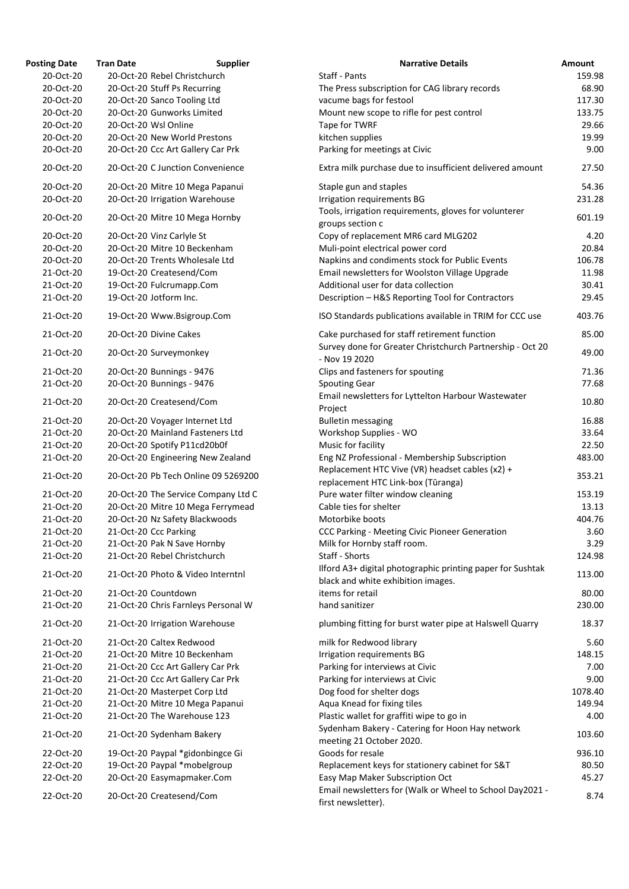| <b>Osting Date</b> | <b>Tran Date</b>                  | <b>Supplier</b>                     | <b>Narrative Details</b>                                                  |
|--------------------|-----------------------------------|-------------------------------------|---------------------------------------------------------------------------|
| 20-Oct-20          | 20-Oct-20 Rebel Christchurch      |                                     | Staff - Pants                                                             |
| 20-Oct-20          | 20-Oct-20 Stuff Ps Recurring      |                                     | The Press subscription for CAG library records                            |
| 20-Oct-20          | 20-Oct-20 Sanco Tooling Ltd       |                                     | vacume bags for festool                                                   |
| 20-Oct-20          | 20-Oct-20 Gunworks Limited        |                                     | Mount new scope to rifle for pest control                                 |
| 20-Oct-20          | 20-Oct-20 Wsl Online              |                                     | Tape for TWRF                                                             |
| 20-Oct-20          | 20-Oct-20 New World Prestons      |                                     | kitchen supplies                                                          |
| 20-Oct-20          | 20-Oct-20 Ccc Art Gallery Car Prk |                                     | Parking for meetings at Civic                                             |
| 20-Oct-20          |                                   | 20-Oct-20 C Junction Convenience    | Extra milk purchase due to insufficient delivered amo                     |
| 20-Oct-20          |                                   | 20-Oct-20 Mitre 10 Mega Papanui     | Staple gun and staples                                                    |
| 20-Oct-20          | 20-Oct-20 Irrigation Warehouse    |                                     | Irrigation requirements BG                                                |
| 20-Oct-20          | 20-Oct-20 Mitre 10 Mega Hornby    |                                     | Tools, irrigation requirements, gloves for volunterer<br>groups section c |
| 20-Oct-20          | 20-Oct-20 Vinz Carlyle St         |                                     | Copy of replacement MR6 card MLG202                                       |
| 20-Oct-20          | 20-Oct-20 Mitre 10 Beckenham      |                                     | Muli-point electrical power cord                                          |
| 20-Oct-20          | 20-Oct-20 Trents Wholesale Ltd    |                                     | Napkins and condiments stock for Public Events                            |
| 21-Oct-20          | 19-Oct-20 Createsend/Com          |                                     | Email newsletters for Woolston Village Upgrade                            |
| 21-Oct-20          | 19-Oct-20 Fulcrumapp.Com          |                                     | Additional user for data collection                                       |
| 21-Oct-20          | 19-Oct-20 Jotform Inc.            |                                     | Description - H&S Reporting Tool for Contractors                          |
| 21-Oct-20          | 19-Oct-20 Www.Bsigroup.Com        |                                     | ISO Standards publications available in TRIM for CCC                      |
| 21-Oct-20          | 20-Oct-20 Divine Cakes            |                                     | Cake purchased for staff retirement function                              |
| 21-Oct-20          | 20-Oct-20 Surveymonkey            |                                     | Survey done for Greater Christchurch Partnership - O<br>- Nov 19 2020     |
|                    |                                   |                                     |                                                                           |
| 21-Oct-20          | 20-Oct-20 Bunnings - 9476         |                                     | Clips and fasteners for spouting                                          |
| 21-Oct-20          | 20-Oct-20 Bunnings - 9476         |                                     | <b>Spouting Gear</b>                                                      |
| 21-Oct-20          | 20-Oct-20 Createsend/Com          |                                     | Email newsletters for Lyttelton Harbour Wastewater<br>Project             |
| 21-Oct-20          | 20-Oct-20 Voyager Internet Ltd    |                                     | <b>Bulletin messaging</b>                                                 |
| 21-Oct-20          | 20-Oct-20 Mainland Fasteners Ltd  |                                     | Workshop Supplies - WO                                                    |
| 21-Oct-20          | 20-Oct-20 Spotify P11cd20b0f      |                                     | Music for facility                                                        |
| 21-Oct-20          |                                   | 20-Oct-20 Engineering New Zealand   | Eng NZ Professional - Membership Subscription                             |
|                    |                                   |                                     | Replacement HTC Vive (VR) headset cables (x2) +                           |
| 21-Oct-20          |                                   | 20-Oct-20 Pb Tech Online 09 5269200 | replacement HTC Link-box (Tūranga)                                        |
| 21-Oct-20          |                                   | 20-Oct-20 The Service Company Ltd C | Pure water filter window cleaning                                         |
| 21-Oct-20          |                                   | 20-Oct-20 Mitre 10 Mega Ferrymead   | Cable ties for shelter                                                    |
| 21-Oct-20          | 20-Oct-20 Nz Safety Blackwoods    |                                     | Motorbike boots                                                           |
| 21-Oct-20          | 21-Oct-20 Ccc Parking             |                                     | CCC Parking - Meeting Civic Pioneer Generation                            |
| 21-Oct-20          | 21-Oct-20 Pak N Save Hornby       |                                     | Milk for Hornby staff room.                                               |
| 21-Oct-20          | 21-Oct-20 Rebel Christchurch      |                                     | Staff - Shorts                                                            |
|                    |                                   |                                     | Ilford A3+ digital photographic printing paper for Sus                    |
| 21-Oct-20          |                                   | 21-Oct-20 Photo & Video Interntnl   | black and white exhibition images.                                        |
| 21-Oct-20          | 21-Oct-20 Countdown               |                                     | items for retail                                                          |
| 21-Oct-20          |                                   | 21-Oct-20 Chris Farnleys Personal W | hand sanitizer                                                            |
| 21-Oct-20          | 21-Oct-20 Irrigation Warehouse    |                                     | plumbing fitting for burst water pipe at Halswell Qua                     |
| 21-Oct-20          | 21-Oct-20 Caltex Redwood          |                                     | milk for Redwood library                                                  |
| 21-Oct-20          | 21-Oct-20 Mitre 10 Beckenham      |                                     | Irrigation requirements BG                                                |
| 21-Oct-20          | 21-Oct-20 Ccc Art Gallery Car Prk |                                     | Parking for interviews at Civic                                           |
| 21-Oct-20          | 21-Oct-20 Ccc Art Gallery Car Prk |                                     | Parking for interviews at Civic                                           |
| 21-Oct-20          | 21-Oct-20 Masterpet Corp Ltd      |                                     | Dog food for shelter dogs                                                 |
| 21-Oct-20          |                                   | 21-Oct-20 Mitre 10 Mega Papanui     | Aqua Knead for fixing tiles                                               |
| 21-Oct-20          | 21-Oct-20 The Warehouse 123       |                                     | Plastic wallet for graffiti wipe to go in                                 |
|                    |                                   |                                     | Sydenham Bakery - Catering for Hoon Hay network                           |
| 21-Oct-20          | 21-Oct-20 Sydenham Bakery         |                                     | meeting 21 October 2020.                                                  |
| 22-Oct-20          | 19-Oct-20 Paypal *gidonbingce Gi  |                                     | Goods for resale                                                          |
| 22-Oct-20          | 19-Oct-20 Paypal *mobelgroup      |                                     | Replacement keys for stationery cabinet for S&T                           |
| 22-Oct-20          | 20-Oct-20 Easymapmaker.Com        |                                     | Easy Map Maker Subscription Oct                                           |
| 22-Oct-20          | 20-Oct-20 Createsend/Com          |                                     | Email newsletters for (Walk or Wheel to School Day2                       |
|                    |                                   |                                     | first nowslattor)                                                         |

| <b>Posting Date</b> | <b>Tran Date</b> | <b>Supplier</b>                     | <b>Narrative Details</b>                                                                         | Amount  |
|---------------------|------------------|-------------------------------------|--------------------------------------------------------------------------------------------------|---------|
| 20-Oct-20           |                  | 20-Oct-20 Rebel Christchurch        | Staff - Pants                                                                                    | 159.98  |
| 20-Oct-20           |                  | 20-Oct-20 Stuff Ps Recurring        | The Press subscription for CAG library records                                                   | 68.90   |
| 20-Oct-20           |                  | 20-Oct-20 Sanco Tooling Ltd         | vacume bags for festool                                                                          | 117.30  |
| 20-Oct-20           |                  | 20-Oct-20 Gunworks Limited          | Mount new scope to rifle for pest control                                                        | 133.75  |
| 20-Oct-20           |                  | 20-Oct-20 Wsl Online                | Tape for TWRF                                                                                    | 29.66   |
| 20-Oct-20           |                  | 20-Oct-20 New World Prestons        | kitchen supplies                                                                                 | 19.99   |
| 20-Oct-20           |                  | 20-Oct-20 Ccc Art Gallery Car Prk   | Parking for meetings at Civic                                                                    | 9.00    |
| 20-Oct-20           |                  | 20-Oct-20 C Junction Convenience    | Extra milk purchase due to insufficient delivered amount                                         | 27.50   |
| 20-Oct-20           |                  | 20-Oct-20 Mitre 10 Mega Papanui     | Staple gun and staples                                                                           | 54.36   |
| 20-Oct-20           |                  | 20-Oct-20 Irrigation Warehouse      | Irrigation requirements BG                                                                       | 231.28  |
|                     |                  |                                     | Tools, irrigation requirements, gloves for volunterer                                            |         |
| 20-Oct-20           |                  | 20-Oct-20 Mitre 10 Mega Hornby      | groups section c                                                                                 | 601.19  |
| 20-Oct-20           |                  | 20-Oct-20 Vinz Carlyle St           | Copy of replacement MR6 card MLG202                                                              | 4.20    |
| 20-Oct-20           |                  | 20-Oct-20 Mitre 10 Beckenham        | Muli-point electrical power cord                                                                 | 20.84   |
| 20-Oct-20           |                  | 20-Oct-20 Trents Wholesale Ltd      | Napkins and condiments stock for Public Events                                                   | 106.78  |
| 21-Oct-20           |                  | 19-Oct-20 Createsend/Com            | Email newsletters for Woolston Village Upgrade                                                   | 11.98   |
| 21-Oct-20           |                  | 19-Oct-20 Fulcrumapp.Com            | Additional user for data collection                                                              | 30.41   |
| 21-Oct-20           |                  | 19-Oct-20 Jotform Inc.              | Description - H&S Reporting Tool for Contractors                                                 | 29.45   |
| 21-Oct-20           |                  | 19-Oct-20 Www.Bsigroup.Com          | ISO Standards publications available in TRIM for CCC use                                         | 403.76  |
| 21-Oct-20           |                  | 20-Oct-20 Divine Cakes              | Cake purchased for staff retirement function                                                     | 85.00   |
| 21-Oct-20           |                  | 20-Oct-20 Surveymonkey              | Survey done for Greater Christchurch Partnership - Oct 20<br>- Nov 19 2020                       | 49.00   |
| 21-Oct-20           |                  | 20-Oct-20 Bunnings - 9476           | Clips and fasteners for spouting                                                                 | 71.36   |
| 21-Oct-20           |                  | 20-Oct-20 Bunnings - 9476           | <b>Spouting Gear</b>                                                                             | 77.68   |
| 21-Oct-20           |                  | 20-Oct-20 Createsend/Com            | Email newsletters for Lyttelton Harbour Wastewater                                               | 10.80   |
|                     |                  |                                     | Project                                                                                          |         |
| 21-Oct-20           |                  | 20-Oct-20 Voyager Internet Ltd      | <b>Bulletin messaging</b>                                                                        | 16.88   |
| 21-Oct-20           |                  | 20-Oct-20 Mainland Fasteners Ltd    | Workshop Supplies - WO                                                                           | 33.64   |
| 21-Oct-20           |                  | 20-Oct-20 Spotify P11cd20b0f        | Music for facility                                                                               | 22.50   |
| 21-Oct-20           |                  | 20-Oct-20 Engineering New Zealand   | Eng NZ Professional - Membership Subscription                                                    | 483.00  |
| 21-Oct-20           |                  | 20-Oct-20 Pb Tech Online 09 5269200 | Replacement HTC Vive (VR) headset cables (x2) +<br>replacement HTC Link-box (Tūranga)            | 353.21  |
| 21-Oct-20           |                  | 20-Oct-20 The Service Company Ltd C | Pure water filter window cleaning                                                                | 153.19  |
| 21-Oct-20           |                  | 20-Oct-20 Mitre 10 Mega Ferrymead   | Cable ties for shelter                                                                           | 13.13   |
| 21-Oct-20           |                  | 20-Oct-20 Nz Safety Blackwoods      | Motorbike boots                                                                                  | 404.76  |
|                     |                  |                                     |                                                                                                  |         |
| 21-Oct-20           |                  | 21-Oct-20 Ccc Parking               | CCC Parking - Meeting Civic Pioneer Generation                                                   | 3.60    |
| 21-Oct-20           |                  | 21-Oct-20 Pak N Save Hornby         | Milk for Hornby staff room.                                                                      | 3.29    |
| 21-Oct-20           |                  | 21-Oct-20 Rebel Christchurch        | Staff - Shorts                                                                                   | 124.98  |
| 21-Oct-20           |                  | 21-Oct-20 Photo & Video Interntnl   | Ilford A3+ digital photographic printing paper for Sushtak<br>black and white exhibition images. | 113.00  |
| 21-Oct-20           |                  | 21-Oct-20 Countdown                 | items for retail                                                                                 | 80.00   |
| 21-Oct-20           |                  | 21-Oct-20 Chris Farnleys Personal W | hand sanitizer                                                                                   | 230.00  |
| 21-Oct-20           |                  | 21-Oct-20 Irrigation Warehouse      | plumbing fitting for burst water pipe at Halswell Quarry                                         | 18.37   |
| 21-Oct-20           |                  | 21-Oct-20 Caltex Redwood            | milk for Redwood library                                                                         | 5.60    |
| 21-Oct-20           |                  | 21-Oct-20 Mitre 10 Beckenham        | Irrigation requirements BG                                                                       | 148.15  |
|                     |                  |                                     |                                                                                                  |         |
| 21-Oct-20           |                  | 21-Oct-20 Ccc Art Gallery Car Prk   | Parking for interviews at Civic                                                                  | 7.00    |
| 21-Oct-20           |                  | 21-Oct-20 Ccc Art Gallery Car Prk   | Parking for interviews at Civic                                                                  | 9.00    |
| 21-Oct-20           |                  | 21-Oct-20 Masterpet Corp Ltd        | Dog food for shelter dogs                                                                        | 1078.40 |
| 21-Oct-20           |                  | 21-Oct-20 Mitre 10 Mega Papanui     | Aqua Knead for fixing tiles                                                                      | 149.94  |
| 21-Oct-20           |                  | 21-Oct-20 The Warehouse 123         | Plastic wallet for graffiti wipe to go in                                                        | 4.00    |
| 21-Oct-20           |                  | 21-Oct-20 Sydenham Bakery           | Sydenham Bakery - Catering for Hoon Hay network<br>meeting 21 October 2020.                      | 103.60  |
| 22-Oct-20           |                  | 19-Oct-20 Paypal *gidonbingce Gi    | Goods for resale                                                                                 | 936.10  |
| 22-Oct-20           |                  |                                     |                                                                                                  |         |
|                     |                  | 19-Oct-20 Paypal *mobelgroup        | Replacement keys for stationery cabinet for S&T                                                  | 80.50   |
| 22-Oct-20           |                  | 20-Oct-20 Easymapmaker.Com          | Easy Map Maker Subscription Oct                                                                  | 45.27   |
| 22-Oct-20           |                  | 20-Oct-20 Createsend/Com            | Email newsletters for (Walk or Wheel to School Day2021 -<br>first newsletter).                   | 8.74    |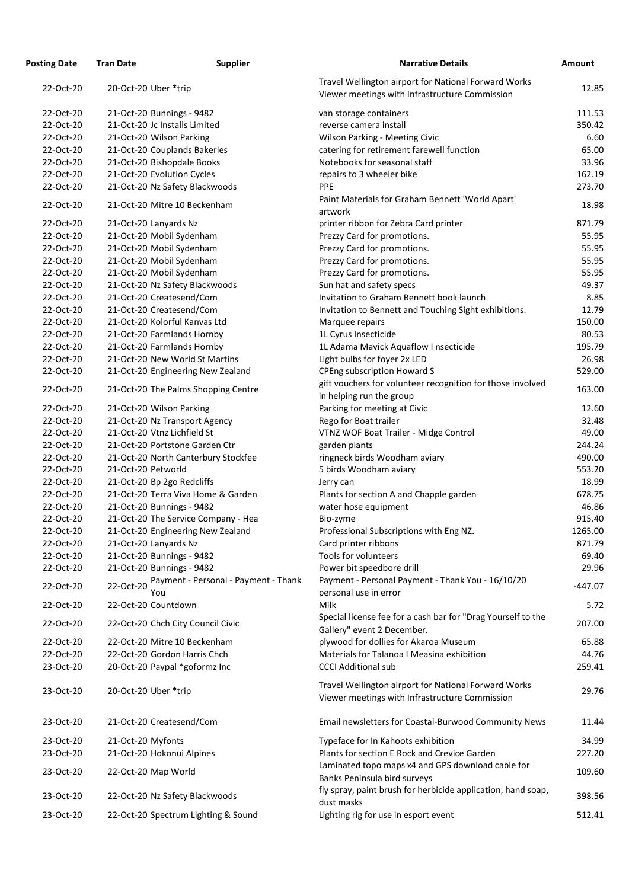| <b>Posting Date</b> | <b>Tran Date</b>                    | <b>Supplier</b>                      | <b>Narrative Details</b>                                                                               | <b>Amount</b> |
|---------------------|-------------------------------------|--------------------------------------|--------------------------------------------------------------------------------------------------------|---------------|
| 22-Oct-20           | 20-Oct-20 Uber *trip                |                                      | Travel Wellington airport for National Forward Works<br>Viewer meetings with Infrastructure Commission | 12.85         |
| 22-Oct-20           | 21-Oct-20 Bunnings - 9482           |                                      | van storage containers                                                                                 | 111.53        |
| 22-Oct-20           | 21-Oct-20 Jc Installs Limited       |                                      | reverse camera install                                                                                 | 350.42        |
| 22-Oct-20           | 21-Oct-20 Wilson Parking            |                                      | <b>Wilson Parking - Meeting Civic</b>                                                                  | 6.60          |
| 22-Oct-20           | 21-Oct-20 Couplands Bakeries        |                                      | catering for retirement farewell function                                                              | 65.00         |
| 22-Oct-20           | 21-Oct-20 Bishopdale Books          |                                      | Notebooks for seasonal staff                                                                           | 33.96         |
| 22-Oct-20           | 21-Oct-20 Evolution Cycles          |                                      | repairs to 3 wheeler bike                                                                              | 162.19        |
| 22-Oct-20           | 21-Oct-20 Nz Safety Blackwoods      |                                      | <b>PPE</b>                                                                                             | 273.70        |
| 22-Oct-20           | 21-Oct-20 Mitre 10 Beckenham        |                                      | Paint Materials for Graham Bennett 'World Apart'<br>artwork                                            | 18.98         |
| 22-Oct-20           | 21-Oct-20 Lanyards Nz               |                                      | printer ribbon for Zebra Card printer                                                                  | 871.79        |
| 22-Oct-20           | 21-Oct-20 Mobil Sydenham            |                                      | Prezzy Card for promotions.                                                                            | 55.95         |
| 22-Oct-20           | 21-Oct-20 Mobil Sydenham            |                                      | Prezzy Card for promotions.                                                                            | 55.95         |
| 22-Oct-20           | 21-Oct-20 Mobil Sydenham            |                                      | Prezzy Card for promotions.                                                                            | 55.95         |
| 22-Oct-20           | 21-Oct-20 Mobil Sydenham            |                                      | Prezzy Card for promotions.                                                                            | 55.95         |
| 22-Oct-20           | 21-Oct-20 Nz Safety Blackwoods      |                                      | Sun hat and safety specs                                                                               | 49.37         |
| 22-Oct-20           | 21-Oct-20 Createsend/Com            |                                      | Invitation to Graham Bennett book launch                                                               | 8.85          |
| 22-Oct-20           | 21-Oct-20 Createsend/Com            |                                      | Invitation to Bennett and Touching Sight exhibitions.                                                  | 12.79         |
| 22-Oct-20           | 21-Oct-20 Kolorful Kanvas Ltd       |                                      | Marquee repairs                                                                                        | 150.00        |
| 22-Oct-20           | 21-Oct-20 Farmlands Hornby          |                                      | 1L Cyrus Insecticide                                                                                   | 80.53         |
| 22-Oct-20           | 21-Oct-20 Farmlands Hornby          |                                      | 1L Adama Mavick Aquaflow I nsecticide                                                                  | 195.79        |
| 22-Oct-20           | 21-Oct-20 New World St Martins      |                                      | Light bulbs for foyer 2x LED                                                                           | 26.98         |
| 22-Oct-20           | 21-Oct-20 Engineering New Zealand   |                                      | <b>CPEng subscription Howard S</b>                                                                     | 529.00        |
| 22-Oct-20           | 21-Oct-20 The Palms Shopping Centre |                                      | gift vouchers for volunteer recognition for those involved<br>in helping run the group                 | 163.00        |
| 22-Oct-20           | 21-Oct-20 Wilson Parking            |                                      | Parking for meeting at Civic                                                                           | 12.60         |
| 22-Oct-20           | 21-Oct-20 Nz Transport Agency       |                                      | Rego for Boat trailer                                                                                  | 32.48         |
| 22-Oct-20           | 21-Oct-20 Vtnz Lichfield St         |                                      | VTNZ WOF Boat Trailer - Midge Control                                                                  | 49.00         |
| 22-Oct-20           | 21-Oct-20 Portstone Garden Ctr      |                                      | garden plants                                                                                          | 244.24        |
| 22-Oct-20           | 21-Oct-20 North Canterbury Stockfee |                                      | ringneck birds Woodham aviary                                                                          | 490.00        |
| 22-Oct-20           | 21-Oct-20 Petworld                  |                                      | 5 birds Woodham aviary                                                                                 | 553.20        |
| 22-Oct-20           | 21-Oct-20 Bp 2go Redcliffs          |                                      | Jerry can                                                                                              | 18.99         |
| 22-Oct-20           | 21-Oct-20 Terra Viva Home & Garden  |                                      | Plants for section A and Chapple garden                                                                | 678.75        |
| 22-Oct-20           | 21-Oct-20 Bunnings - 9482           |                                      | water hose equipment                                                                                   | 46.86         |
| 22-Oct-20           | 21-Oct-20 The Service Company - Hea |                                      | Bio-zyme                                                                                               | 915.40        |
| 22-Oct-20           | 21-Oct-20 Engineering New Zealand   |                                      | Professional Subscriptions with Eng NZ.                                                                | 1265.00       |
| 22-Oct-20           | 21-Oct-20 Lanyards Nz               |                                      | Card printer ribbons                                                                                   | 871.79        |
| 22-Oct-20           | 21-Oct-20 Bunnings - 9482           |                                      | Tools for volunteers                                                                                   | 69.40         |
| 22-Oct-20           | 21-Oct-20 Bunnings - 9482           |                                      | Power bit speedbore drill                                                                              | 29.96         |
| 22-Oct-20           | 22-Oct-20<br>You                    | Payment - Personal - Payment - Thank | Payment - Personal Payment - Thank You - 16/10/20<br>personal use in error                             | $-447.07$     |
| 22-Oct-20           | 22-Oct-20 Countdown                 |                                      | Milk                                                                                                   | 5.72          |
| 22-Oct-20           | 22-Oct-20 Chch City Council Civic   |                                      | Special license fee for a cash bar for "Drag Yourself to the<br>Gallery" event 2 December.             | 207.00        |
| 22-Oct-20           | 22-Oct-20 Mitre 10 Beckenham        |                                      | plywood for dollies for Akaroa Museum                                                                  | 65.88         |
| 22-Oct-20           | 22-Oct-20 Gordon Harris Chch        |                                      | Materials for Talanoa I Measina exhibition                                                             | 44.76         |
| 23-Oct-20           | 20-Oct-20 Paypal *goformz Inc       |                                      | <b>CCCI Additional sub</b>                                                                             | 259.41        |
| 23-Oct-20           | 20-Oct-20 Uber *trip                |                                      | Travel Wellington airport for National Forward Works<br>Viewer meetings with Infrastructure Commission | 29.76         |
| 23-Oct-20           | 21-Oct-20 Createsend/Com            |                                      | Email newsletters for Coastal-Burwood Community News                                                   | 11.44         |
| 23-Oct-20           | 21-Oct-20 Myfonts                   |                                      | Typeface for In Kahoots exhibition                                                                     | 34.99         |
| 23-Oct-20           | 21-Oct-20 Hokonui Alpines           |                                      | Plants for section E Rock and Crevice Garden                                                           | 227.20        |
|                     |                                     |                                      | Laminated topo maps x4 and GPS download cable for                                                      |               |
| 23-Oct-20           | 22-Oct-20 Map World                 |                                      | Banks Peninsula bird surveys<br>fly spray, paint brush for herbicide application, hand soap,           | 109.60        |
| 23-Oct-20           | 22-Oct-20 Nz Safety Blackwoods      |                                      | dust masks                                                                                             | 398.56        |
| 23-Oct-20           | 22-Oct-20 Spectrum Lighting & Sound |                                      | Lighting rig for use in esport event                                                                   | 512.41        |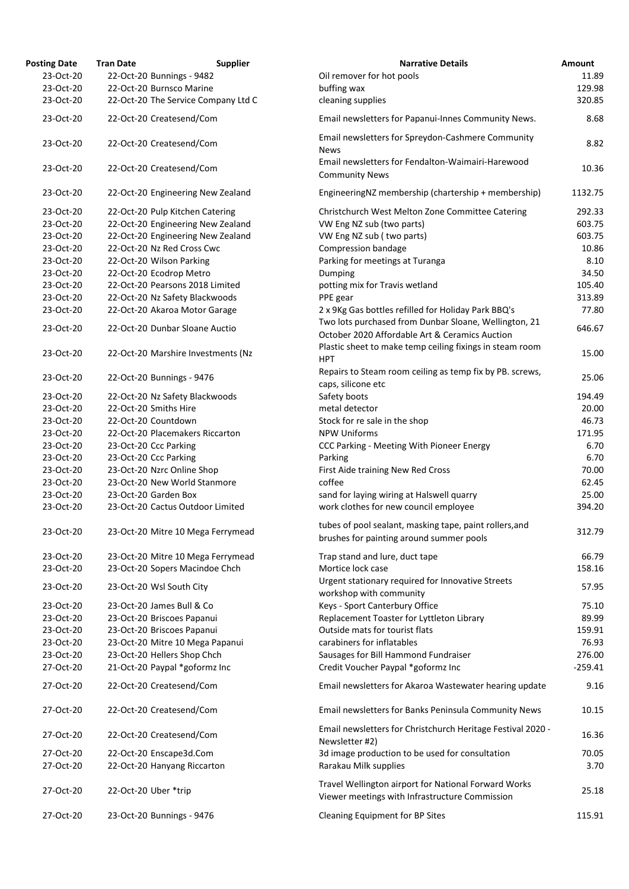| <b>Posting Date</b> | <b>Tran Date</b><br><b>Supplier</b> | <b>Narrative Details</b>                                                                                | Amount    |
|---------------------|-------------------------------------|---------------------------------------------------------------------------------------------------------|-----------|
| 23-Oct-20           | 22-Oct-20 Bunnings - 9482           | Oil remover for hot pools                                                                               | 11.89     |
| 23-Oct-20           | 22-Oct-20 Burnsco Marine            | buffing wax                                                                                             | 129.98    |
| 23-Oct-20           | 22-Oct-20 The Service Company Ltd C | cleaning supplies                                                                                       | 320.85    |
| 23-Oct-20           | 22-Oct-20 Createsend/Com            | Email newsletters for Papanui-Innes Community News.                                                     | 8.68      |
| 23-Oct-20           | 22-Oct-20 Createsend/Com            | Email newsletters for Spreydon-Cashmere Community<br><b>News</b>                                        | 8.82      |
| 23-Oct-20           | 22-Oct-20 Createsend/Com            | Email newsletters for Fendalton-Waimairi-Harewood<br><b>Community News</b>                              | 10.36     |
| 23-Oct-20           | 22-Oct-20 Engineering New Zealand   | EngineeringNZ membership (chartership + membership)                                                     | 1132.75   |
| 23-Oct-20           | 22-Oct-20 Pulp Kitchen Catering     | Christchurch West Melton Zone Committee Catering                                                        | 292.33    |
| 23-Oct-20           | 22-Oct-20 Engineering New Zealand   | VW Eng NZ sub (two parts)                                                                               | 603.75    |
| 23-Oct-20           | 22-Oct-20 Engineering New Zealand   | VW Eng NZ sub (two parts)                                                                               | 603.75    |
| 23-Oct-20           | 22-Oct-20 Nz Red Cross Cwc          | <b>Compression bandage</b>                                                                              | 10.86     |
| 23-Oct-20           | 22-Oct-20 Wilson Parking            | Parking for meetings at Turanga                                                                         | 8.10      |
|                     |                                     |                                                                                                         |           |
| 23-Oct-20           | 22-Oct-20 Ecodrop Metro             | Dumping                                                                                                 | 34.50     |
| 23-Oct-20           | 22-Oct-20 Pearsons 2018 Limited     | potting mix for Travis wetland                                                                          | 105.40    |
| 23-Oct-20           | 22-Oct-20 Nz Safety Blackwoods      | PPE gear                                                                                                | 313.89    |
| 23-Oct-20           | 22-Oct-20 Akaroa Motor Garage       | 2 x 9Kg Gas bottles refilled for Holiday Park BBQ's                                                     | 77.80     |
| 23-Oct-20           | 22-Oct-20 Dunbar Sloane Auctio      | Two lots purchased from Dunbar Sloane, Wellington, 21<br>October 2020 Affordable Art & Ceramics Auction | 646.67    |
| 23-Oct-20           | 22-Oct-20 Marshire Investments (Nz  | Plastic sheet to make temp ceiling fixings in steam room<br><b>HPT</b>                                  | 15.00     |
| 23-Oct-20           | 22-Oct-20 Bunnings - 9476           | Repairs to Steam room ceiling as temp fix by PB. screws,<br>caps, silicone etc                          | 25.06     |
| 23-Oct-20           | 22-Oct-20 Nz Safety Blackwoods      | Safety boots                                                                                            | 194.49    |
| 23-Oct-20           | 22-Oct-20 Smiths Hire               | metal detector                                                                                          | 20.00     |
| 23-Oct-20           | 22-Oct-20 Countdown                 | Stock for re sale in the shop                                                                           | 46.73     |
| 23-Oct-20           | 22-Oct-20 Placemakers Riccarton     | <b>NPW Uniforms</b>                                                                                     | 171.95    |
| 23-Oct-20           |                                     |                                                                                                         | 6.70      |
|                     | 23-Oct-20 Ccc Parking               | CCC Parking - Meeting With Pioneer Energy                                                               |           |
| 23-Oct-20           | 23-Oct-20 Ccc Parking               | Parking                                                                                                 | 6.70      |
| 23-Oct-20           | 23-Oct-20 Nzrc Online Shop          | First Aide training New Red Cross                                                                       | 70.00     |
| 23-Oct-20           | 23-Oct-20 New World Stanmore        | coffee                                                                                                  | 62.45     |
| 23-Oct-20           | 23-Oct-20 Garden Box                | sand for laying wiring at Halswell quarry                                                               | 25.00     |
| 23-Oct-20           | 23-Oct-20 Cactus Outdoor Limited    | work clothes for new council employee                                                                   | 394.20    |
| 23-Oct-20           | 23-Oct-20 Mitre 10 Mega Ferrymead   | tubes of pool sealant, masking tape, paint rollers, and<br>brushes for painting around summer pools     | 312.79    |
| 23-Oct-20           | 23-Oct-20 Mitre 10 Mega Ferrymead   | Trap stand and lure, duct tape                                                                          | 66.79     |
| 23-Oct-20           | 23-Oct-20 Sopers Macindoe Chch      | Mortice lock case                                                                                       | 158.16    |
| 23-Oct-20           | 23-Oct-20 Wsl South City            | Urgent stationary required for Innovative Streets<br>workshop with community                            | 57.95     |
| 23-Oct-20           | 23-Oct-20 James Bull & Co           | Keys - Sport Canterbury Office                                                                          | 75.10     |
|                     |                                     |                                                                                                         |           |
| 23-Oct-20           | 23-Oct-20 Briscoes Papanui          | Replacement Toaster for Lyttleton Library                                                               | 89.99     |
| 23-Oct-20           | 23-Oct-20 Briscoes Papanui          | Outside mats for tourist flats                                                                          | 159.91    |
| 23-Oct-20           | 23-Oct-20 Mitre 10 Mega Papanui     | carabiners for inflatables                                                                              | 76.93     |
| 23-Oct-20           | 23-Oct-20 Hellers Shop Chch         | Sausages for Bill Hammond Fundraiser                                                                    | 276.00    |
| 27-Oct-20           | 21-Oct-20 Paypal *goformz Inc       | Credit Voucher Paypal *goformz Inc                                                                      | $-259.41$ |
| 27-Oct-20           | 22-Oct-20 Createsend/Com            | Email newsletters for Akaroa Wastewater hearing update                                                  | 9.16      |
| 27-Oct-20           | 22-Oct-20 Createsend/Com            | Email newsletters for Banks Peninsula Community News                                                    | 10.15     |
| 27-Oct-20           | 22-Oct-20 Createsend/Com            | Email newsletters for Christchurch Heritage Festival 2020 -<br>Newsletter #2)                           | 16.36     |
| 27-Oct-20           | 22-Oct-20 Enscape3d.Com             | 3d image production to be used for consultation                                                         | 70.05     |
| 27-Oct-20           | 22-Oct-20 Hanyang Riccarton         | Rarakau Milk supplies                                                                                   | 3.70      |
| 27-Oct-20           | 22-Oct-20 Uber *trip                | Travel Wellington airport for National Forward Works                                                    | 25.18     |
| 27-Oct-20           | 23-Oct-20 Bunnings - 9476           | Viewer meetings with Infrastructure Commission<br><b>Cleaning Equipment for BP Sites</b>                | 115.91    |
|                     |                                     |                                                                                                         |           |